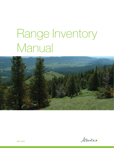# Range Inventory Manual



Alberta

MAY 2020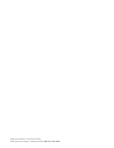Range Inventory Manual | Environment and Parks ©2020 Government of Alberta | Published: May 2020 | ISBN: 978-1-4601-4809-9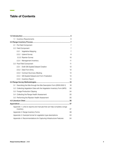# Table of Contents

| 1.1                                                                     |                     | <b>Inventory Requirements</b>                                           | 6              |  |
|-------------------------------------------------------------------------|---------------------|-------------------------------------------------------------------------|----------------|--|
|                                                                         |                     |                                                                         |                |  |
| 2.1                                                                     | Pre Field Component |                                                                         |                |  |
|                                                                         |                     | 2.2 Field Component                                                     | $\overline{7}$ |  |
|                                                                         | 2.2.1               | Vegetative Mapping                                                      | 7              |  |
|                                                                         |                     | 2.2.2 Upland Survey                                                     | 8              |  |
|                                                                         |                     | 2.2.3 Riparian Survey                                                   | 10             |  |
|                                                                         |                     | 2.2.4 Management Inventory                                              | 11             |  |
|                                                                         |                     | 2.3 Post Field Component                                                | 11             |  |
|                                                                         | 2.3.1               | Draft GIS Spatial Dataset Creation                                      | 12             |  |
|                                                                         |                     | 2.3.2 Data Form Entry                                                   | 12             |  |
|                                                                         |                     | 2.3.3 Contract Summary Meeting                                          | 14             |  |
|                                                                         | 2.3.4               | GIS Spatial Dataset and Form Finalization                               | 14             |  |
|                                                                         | 2.3.5               | <b>Inventory Report</b>                                                 | 14             |  |
|                                                                         |                     |                                                                         | .16            |  |
| 3.1                                                                     |                     | Describing the Site through the Site Description Form (RDB 2002-1)      | 16             |  |
|                                                                         |                     | 3.2 Collecting Vegetation Data with the Vegetation Inventory Form (MF5) | 30             |  |
|                                                                         |                     | 3.3 Forage Production Clipping                                          | 34             |  |
|                                                                         |                     | 3.4 Collecting the Range Health Assessment                              | 35             |  |
|                                                                         |                     | 3.5 Performing the Riparian Health Assessment                           | 35             |  |
|                                                                         |                     |                                                                         |                |  |
|                                                                         |                     |                                                                         |                |  |
|                                                                         | inventory           | Appendix 1. Links to reports and manuals that can help complete a range | 37             |  |
| Appendix 2. Range Inventory Forms                                       |                     |                                                                         |                |  |
| Appendix 3. Example format for vegetation type descriptions<br>53       |                     |                                                                         |                |  |
| Appendix 4. Recommendations for Capturing Infrastructure Features<br>54 |                     |                                                                         |                |  |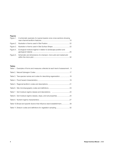# Figures

|           | Figure 1. A schematic example of a typical riparian zone cross sections showing |  |
|-----------|---------------------------------------------------------------------------------|--|
|           |                                                                                 |  |
|           |                                                                                 |  |
| Figure 4. | Ecological moisture regime in relation to landscape position and                |  |
|           | Figure 5. Schematic and dimensions of a transect, micro-plot and nested plot    |  |

## Tables

| Table 1. Examples of forms and measures collected at each level of assessment. . 9 |  |
|------------------------------------------------------------------------------------|--|
|                                                                                    |  |
| Table 3. Tree species names and codes for describing regeneration. 18              |  |
|                                                                                    |  |
|                                                                                    |  |
|                                                                                    |  |
|                                                                                    |  |
| Table 8. Soil moisture regime classes, slope, and soil properties24                |  |
|                                                                                    |  |
| Table 10. Broad and specific factors that influence stand establishment 28         |  |
| Table 11. Stratum codes and definitions for vegetation sampling 32                 |  |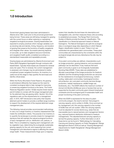# <span id="page-4-0"></span>1.0 Introduction

Government grazing leases have been administered in Alberta since 1881, even prior to the provincial government being formed. These areas are still being managed for grazing with the current focus on either restoring or maintaining rangeland ecological processes. Grazing leaseholders are expected to employ practices which manage variables such as stocking rate and density, timing, frequency, and duration of grazing that preserve the functions of healthy rangelands and integrate other values. Successful planning depends on accurate, up-to-date rangeland resource inventories and rangeland health audits completed according to a standardized measurable and repeatable process.

Grazing leases are administered by Alberta Environment and Parks (AEP) Rangeland Agrologists through contracts with leaseholders. Typically these leases are reviewed for renewal every ten years. Prior to renewal, the current management is assessed, and changes may be administered to better compliment proper rangeland functions. An inventory is a useful tool at this stage to help quantify the land base and identify critical areas.

Within the Rocky Mountains Forest Reserve, the grazing is administered differently than leases but the need for consistent ecological data to help manage for improving or preserving rangeland functions is the same. The Forest Reserves Regulation section 15(1)(b) requires forest reserve permit holders to comply with the range management plan for the allotment they are grazing within. Section 1(h) of the regulations sets out the requirements for a management plan. In 2010, AEP introduced a new policy that requires allotment permit holders to provide a certified range inventory to support the development of the required allotment range management plan.

The following manual provides recommended methodology to carry out a range inventory or inventory reassessment that meets the certification criteria. The purpose of an inventory is to quantify the landscape to provide a basis for management decisions that will maintain the natural ecological functions of each management unit (i.e. distribution unit, pasture, or field). This is completed by mapping each management unit by vegetation type, determining the ecologically sustainable grazing capacity for the unit, and measuring how current management and disturbance regime is affecting the overall range health. These measurements hinge upon a mapping

system that classifies the land base into descriptive and manageable units, and then measures these units according to established processes. The Range Plant Community Guides of Alberta provide the basis for classification. This classification is a hierarchal approach based on Natural Subregions. The Natural Subregions are split into ecological sites or ecological range sites depending on which Natural Region classification system is used. These in turn are subdivided into generalized plant communities. These plant communities are characterized by the constraints within the ecological (range) site and any disturbance the site may be subject to.

Once plant communities are defined, characteristics such as forage production, grazing tolerance, and successional pathways can be described. A key measure that each plant community is given is an Ecologically Sustainable Stocking Rate (ESSR). These rates are established to allocate a percentage of the forage production for livestock utilization and the remaining forage production as carryover for the maintenance of ecological functions (e.g. nutrient cycling, viable plant communities, hydrological function, soil protection, etc.) and plant community services (forage production, habitat maintenance, wildlife forage use, biodiversity, etc.). The ESSR reflects the maximum number of Animal Unit Months (AUMs) per acre or hectare that can be supported by the plant community given inherent biophysical constraints and the ecological goal of sustainable health and proper functioning of the plant community.

When the ESSR is expressed for the area of a plant community polygon, the result is termed that polygon's carrying capacity, and is written in AUMs. Once summed up by management unit, this carrying capacity is the number of AUMs that unit can sustain. Often the carrying capacity must be adjusted for access factors (e.g. areas that are inaccessible due to natural barriers), and management factors (e.g. reduced livestock distribution attributed to livestock management). This adjusted/reduced carrying capacity is termed the grazing capacity. Further information on all of these terms can be found in "Methodology for Calculating Carrying and Grazing Capacity on Public Rangelands" (Range Management Branch 2004) as well as "Grazing Management Adjustments for Health Rangelands" (Range Management Branch 2008).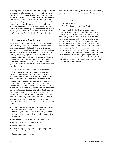<span id="page-5-0"></span>The Rangeland Health Assessment is the primary tool utilized to measure how the current plant community is maintaining its ability to perform certain key functions. These functions include net primary production, maintenance of soil and site stability, capture and beneficial release of water, nutrient and energy cycling, and functional diversity of plant species. Measuring range health is performed by comparing key ecological attributes of the current plant community to a healthy reference community. For further information, refer to the "Rangeland Health Assessment for Grasslands, Forest, and Tame pasture Field Workbook." (Adams et al. 2016).

# 1.1 Inventory Requirements

Each range inventory project requires (1) a detailed map and (2) an inventory report. The detailed map consists of the inventoried area delineated by plant community polygons, with each polygon rated for rangeland health. These polygons are then summed up by management unit to calculate the carrying and grazing capacities. The report consists of management unit summaries, a description of physical and geographical characteristics, current range management practices and challenges, livestock distribution issues, grazing integration issues, and recommendations stemming from the inventory.

In cases where a previously accepted inventory exists, an inventory reassessment is conducted. Surveyors use the mapped plant community polygons from the previous inventory as the basis for the reassessment. Updates to a previous inventory are needed to reflect changes due to management, succession, and disturbance. In addition, several improvements to the range inventory process have evolved over time, such as development of plant community guides and classification, imagery improvement, range health assessment protocol (2003), and inventory standardization (2010). Where applicable, polygon lines are updated based on imagery interpretation and field observations to increase the accuracy of the visible vegetation boundaries and management unit boundaries. The following are examples of information that can be included in an inventory reassessment:

- Updated plant community calls when there is substantial difference in plant community (e.g., succession, disturbance, etc.) since the previous inventory, or if a new/ undescribed/ inadequately described plant community is encountered.
- Reassessment of range health (for trend purposes)
- Adjusted carrying and grazing capacities
- Boundary and asset updates
- Current management regime and range management considerations and recommendations
- Discussion of resource integration

Regardless if a new inventory or a reassessment is occurring, the range inventory process is composed of three stages. They are:

- 1. Pre Field Component
- 2. Field Component
- 3. Post Field Component and Map Creation

The recommended methodology to complete these three stages are described in this manual. The suggested survey methods to collect physical and vegetative data to complete the inventory are also outlined. How the inventory data are collected, mapped, and reported is specific to each particular inventory but this manual will provide guidance on how to obtain the relevant information to develop the various inventory components. The manual does not cover the methodology of plant community classification or range and riparian health assessments. These methods can be found in the plant community guidebooks for the appropriate Natural Subregions, and the range and riparian health assessment field workbooks. The current website locations of all published guidebooks and reference materials to aid inventories are located in Appendix 1.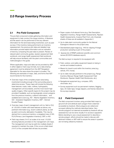# <span id="page-6-0"></span>2.0 Range Inventory Process

# 2.1 Pre Field Component

The pre field component entails gathering information and equipment to help conduct the range inventory. A literature and file search can be performed to find any relevant information for the land base being inventoried, such as past surveys. If the inventory being performed is an inventory reassessment, the previous plot data and detailed map information provide helpful information and an indication of trend by comparing the past data to present. Review of relevant plant community guides, riparian assessment field workbook, and range health assessment field workbook will help ensure familiarity with the plant communities and methodologies in the guide.

Where applicable, maps and data can be provided by AEP in either digital or hard copy formats, but a data sharing agreement must be attained from the AEP Rangeland Specialist for the area where the project is located. The following are examples of maps, data, and forms that AEP recommends for the inventory:

- Overview maps of the complete project area being inventoried including enough of the surrounding area to determine access. These maps will include the following base features: roads, trails, cutlines, hydrography, management unit boundaries, and the most recent high quality imagery. Other specific layers for the project may be provided if available, such as topologically correct polygons from the previous inventory, cutblock information, and available land cover (e.g. AVI - Alberta Vegetation Inventory, GVI - Grassland Vegetation Inventory, DEP – Derived Ecosite Phase).
- Overview maps of each management unit (i.e. field or DU) at 1:20,000 or better with base features as above, any pertinent information (e.g. recent cutblock plans), as well as plant community delineation if available. This may be derived from a previous inventory, a rangeland view of GVI, PLVI (Primary Land Vegetation Inventory), DEP, or AVI.
- Field map sheets (11x17) at scales of at most 1:15,000 showing features provided on the management unit maps. The management unit may be split into multiple sheets if required to maintain the scale. If this occurs a field sheet (11x17) of the complete field will also be provided.
- Paper copies of all relevant forms (e.g. Site Description, Vegetation Inventory, Range Health Assessments, Riparian Health Assessments, Invasive Plant Form, etc.) Example sheets of these are all available in Appendix 2.
- Up-to-date plant community guides for the Natural Subregions relevant to the project area.
- Standardized paper bags (e.g. 14H) for clipping if forage production sampling is part of the project.
- Species list of RRMP preferred scientific and common names (ECOSYS database export).

The field surveyor is required to be equipped with:

- Field, outdoor, and safety equipment based on being in remote and isolated locations.
- Means for travel to and within the inventory area (e.g. vehicle, ATV, horse).
- Up-to-date manuals pertinent to the project (e.g. Range Inventory Manual, Range Health Assessment Field Workbook, Riparian Health Field Workbooks, etc.).
- Navigational equipment (e.g. compass, GPS, clinometer, etc.).
- Survey equipment such as permanent markers, flagging tape, 30 meter tape, forage clippers, and frames relevant to the surveys required.

# 2.2 Field Component

The field component involves using provided field maps to ground truth and attribute each polygon that is deemed accessible by livestock. Most polygons are visited and surveyed utilizing the methods described below. Very remote polygons not deemed accessible by livestock still are assessed but can be done visually if no access is apparent. Before deciding to use a visual assessment to describe a remote polygon, efforts should be made to discuss with allotment holders or AEP staff to ensure the areas in question are not being utilized by livestock.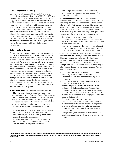# <span id="page-7-0"></span>2.2.1 Vegetative Mapping

Surveyors typically use available basic plant community polygon line work (previous inventory/GVI/AVI/ PLVI/DEP) as a basis for inventory as it provides a rough first cut of mapping polygons. More detail is provided by the surveyor with a focus on primary and secondary range types<sup>1</sup>. Modifications made can include line deletions, additions, and alterations to increase accuracy of the visible vegetation boundaries. A polygon can contain up to three plant community calls or deciles that must add up to 100 per cent. Deciles can be utilized if the boundaries between communities are hard to discern on the imagery, if a mottling between 2 communities exist, or if the community boundary is below the minimum polygon size. Polygons are delineated by management unit (field or DU) as management is expected to change between units.

## 2.2.2 Upland Survey

For upland sites, the recommended minimum polygon size is 2 hectares. Polygons given in the basic plant community line work are visited or viewed and their deciles assessed by either a Detailed, Reconnaissance, or Visual plot level of assessment. These plots are considered relatively hierarchal with the most information required for a Detailed Plot and the least for a Visual Plot. For inventory reassessments, Detailed and Reconnaissance Plots from the previous inventory are reassessed, as well as previously surveyed range health assessment points. Detailed and Reconnaissance Plot data from the previous inventory may be used as a surrogate if sampled in the same location and there is no significant difference in species composition (i.e. plant community). In this circumstance, the surveyor would describe the site using the previous plot data and perform a new range health assessment for trend purposes.

- A Detailed Plot is used when no other plot within the field or local area being inventoried has the same plant community on the same Ecological (Range) Site. During an inventory reassessment, a Detailed Plot is only used when there is a substantial difference in plant community (e.g. succession, disturbance, etc.) since the previous inventory, or if a new / undescribed / inadequately described plant community is encountered. Please note the following:
	- A Detailed Plot is not necessary if that plot has already been described with a detailed plot in the present reassessment (same field / local area), in this case a reconnaissance plot is acceptable
	- A Detailed Plot should be conducted regardless of whether the new plant community was described in a different location in the previous inventory
- If no change in species composition is observed, only a range health assessment is conducted at the reassessment location
- A Reconnaissance Plot is used when a Detailed Plot with the same plant community occurs within the field and local area being inventoried. Reconnaissance Plots are utilized after a Detailed Plot has been collected of the same plant community during the current inventory and are continued to be used until the surveyor is confident in accurately visually assessing the community using a visual plot. Please consider the following for inventory reassessments:
	- Similar to a new inventory, during inventory reassessments a Reconnaissance Plot can be used to link to a detailed plot that has been completed during the current reassessments.
	- If during the reassessment the plant community has not deemed to have changed from the original assessment, only a range health form is completed at the location.
- A Visual Plot is used when there is already adequate representation of the plot by a Detailed or Reconnaissance Plots and the areas are similar enough in landscape, vegetation, and health ranking (healthy, healthy with problems, or unhealthy) to be grouped together. For example, this can be used where there is much mottling of plant communities across a landscape. A Visual Plot may also be used to describe:
	- Subdominant deciles within polygons (30% or less) without significant management concern.
	- Polygons that contain no rangeland value (e.g. rocks, roads, etc.).
	- Polygons inaccessible to livestock that can only be viewed due to access reasons.
	- Tertiary Range Types areas such as forested areas that receive limited use by livestock. Forested plant community types (Archibald et al. 1996, Beckingham and Archibald 1996) may be substituted if the community is currently not described within the range plant community guide for that subregion.
	- For inventory reassessments, can be used to describe plant community polygons where detailed or reconnaissance plots were not collected in the previous inventory and the surveyor deems the plant community composition has not substantially changed since the previous inventory.
	- During inventory reassessments to update and/or add subdominant deciling and delineation of tertiary/non-use range.

1 Primary Range: range that animals prefer to graze when management is minimal (relative to distribution unit and time of year). Secondary Range: range that is lightly used or unused by livestock under minimal management and will ordinarily not receive much use until primary range has been over-utilized.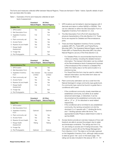<span id="page-8-0"></span>The forms and measures collected differ between Natural Regions. These are itemized in Table 1 below. Specific details of each item are listed after the table.

Table 1. Examples of forms and measures collected at each level of assessment.

|                                 | Grassland<br>Natural Region | All Other<br><b>Natural Regions</b> |
|---------------------------------|-----------------------------|-------------------------------------|
| <b>Detailed Plot</b>            |                             |                                     |
| 1. GPS location                 | Yes                         | Yes                                 |
| 2. Site Description Form        |                             | Yes                                 |
| 3. Vegetation Inventory<br>Form | Full                        | Full                                |
| 4. Plant community call         | Yes                         | Yes                                 |
| 5. Access Factor                | Yes                         | Yes                                 |
| 6. Riparian (%) and Health      | Yes                         | Yes                                 |
| 7. Range Health<br>Assessment   | Full                        | Full                                |
| 8. Forage Clip                  |                             | Yes <sup>*</sup>                    |
| 9. Plot Photographs             | Yes                         | Yes                                 |

|                                 | Grassland<br><b>Natural Region</b> | All Other<br><b>Natural Regions</b> |
|---------------------------------|------------------------------------|-------------------------------------|
| <b>Reconnaissance Plot</b>      |                                    |                                     |
| 1. GPS location                 | Yes                                | Yes                                 |
| 2. Site Description Form        |                                    | Yes                                 |
| 3. Vegetation Inventory<br>Form | Yes, transect<br>omitted           | Yes, transect<br>omitted            |
| 4. Plant community call         | Yes                                | Yes                                 |
| 5. Access Factor                | Yes                                | Yes                                 |
| 6. Riparian (%) and Health      | Yes                                | Yes                                 |
| 7. Range Health<br>Assessment   | Full                               | Full                                |
| 8. Forage Clip                  |                                    | Yes*                                |
| 9. Plot Photographs             | Yes                                | Yes                                 |

|                            | Grassland<br><b>Natural Region</b> | All Other<br><b>Natural Regions</b> |
|----------------------------|------------------------------------|-------------------------------------|
| <b>Visual Plot</b>         |                                    |                                     |
| 1. GPS location            |                                    |                                     |
| 2. Site Description Form   |                                    |                                     |
| 3. Vegetation Inventory    | Optional                           | Optional                            |
| Form                       |                                    |                                     |
| 4. Plant community call    | Yes                                | Yes                                 |
| 5. Access Factor           | Yes                                | Yes                                 |
| 6. Riparian (%) and Health | Yes                                | Yes                                 |
| 7. Range Health            | Rating                             | Rating                              |
| Assessment                 |                                    |                                     |
| 8. Forage Clip             |                                    |                                     |
| 9. Plot Photographs        | Optional                           | Optional                            |

- 1. GPS locations are formatted in decimal degrees with 5 decimals and datum is either NAD83 or WGS84. This can be collected on either the Site Description Form or Vegetation Inventory Form (Section 3.1, 3.2).
- 2. The Site Description Form (PLD 021) describes the physical characteristics of the site (Section 3.1). These forms are required for Detailed and Reconnaissance plots.
- 3. There are three Vegetation Inventory Forms currently available; MF5-PL, Prairie MF5, and Prairie/Rocky Mountain MF5. The Grassland Natural Region uses the Prairie MF5 or Prairie/Rocky Mountain MF5; the other Natural Regions use any of the three (Section 3.2).
	- For Detailed Plots it is recommended that this form is filled out entirely, including the detailed transect information. The transect information can be omitted at the Reconnaissance level of assessment because a Reconnaissance Plot is linked to a Detailed Plot within the nearby area or at the same location in a previous survey.
	- For Visual Plots this form may be used to collect the relevant information, but the entire form does not have to be filled out.
- 4. Plant community estimation can be a code from the Natural Subregion's range community type guide book. If a community type cannot be found in a guide then a conditional call is used.
	- If the conditional community closely resembles an established community, but either at an earlier/ advanced seral stage, or disturbed, it can be documented as the established community code with a 'D" or 'S" for disturbed or seral related respectively.
	- If the conditional call is not linked to any established community, the naming convention is to list the dominant 2 or 3 species with "/" dividing life-forms, and "-"dividing species within life-forms. The appropriate Ecosite Phase is determined in order to set the ESSR.
- 5. Access factors provide an overview measure of how well livestock are able to access the polygon due to water and landscape constraints. The ratings are from 0 to 10, zero being no access and 10 being full access. This information is used to fill out the Range Management Form (Section 2.3.2). This data is not formally captured on the Vegetation Inventory Form, although cattle access is rated as good / fair / poor on the back page. This rating can be also included in this area as "AF= 0 - 10".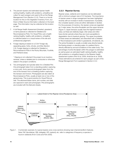- <span id="page-9-0"></span>6. The percent riparian and estimated riparian health ranking (healthy, healthy with problems, unhealthy) are collect for each polygon and used to fill out the Range Management Form (Section 2.3.2). There is no formal location for this on the Vegetation Inventory Form, but there is Water Source information collected on the back page. This information may be collected at this location as well.
- 7. A full Range Health Assessment (forested, grassland, or tame pasture) is collected for Detailed and Reconnaissance Plots. For Visual Plots, just a health ranking (healthy, healthy with problems, unhealthy) is collected based on a visual review of the site and professional judgement.
- 8. Forage clipping is based on a 0.5m² forage clip, separating grass, forbs, shrubs, and litter (Section 3.3). Forage clipping is collected for Detailed or Reconnaissance Plots in the Rocky Mountain, Foothills, and Parkland areas.

\* Clipping is not collected if the project is an inventory renewal, unless a detailed plot is conducted or otherwise stated in the project conditions.

9. Two photographs are typically taken for a Detailed Plot. One photograph taken from a standing position capturing a micro plot. And a second photograph taken from the end of the transect from a kneeling position capturing the transect and horizon. Photographs are also taken at Reconnaissance Plots, usually at least one or two of the general area. This is good practice for Visual Plots as well. The allotment/lease name, plot number, and date are captured in each plot photograph. Plot photographs are included with the field plot sheets.

## 2.2.3 Riparian Survey

Riparian areas, wetlands and meadows can be delineated with a minimum polygon size of 0.5 hectares. The importance of riparian areas in range management has been highlighted recently with an increase in levels of assessment. If possible, the complete riparian zones are either delineated or deciled. For the purposes of inventory, the riparian zones are regarded as 2 major areas, the active floodplain and the upper terraces (Figure 1). Upper terraces usually have the highest livestock value, as these are relatively larger, drier areas and often have shorter periods where they are most susceptible to degradation due to livestock grazing. The upper boundaries of these areas are delineated, and described with a Detailed or Reconnaissance plot similar to grasslands, shrublands, etc. The active floodplain is usually a smaller area directly beside the flowing stream or standing water of a wetland that is directly affected by annual inundations of the water body. The percentage of active floodplain within the polygon is estimated as well as given an estimated health ranking (healthy, healthy with problems or unhealthy) based on the Riparian Health Assessment system (Fitch et al. 2009, Ambrose et al. 2009). These estimations are entered for each polygon as part of the Range Management Form explained in Section 2.3.2.



Figure 1. A schematic example of a typical riparian zone cross sections showing near-channel landform features. Note: FAC (facultative), OBL (obligate), UPL (upland), etc. refer to categories of frequency a species is found in wetlands (From Cows and Fish 2005).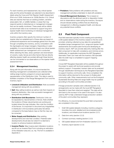<span id="page-10-0"></span>For each inventory and reassessment, key critical riparian sites and the active floodplain are selected to be described in detail using the Cows and Fish Riparian Health Assessment (Fitch et al. 2009, Ambrose et al. 2009) (Section 3.5). Critical sites are reaches that have an existing problem, sensitive areas (plant, fish, or wildlife habitat), or areas that may respond quickly to disturbances or management changes that can be readily monitored. These areas will be utilized as benchmark sites to be monitored to support long term riparian health trend monitoring on individual management units within the inventory area.

Inventory projects often specify the minimum number of riparian sites but establishment of these sites are based on professional experience and knowledge gained from the area through completing the inventory, and by consultation with the Agrologists and range managers. Depending on water availability, it is recommended that at least one critical riparian health assessment per management unit is conducted. When selecting the sites, areas upstream and downstream of culverts, roads, fences and other factors that are directly affecting riparian health are avoided although these factors can be commented on as observations on the riparian health assessment form.

## 2.2.4 Management Inventory

Along with the plot information, it is recommended the following management considerations are collected while visiting range inventory polygons to ensure appropriate representation of the Distribution Units. This data is used to facilitate completion of the Range Management Form and the inventory report.

- Livestock Utilization and Distribution: Note successful management along with any problems.
- Salt: Map salting locations as well as note their impacts on livestock distribution. Also note successful management along with any problems.
- **Distribution Unit Boundaries: Distribution Units can** be separated by natural barriers or fences. Note whether the locations of these natural barriers are working and located where the map indicates. Also note the condition of the fences. It is important to document any irregularities in Distribution Unit boundaries particularly fencelines compared to the base feature map so that the map can be corrected.
- Water Supply and Distribution: Map existing developments and note their condition. Potential water developments should also be noted if it is deemed a location to enhance livestock distribution.
- **Invasive Plants:** Map invasive plant infestation locations and fill out an Invasive Plant Form including an estimation of the infestation area (m2, ac, ha). The form is available in Appendix 2.
- Predators: Note problems with predators and any management activities undertaken to deal with predators.
- Overall Management Summary: This is based on discussions with the allotment permit or disposition holder and on observations made during the inventory. Surveyors should indicate existing conflicts that are influencing management or affecting rangeland health, and discuss any potential future conflicts.

# 2.3 Post Field Component

Post field exercises typically involve creating and submitting a GIS spatial dataset of the inventory based on the line work provided, entering collected survey data into spreadsheet templates (range management form, range and riparian health assessments and invasive plant forms) and developing an inventory report. AEP can provide data entry training after the field component to help with consistency and minimize errors. Additionally, for applicable inventories the AEP Rangeland Geomatics Team can meet with the inventory GIS specialist after the draft map is completed to support mapping consistency.

A local AEP Rangeland Specialist will be available throughout the project to assist with technical questions and provide advisory support. If requested, transect data can be analysed through classification techniques by the Rangeland Specialist to support inventory community calls. Once completed, this information will be returned to the surveyor to finalize plant community calls. Other measurements such as the Ecological Sustainable Stocking Rate and range health may be updated according to the plant communities provided.

If forage production samples were collected (section 3.3), arrangements can be made with the local AEP Rangeland Specialist to have them dried and weighed. This data will be sent back to the surveyor to be used in the report. It is also used by AEP to help understand forage production variation of the plant communities they represent.

For efficiency, it is recommended the post field components are completed in this order:

- 1. Draft GIS spatial datasets including: inventory polygons; boundary line work; detailed and reconnaissance plot locations, and infrastructure locations (section 2.3.1)
- 2. Data form entry (section 2.3.2)
- 3. Contract summary meeting (section 2.3.3)
- 4. GIS spatial dataset and form finalization (section 2.3.4)
- 5. Inventory report (section 2.3.5)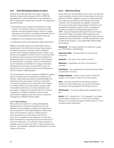# <span id="page-11-0"></span>2.3.1 Draft GIS Spatial Dataset Creation

Working with a GIS specialist, the surveyor maps and attributes range inventory polygons within an ESRI File Geodatabase. The draft spatial data can be submitted to AEP for specification analysis and comment. The spatial data typically includes:

- Topologically correct polygons representing the range inventory. The dataset usually encompasses the entire allotment with each polygon having a unique id. Polygon attributes are formatted in a provided spreadsheet and are linked to the geodatabase by the polygon unique ids.
- Detailed and reconnaissance plot locations
- Infrastructure points accompanied by feature descriptions.

Mapping is typically based on the initial range inventory polygons given. As mentioned previously, these polygons are based on previous inventories, Alberta Vegetation Inventory (AVI), Grassland Vegetation Inventory (GVI), or the Primary Land Vegetation Inventory (PLVI). It is recommended for allotment range inventories that the GIS Guidelines for Range Inventories in the Rocky Mountains Forest Reserve are reviewed prior to mapping in order to understand the recommendations and limitations for polygon delineation. Starting this process early in the post field process can ensure time to communicate if there are any discrepancies with the created or edited polygons.

The recommended minimum mapping unit (MMU) for upland sites is 2 hectares and for wetlands and meadows is 0.5 hectares. Discernable areas above the specified MMU are detailed as clearly as possible. Deciles are used if plant community boundaries are not discernible on the imagery or mottling of plant communities within a polygon make it impossible to delineate. Up to three deciles are used per polygon. Polygons are contained within the corrected management unit (field or distribution unit) boundary outline (even if vegetation type is the same it is assumed management is different between fields).

#### 2.3.1.1 Point Features

Plot locations are captured in a GIS spatial database attributed with the unique plot identifier and plot type (Detailed or Reconnaissance). Infrastructure features can also be captured in a GIS spatial database. Infrastructure that is recommended to capture is salting locations, water developments, and any fence point that may document an irregularity in the distribution unit boundary. Recommendations on capturing infrastructure features can be found in Appendix 4. For allotment range inventories, a shapefile can be provided from AEP to capture infrastructure features. This shapefile is available to be uploaded on to some models of GPS units.

## 2.3.2 Data Form Entry

Survey forms can be submitted by the surveyor. For allotment range inventories, surveyors are no longer asked to enter plot data into ECOSYS. Vegetation Inventory and Site Information Form data may be entered by AEP directly into ECOSYS. Therefore, form completeness and legibility is important. The surveyor enters select data collected on field forms into spreadsheet templates provided by AEP. A spreadsheet template is provided for the Range Management Form (RMF), range and riparian health assessments and invasive plant forms. Range and riparian health assessment and invasive plant spreadsheet data corresponds directly with the assessment score sheet fields. The RMF spreadsheet is used to attribute the polygons. The possible RMF attribute fields are as follows:

Activity ID – The activity identifier of an allotment or lease (e.g. PNT000000 or GRL000000).

**Inspection Date** – The date when the inventory was conducted.

**Inspector** – The name of the inventory surveyor.

Allotment – If applicable, the name of the allotment surveyed.

Field Name – The management unit being inventoried (Field or Distribution Unit (DU)).

**Polygon Number** – Unique numeric used to identify the polygon. This number is unique for the entire project.

Area – The value calculated for the specific polygon is entered from the finalized map in acres and the hectares conversion is auto-populated in the following column.

Plot Number – The unique alphanumeric assigned to the plot.

**Decile** (1,2,3) - Number from 1-10 to represent % of polygon that the decile occupies (i.e.  $3 = 30$  per cent of polygon). Maximum of 3 deciles per Polygon, deciles add up to 10 for a complete polygon description.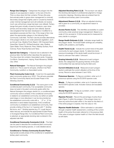**Range Use Category** – Categorizes the polygon into the degree of use expected in relation to the rest of the DU. This is a drop-down list that contains; Primary (the area that animals prefer to graze when management is minimal), Secondary (range that is lightly used or unused by livestock under minimal management and will ordinarily not receive much use until primary range has been over-utilized), Tertiary (range that goes virtually unused by livestock, even when primary and secondary range are over-utilized), Special Use (rangeland that has been developed or modified for a specialized purpose) and Non-Use. If the range is Non-Use select the appropriate category in the following Plant Community code field. The Non-Use list provides alternatives if the polygon decile is not under perennial vegetation, such as Annual Crop, Alkaline Pond, Beach, Cliff, Exposed Sand, Gravel Bar, Gravel Pit, Oil/Gas/Industrial, Lake, Shallow Open Water, Pond, Reservoir, River, Railway Surface, Rock Outcrop, Rural, Road Surface and Talus.

Special Use Category – If Special Use is selected in the previous field, this field further describes the special use. The drop-down list contains: Associated Lands, Cropping, Cut-Block, Development, Haying, Road Allowance, Wildlife Use, Other.

Natural Subregion – The Natural Subregion the polygon decile is in. This is used for all types, whether it be Plant Community, Landform or Associated Lands.

Plant Community Code (1,2,3) – Code from the applicable plant community guides (e.g. UFA7). This will auto-populate the Plant Community Name and Ecosite Phase in the following columns.

Conditional Community (1,2,3) – The name given to the conditional plant community. If an acceptable community does not exist in the plant community guide within the Natural Subregion the polygon decile is in, a conditional plant community name is entered. If the conditional community is related to an established community, but either an earlier seral stage or more disturbed, it can be documented as the established community code with a ' D" or ' S' for disturbed or seral related respectively. If the conditional community is unrelated to an established community, then provide a listing of the top 2 or 3 species with "/" dividing life-forms, and "-"dividing species (e.g. Pl / rough fescue – Idaho fescue), and indicate the appropriate Ecosite Phase or Ecological Range Site. If a Conditional Plant Community is selected, an appropriate stocking rate is entered in the adjusted rate field.

Conditional Community Comments (1,2,3) – This field can be used to describe the conditional plant community beyond just the leading species, or code detailed above.

Conditional or Tertiary Community Ecosite Phase – Appropriate ecosite phase of the conditional or established tertiary plant community.

Adjusted Stocking Rate (1,2,3) - The surveyor can adjust the stocking rate based on professional judgment or forage production clippings. Stocking rates are entered here for conditional and tertiary plant communities.

Adjustment Reason (1,2,3) - When an adjusted stocking rate is given for a community, an adjustment reason is provided.

Access Factor (1,2,3) - This identifies accessibility to a plant community under practical range management. Based on a scale of 0 (no access) to 10 (full access) and is measured for every decile in a polygon.

Range Health Estimate (1,2,3) – Indicates range health for the polygon decile. The broad health rankings are unhealthy, healthy with problems, and healthy.

Health Trend (1,2,3) - Indicate the current trend of the plant community for each polygon decile. To determine trend, previous knowledge of the decile health would be known. If trend is unknown then select 'Unknown'.

Grazing Intensity (1,2,3) - Measured at each polygon decile, this categorizes the grazing intensity of the plant communities that was derived during the field work.

**Current Utilization (1,2,3)** - Measured at each polygon decile to estimate the current utilization at the time of the survey. Record a value between 0 and 100%.

**Poisonous Species** – To flag as a problem, enter up to 3 poisonous species using the ECOSYS species code.

Weeds – To flag as a problem, enter up to 3 species using the ECOSYS species code. Includes noxious and escalated species.

Woody Regrowth – To flag as a problem, enter 1 species using the ECOSYS species code.

Riparian Percent – Record the percentage of active flood plain (Figure 1) within the polygon. If the polygon does not have any active flood plain within it, the value for this field is 0. If the entire polygon is riparian, then the value is 100.

Riparian Health Estimate – Either estimated or calculated through a riparian health assessment, a ranking of the current health of the active flood plain referred to in the previous field. If the value of polygon riparian health is 0 then this field should be left blank.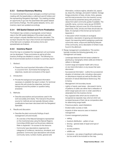# <span id="page-13-0"></span>2.3.3 Contract Summary Meeting

It is recommended the surveyor arranges a contract summary meeting with the leaseholders or allotment permit holders and the representing Rangeland Agrologist. The meeting provides an opportunity to go over the assembled GIS spatial dataset and inventory findings. The GIS spatial datasets, forms, and inventory report are updated accordingly.

# 2.3.4 GIS Spatial Dataset and Form Finalization

The finalized map contains a topologically correct feature class in the GIS spatial database of the project area with each polygon uniquely identified and its area calculated. The surveyor ensures the map is free of errors and representative of the field work completed. All inventory forms and spreadsheets are finalized.

# 2.3.5 Inventory Report

Once the map is completed the management unit summaries can be developed. These summaries as well as all other inventory findings are detailed in a report. The following is a list of recommended sections to include in a summary report:

- 1. Abstract:
	- Present the most important information of the report in a succinct form. Summarize the background, objectives, results and conclusions of the report.
- 2. Introduction:
	- Provide the background and general information necessary to establish the report context. For technical reports this will include the objectives, technical background and the problem or question being answered.
- 3. Methods:
	- Describe assumptions and procedures used in the work accurately and clearly. This manual is the primary source for methods and are typically followed unless modifications have been discussed with the Rangeland Specialist.
- 4. Results and discussion:
	- Describe the plant community findings of each management unit and include:
		- An overview of the Natural Subregions represented on the inventoried area using the Natural Regions Committee (2006) report as the primary reference. Refer to Appendix 1 for access to this resource.
		- Community type descriptions organized into categories of coniferous, deciduous, shrubland, and grassland. Community type descriptions will include: community name, number of plots, general soils

information, moisture regime, elevation (m), aspect (o), slope (%), drainage, and parent material. Average forage production of trees, shrubs, forbs, grasses, and the total production from the inventory survey clips should be presented along with production values from plant community guides if available. The scientific name, common name (as per ECOSYS Plant Species List) and cover (%) of the dominant graminoids, forbs, shrubs and trees should also be listed. An example of this format can be found in Appendix 3.

- A discussion which includes an ecological description, description of grazing and disturbance impact, the reasoning behind assigning a particular community name, unique and identifying features of the community, and a description of where it was found in the allotment.
- Range management considerations: This section typically includes the following (generally, on a management unit basis):
	- Landscape features that limit areas suitable for grazing (e.g. topography where cattle are limited to valleys or drainage)
	- Current range and riparian health with a focus on any trend information or any issues that were discovered
	- Successional information outline the successional situation of individual units, including a discussion on disturbance impacts as well as the effect that exclusion of natural disturbance factors (e.g. fire) is having
	- Management Unit boundary issues
	- Lightly or heavily used areas discussed in terms of patterns of cattle use rather than a reiteration of which range types are over or under used (this is obtainable from the inventory forms)
	- Any ungrazed sites which are too small to be recognized as separate map units but which are surveyed because of their role as comparative sites for determining range health
	- Poisonous plants, weed infestations
	- Eroded water courses or trails
	- Impacts of other resource uses on livestock management
	- Current management practices
		- » salting
		- » livestock distribution pattern of use
		- » fencing general state of repair and type of fencing
		- » access problems
		- » wildlife use
		- » inclusions any areas of significant cattle grazing but too small to be included on the map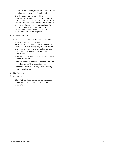- » discussion about any associated lands outside the allotment but grazed with the allotment
- Overall management summary: This section should identify existing conflicts that are influencing management or affecting rangeland health, as well as discuss any potential future conflicts. This section also includes any discussion about resource integration issues or other resource or land use impacts. Consideration should be given to resolution or follow-up on the issues where possible.
- 5. Recommendations:
	- Course of action based on the results of the work
	- Where and how use could be improved e.g. additional salt locations (in specific treed areas or drainages away from primary ranges), better livestock distribution, drift fences or improved fencing, water development, trail upgrading, changes to cattle management
		- Seasonal grazing and grazing management system recommendations
	- Resource integration recommendations that focus on promoting successful resource integration
	- Recommendations on controlling weeds, reducing resource conflicts, etc.
- 6. Literature cited
- 7. Appendices
	- Characteristics of map polygons and area (suggest that this appendix be done as an excel table)
	- Species list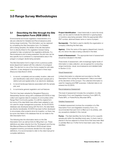# <span id="page-15-0"></span>3.0 Range Survey Methodologies

# 3.1 Describing the Site through the Site Description Form (RDB 2002-1)

Environmental and broad vegetation characteristics of a site are collected for Detailed and Reconnaissance plots during range inventories. This information can be captured by completing the Site Description form. If a Detailed plot is being sampled, the details of the site description form is directly linked to the vegetation transect being sampled to help complement the vegetative attributes. If a Reconnaissance plot is being assessed, the plot size can be less specific but is centered in a representative area in the polygon or polygon decile being sampled.

The Site Description form's origin is from a previous public lands department tasked with the collection of ecological data. The site form is one of four forms created for plot data collection. It was designed to be employed in three ways (Resource Data Branch 2003):

- 1. to record, completely and accurately, location, date and plot identification data which makes each sample plot a distinct plot and spatial entity in an electronic database,
- 2. to record landscape features associated with the sample plot, and
- 3. to summarize general vegetation and soil features

This form has been adopted by Rangeland Resource Stewardship Section along with a database (ECOSYS) to help collect and organize data for analysis of communities within Range Plant Community guides. It is still the original form but some of the data fields have either been adapted or are not used for range management purposes. As the ECOSYS database was developed along with this form, the data fields are directly transferable. ECOSYS has been further developed to encompass other projects since its inception, so there may be some new fields in the database that do not relate to the Site Description form.

The following lists the information items on the Site Description form as well as hints for filling them out. These definitions are taken directly from the "Ecological Land Survey Site Manual (Resource Data Branch 2003) except where rangeland inventory procedures deviate from the original definitions. It is recommended to refer to the cited manual for complete definitions.

**Project Identification** – Used historically to name the study area, can be used to indicate the allotment or grazing lease or inventory area being sampled. Write the appropriate GRL/ PNT number, allotment/lease name or name of project.

Surveyor(s) - This field is used to identify the organization or company collecting the field data.

Agency – Enter the name of the agency (department, branch, etc.) for whom the data is being collected in this field.

Level of Assessment - The appropriate level of assessment should be indicated in this field.

Three levels of assessment, with increasingly higher levels of information or data collection, are recognized for conducting range inventories: visual, reconnaissance and detailed (refer to Section 2.2.2).

#### Visual Assessment

Limited information is collected and recorded on the Site Description Form during this assessment. Data is recorded at the discretion of the surveyor. The collected information is used for mapping and RMF purposes. Collected data is not entered into ECOSYS.

#### Reconnaissance Assessment

This level of assessment includes the completion of a Site Description Form and Vegetation Inventory Form (MF5-PL, Prairie MF5, or Prairie/Rocky Mountain MF5).

#### Detailed Assessment

A detailed assessment involves the completion of a Site Description Form and Vegetation Inventory Form. It is recommended that each form is filled out in its entirety, with any exceptions detailed in this manual.

**Forms** – This field identifies the forms filled out for a specific sample plot within the identified study area. A check mark is placed in the box adjacent to those forms that have been filled or partially filled out. If other forms have been used, they are identified.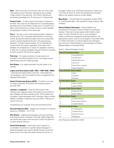<span id="page-16-0"></span>**Date** – Record the day of month first, then the month, both with leading zeros if necessary, followed by the complete 4 digit number of the year (e.g., 05/12/2001). Months are numbered sequentially from 01 (January) to 12 (December).

**Project Code** – A code unique to the project is entered in this field. This code can be obtained from a local Rangeland Specialist prior to the initiation of data entry. It consists of a 2 digit number followed by a 3 letter acronym, which identifies the geographic location of the study area.

**Plot #** – The site or plot number being sampled, related to a specific point. This 4 character alphanumeric is commonly a letter denoting the allotment/lease name and a sequential number uniquely identifying the plot in the grazing lease, allotment, or project being sampled. Do not duplicate this number within the project, regardless of the type of plot (detailed, reconnaissance, or visual). If a vegetation inventory or other form is being completed, this plot number is recorded on them as well to link the forms together.

**Plot Area** – For range inventories, the plot area is not recorded on the Site Description Form. The polygon area is determined during the mapping phase.

Plot Shape – For range inventories, the plot shape is not needed.

Legal Land Description (LSD / SEC / TWP/ RGE / MER)

– Describes the legal location of the plot. These fields are not needed but can be recorded if known to supplement the obtained GPS location.

Global Positioning System (GPS) - This field is not used for range inventories. All locations are acquired using an accurate GPS.

Latitude / Longitude – Enter the GPS location here. Latitude and Longitude location information are recorded for each Detailed and Reconnaissance plot. GPS locations are formatted in decimal degrees with 5 decimals. Datum is either NAD83 or WGS84. Projections such as UTM or TTM are not used on this form.

The following is an example of the recommended format:

Decimal Degrees (DD) – Degrees are recorded to 5 decimal places (i.e. 49.69500, -112.77778)

Site Photos – Digital plot photographs are documented by recording the photo number(s) in this field. Digital image files are named with project name and plot number and placed in a project specific directory.

Aerial Photography – Historically used to capture x-y coordinates of a plot from a specific aerial photograph. If aerial photography was used to identify the plot, record the aerial survey roll number (the letters followed by the four or

five digits number, (e.g. AS1514) and the photo number (e.g. 170) of the air photo on which the sampled plot is located. Refer to the original manual for further details.

Map Sheet – 1:50,000 National Topographic System (NTS) or 1:20,000 Base Map – Not needed for range inventory data collection

Natural Region/Subregion - Natural Regions are recognized on the basis of broad variations in landscape features. There are 6 natural regions within Alberta. Each region is further divided into two or more subregions based on distinctive subregional landscape patterns. The appropriate numeric code for the subregion is recorded (Table 2). Further information on natural regions and subregions may be found in Natural Regions and Subregions of Alberta (Natural Regions Committee 2006).

Table 2. Natural Subregion Codes

| <b>Boreal Forest Natural Region</b>   |                           |  |  |  |  |
|---------------------------------------|---------------------------|--|--|--|--|
| 1                                     | Central Mixwood           |  |  |  |  |
| 2                                     | Dry Mixwood               |  |  |  |  |
| 3                                     | Wetland Mixwood           |  |  |  |  |
| 4                                     | Sub-Arctic                |  |  |  |  |
| 5                                     | Peace River Lowlands      |  |  |  |  |
| 6                                     | <b>Boreal Highlands</b>   |  |  |  |  |
| <b>Rocky Mountain Natural Region</b>  |                           |  |  |  |  |
| $\overline{7}$                        | Alpine                    |  |  |  |  |
| 8                                     | Subalpine                 |  |  |  |  |
| 9                                     | Montane                   |  |  |  |  |
| <b>Foothills Natural Region</b>       |                           |  |  |  |  |
| 10                                    | <b>Upper Foothills</b>    |  |  |  |  |
| 11                                    | Lower Foothills           |  |  |  |  |
| <b>Canadian Shield Natural Region</b> |                           |  |  |  |  |
| 12                                    | Athabasca Plain           |  |  |  |  |
| 13                                    | Kazan Upland              |  |  |  |  |
| <b>Parkland Natural Region</b>        |                           |  |  |  |  |
| 14                                    | <b>Foothills Parkland</b> |  |  |  |  |
| 15                                    | Peace River Parkland      |  |  |  |  |
| 16                                    | Central Parkland          |  |  |  |  |
| <b>Grasslands Natural Region</b>      |                           |  |  |  |  |
| 17                                    | Dry Mixedgrass            |  |  |  |  |
| 18                                    | <b>Foothills Fescue</b>   |  |  |  |  |
| 19                                    | Northern Fescue           |  |  |  |  |
| 20                                    | Mixedgrass                |  |  |  |  |

(from Resource Data Branch 2003)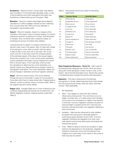<span id="page-17-0"></span>Ecodistrict – Record if known. A three-letter code defines each ecodistrict. For the three letter allowable codes, a map of the ecodistricts and further descriptive information see Ecodistricts of Alberta (Strong and Thompson 1995).

**Elevation** – Record in meters using height above ellipsoid calculations on GPS if available. Indicate on form if attaining from a source other than GPS such as an altimeter or topographic map (indicate scale).

Aspect – Record in degrees. Aspect is a measure of the orientation of the slope, using a compass reading. It is used to indicate the direction of exposure of a slope. This information is valuable, when combined with a measure of slope, for predicting the amount of incident solar radiation.

Level ground has no aspect. For slopes of less than one percent, enter a zero in the aspect field. On sites with a slope of one percent or more, enter a numeric value for aspect. A value of 360° is due north, 90° is due east, 180° is due south, and 270° is due west. Enter the compass bearing of the estimated aspect of the slope to the nearest degree. Ensure the compass is set to the current proper declination. Current declination information may be obtained from recent NTS or Access maps, or from web sites, which provide the calculations to determine the current declination of a specific location (e.g. Natural Resources Canada, Centre for Topographic Information). The current declination reflects any annual changes in declination and local magnetic variations.

Slope - Record in percent slope. This can be attained through the use of a clinometer. A slope of 0 is recorded for those sites which have no slope (a level site). If degree slope is attained, convert to percent using a conversion table. Refer to the original manual for further details.

Regen 1,2,3 – Average height and % cover of deciduous and coniferous regenerating tree species are recorded here. Use Alberta Vegetation Inventory mapping species codes (See Table 3).

Table 3. Tree species names and codes for describing regeneration.

| Code | <b>Common Name</b>     | <b>Scientific Name</b> |
|------|------------------------|------------------------|
| Sw   | <b>White Spruce</b>    | Picea glauca           |
| Se   | Engelmann spruce       | Picea engelmannii      |
| Sb   | <b>Black spruce</b>    | Picea mariana          |
| PI   | Lodgepole pine         | Pinus contorta         |
| Pi   | Jack pine              | Pinus banksiana        |
| Pa   | Whitebark pine         | Pinus albicaulus       |
| Pf   | Limber pine            | Pinus flexilis         |
| Fb   | Balsam fir             | Abies balsamea         |
| Fa   | Alpine (subalpine) fir | Abies lasiocarpa       |
| Fd   | Douglas fir            | Pseudotsuga menziesii  |
| La   | Alpine larch           | Larix Iyallii          |
| l t  | Tamarack               | Larix Iaricina         |
| Lw   | Western larch          | Larix occidentalis     |
| Aw   | Trembling aspen        | Populus tremuloides    |
| Ph   | Balsam poplar          | Populus balsamifera    |
| Bw   | Paper (white) birch    | Betula papyrifera      |

Data Categories (Exposure – Factor 2) – Valid codes for the following data categories are numeric. Most are shown along with a brief description of each numeric code, on the bottom half of the Site Description Form. Record the number in the field that best corresponds with the sites description.

Exposure - If the site is influenced by the following atmospheric or climatic related exposure factors that deviate from the typical (zonal) climate, enter that value, otherwise choose 1 (Not Applicable).

- 1. Not Applicable
- 2. Wind This category is used if the site is directly influenced by strong winds. This commonly occurs on ridges, mountain tops, or in areas where wind funneling occurs due to the convergence of valleys in the direction of wind flow. Common vegetation indicators are plant of reduced height or gnarled growth form, tree tops and branches oriented downward, and vegetation reflecting a drier environment.
- 3. Insolation Sites that are influenced by solar radiation far greater than level ground. Generally applies to south facing slopes between 20 and 100%. Common vegetation indicators are vegetation from drier more heat tolerant environments (often grass dominated) and reduced tree growth.
- 4. Frost Refers to areas of cold air accumulation in valley bottoms and depressions in the landscape. Vegetation indicators include tree, shrub and forb species more indigenous to cooler areas. Frost cracks on the trunks of trees may also be present.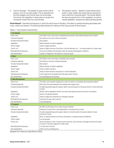- <span id="page-18-0"></span>5. Cold air drainage – This applies to areas where cold air passes, such as mountain gullies. This is separate from the frost category and cold air does not accumulate. Commonly, the vegetation in these areas is usually from somewhat moister than the zonal climates.
- 6. Atmospheric toxicity Applies to areas influenced by acidic or basic rainfall. Also areas that are exposed to toxic fumes from industrial plants. This toxicity affects the type and growth form of the vegetation, as well as causes defoliation, disease and dead standing species.

Flood Hazard - Describe the frequency in which the site if prone to flooding. This refers to overland flooding associated with rivers, creeks and streams. The following table itemizes the indictors of the various levels of flood hazard.

| 1. No Hazard                 |                                                                                                                                                |  |  |
|------------------------------|------------------------------------------------------------------------------------------------------------------------------------------------|--|--|
| Litter cover                 | Thick litter cover, lower layer completely decomposed. Soil profile development is evident                                                     |  |  |
| Overbank deposits            | No evidence of recent overbank deposits                                                                                                        |  |  |
| Fluvially transported debris | Not present                                                                                                                                    |  |  |
| Vegetation                   | Mature stands of upland vegetation                                                                                                             |  |  |
| Terrain height               | Areas of higher elevation                                                                                                                      |  |  |
| Terrain unit                 | Areas of higher terraces, fluvial fans, colluvial deposits, etc Unusually adjacent to valley walls.                                            |  |  |
| Estimated flood frequency    | This unit is unlikely to be flooded under the present hydrological conditions.                                                                 |  |  |
| Soil classification          | Usually no Regosolic; will depend on area surveyed                                                                                             |  |  |
| 2. Rare                      |                                                                                                                                                |  |  |
| Litter cover                 | Thick litter cover, lower layer completely decomposed                                                                                          |  |  |
| Overbank deposits            | No evidence of recent overbank deposits                                                                                                        |  |  |
| Fluvially transported debris | Not present                                                                                                                                    |  |  |
| Vegetation                   | Mature stands of upland vegetation                                                                                                             |  |  |
| Terrain height               | Areas of higher elevation                                                                                                                      |  |  |
| Terrain unit                 | Areas of lower terraces, fluvial fans or colluvial deposits                                                                                    |  |  |
| Estimated flood frequency    | In the range of 50 to greater than 200 years return interval                                                                                   |  |  |
| Soil classification          | CumulicRegosols; Brunisolics                                                                                                                   |  |  |
| 3. May Be Expected           |                                                                                                                                                |  |  |
| Litter cover                 | Thin litter cover present ranging from recent to partly or completely decomposed material                                                      |  |  |
| Overbank deposits            | Silt and/or fine sand deposits inter-bedded with organic litter                                                                                |  |  |
| Fluvially transported debris | Fluvially deposited logs and organic debris may be present on the ground and in lower branches<br>of trees.                                    |  |  |
| Vegetation                   | Mostly mature vegetation stands, but with some species typical of primary colonization                                                         |  |  |
| Terrain height               | Areas of moderate elevation                                                                                                                    |  |  |
| Terrain unit                 | Areas of valley floor dissected by drainage channels                                                                                           |  |  |
| Estimated flood frequency    | Less than 50 year return interval                                                                                                              |  |  |
| Soil classification          | CumulicRegosols                                                                                                                                |  |  |
| 4. Frequent                  |                                                                                                                                                |  |  |
| Litter cover                 | No litter to a thin layer of non-decomposed material                                                                                           |  |  |
| Overbank deposits            | Presence of recent silt or sand depositions. Occasional scour holes                                                                            |  |  |
| Fluvially transported debris | Fluvially deposited logs and organic debris on channel banks Occasional debris in lower<br>branches of trees.                                  |  |  |
| Vegetation                   | None, or species typical of primary colonization; or species typical of wetlands                                                               |  |  |
| Terrain height               | Low lying areas                                                                                                                                |  |  |
| Terrain unit                 | Active floodplain or fans. Includes active channels, side channels, drainage channels and areas<br>of march or swamps adjacent to valley walls |  |  |
| Estimated flood frequency    | 1-3 year return interval                                                                                                                       |  |  |
| Soil classification          | Orthic and CumulicRegosols                                                                                                                     |  |  |

Table 4. Flood hazard characteristics

(adapted from Resource Data Branch 2003).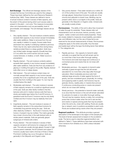**Soil Drainage** - The official soil drainage classes of the Canada Soil Survey Committee are used for this category. These have been defined by the Land Resource Research Institute (Day 1982). These classes are defined in terms of actual moisture content in excess of field capacity, and the extent of the period during which such excess water is present in the plant – root zone. This measure incorporates other soil characteristics such as permeability, level of groundwater, and seepage. The soil drainage classes are as follows:

- 1. Very rapidly drained The soil moisture contents seldom exceeds field capacity in any horizon except immediately after water additions. Water is removed from the soil very rapidly in relation to supply. Excess water flows downward very rapidly if underlying material is pervious. There may be very rapid subsurface flow during heavy rainfall provided there is a steep gradient. Soils have very limited water storage capacity (Usually less than 2.5 cm) within the control section and are usually coarse textured, or shallow, or both. Water source is precipitation.
- 2. Rapidly drained The soil moisture contents seldom exceeds field capacity in any horizon except immediately after water additions. Soils are free from any evidence of gleying or mottling throughout the profile. Rapidly drained soils often occur on steep slopes.
- 3. Well drained The soil moisture content does not normally exceed field capacity in any horizon (except possibly the C) for a significant part of the year. Soils are usually free from mottling in the upper 1m, but may be mottled below this depth.
- 4. Moderately well drained The soils moisture in excess of field capacity remains for a small but significant period of the year. Soils are often faintly mottled in the finetextures soils and in medium texture soils that have a slowly permeable layer below the A and B horizons. In grassland soils the B and C horizons may be only faintly mottled and the A horizon may be relatively thick and dark.
- 5. Imperfectly drained The soil moisture in excess of field capacity remains in the subsurface horizons for moderately long periods during the year. Soils are often distinctly mottled in the B and C horizons; the Ae horizon, if present may be mottled. The matrix generally has a lower chroma than in the well-drained soils on similar parent materials. Soils are generally gleyed subgroups of mineral soils orders.
- 6. Poorly drained The soil moisture in excess of field capacity remains in all horizons for a large part of the year. The soils are usually strongly gleyed. Except in high chroma parent materials, the B if present and upper C horizons usually have matrix chromas of three or fewer. Prominent mottling may occur throughout. Soils are generally in the Gleysolic and Organic order.

7. Very poorly drained – Free water remains at or within 30 cm of the surface most of the year. The soils are usually strongly gleyed. Subsurface horizons usually are of low chroma and yellowish to bluish hues. Mottling may be present within 30cm or at depth in the profile. Soils are generally in the Gleysolic or Organic order, mineral soils are usually a peaty phase.

**Perviousness** - The ability of the soil to allow free movement of water through its substrate. These classes refer soil characteristics such as structure, texture, porosity, cracks, organic matter content and shrink-swell properties. These are closely related to measures of permeability, percolation rate, and infiltration rate, but the use of these terms are reserved for the actual measurements of these. Perviousness categories apply to the entire soil profile, thus the least permeable layer will be the layer the limiting factor that defines it. The categories are:

- 1. Rapidly pervious the capacity to transmit water vertically is so great that the soil will remain wet for no more than a few hours after thorough wetting. The horizons and soils have large and continuous or connected pores and cracks that do not close with wetting.
- 2. Moderately pervious the capacity to transmit water vertically is great enough that the soil will remain saturated for no more than a few days after thorough saturation. Most moderately pervious soils hold relatively large amounts of water against the force of gravity, and are considered good, physically, for rooting and supplying water to plants. Soil horizons may be granular, blocky, weakly platy or massive (but porous) if continuous conducting pores or cracks are present which do not close with wetting.
- 3. Slowly pervious the potential to transmit water vertically is so slow that the horizon or the soil will remain saturated for periods of a week or more after thorough wetting. The soil may be massive, blocky or platy, but connecting pores that conduct water when the soil is wet are few, and cracks or spaces among peds that may be present when the soil is dry, close with wetting. Roots are usually few or absent, even in positions accessible to plant roots. Roots are localized along cracks when they are present.

Regional Landform – This attribute provides a general description of the landscape in the region of the sample plot. This level of terrain assessment is based on the ecodistrict scale. The terms used to describe regional landform are defined in Table 5. These definitions have been extracted with minor revisions from Shields et al. (1991) unless indicated otherwise.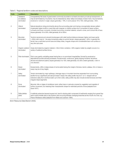<span id="page-20-0"></span>Table 5. Regional landform codes and descriptions.

| Code | Landform                               | <b>Description</b>                                                                                                                                                                                                                                                                                                                                                                                     |
|------|----------------------------------------|--------------------------------------------------------------------------------------------------------------------------------------------------------------------------------------------------------------------------------------------------------------------------------------------------------------------------------------------------------------------------------------------------------|
| 1    | Tableland<br>(or plateau)<br>dominated | Comparatively flat areas of great extent commonly bounded on at least one side by an abrupt escarpment, or<br>may be terminated by mountains; may be dissected by deep valleys and deeply incised rivers; may be tectonic,<br>erosional or volcanic in origin; slopes generally < 10%, in some places 10 to 15%; relief generally < 50m.                                                               |
| 2    | Hilland<br>dominated                   | Natural elevations rising prominently above the surrounding plain and having a recognizably denser pattern<br>of generally higher knolls or crest lines with irregular or chaotic surface form composed of upper surface<br>convexity and lower concavity; includes hummocky morainal material, volcanic cones, and conical hills of lava;<br>slopes generally 10 to 30%; relief generally 30 to 300m. |
| 3    | Mountain<br>dominated                  | Tectonic (erosional and volcanic) landscapes with relief (vertical distance between higher and lower parts)<br>> 300m with most of the area comprising valley to summit terrain; slopes generally > 30%. In general the<br>terrain has a restricted summit area and steep sides, irregular shape and considerable bare rock surface or<br>very thin soil cover.                                        |
| 4    | Organic wetland<br>dominated           | Areas dominated by organic material > 40cm thick; contains > 30% organic matter by weight; occurs in a<br>variety of wetland surface forms.                                                                                                                                                                                                                                                            |
| 5    | Plain dominated                        | Flat to very gently undulating areas having few or no prominent irregularities; formed by erosional or<br>depositional (constructional) processes; include broad, continuous, gently sloping morainal, lacustrine,<br>alluvial and piedmont plains; slopes generally 0 to 15%; relief generally 3 to 30m; extent generally > 5km in<br>one direction.                                                  |
| 6    | Scarp<br>dominated                     | Escarpments, cliffs or steep slopes of some extent along the margin of terrace, bench, plateau, hill, or mesa; a<br>scarp may be of any height.                                                                                                                                                                                                                                                        |
| 7    | Valley<br>dominated                    | Terrain dominated by major spillways, drainage ways or mountain trenches separated from surrounding<br>landforms by a significant and abrupt break in slope; the valley profile may be V- or U- shaped with an<br>extensive valley floor and flood plain up to 5km wide; valley profile may also include eroded terraces and their<br>irregular slope segments.                                        |
| 8    | Dune<br>dominated                      | Mounds, hills or ridges of windblown sand, either bare or variously covered by vegetation and capable of<br>further movement, but retaining their characteristic shape for extended periods of time (adapted from<br>David 1977).                                                                                                                                                                      |
| 9    | Delta (deltaic<br>plain)               | A relatively extensive (several square km), level to sloping plain composed of sediments ranging from gravel (top<br>set) to sand (middle set) to clay (bottom set) occurring between diverging branches at the mouth of a river, e.g.<br>Peace-Athabasca delta (adapted from Bates and Jackson 1984).                                                                                                 |

(from Resource Data Branch 2003).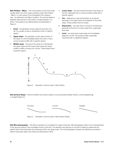<span id="page-21-0"></span>**Site Position – Meso** – This is the position at the local scale, usually within one of the major positions under Site Position - Macro. In some areas of low topography this measure may be identical to the Macro position. The vertical distance between high and low in this scale is usually between 3 to 300m. The positions are defined below and illustrated in Figure 2.

- 1. **Crest** the generally convex uppermost portion of a hill, it is usually convex in all directions with no distinct aspect.
- 2. **Upper slope** the generally convex upper portion of the slope of a hill immediately below the crest. It has a convex surface profile with a specific aspect.
- 3. **Middle slope**  $-$  the area of the slope of a hill between the upper slope and the lower slope where the slope profile is neither concave nor convex. These slopes have a specific aspect.
- 4. **Lower slope** the area toward the base of the slope of the hill. It generally has a concave surface profile with a specific aspect.
- 5. **Toe** defined by a clear demarcation by an abrupt decrease in the slope below and adjacent to the lower slope. These profiles have low slope.
- 6. **Depression** any area that is concave in all directions; generally at the foot of a meso scale hill or a generally level area.
- 7. **Level** any level meso scale areas not immediately adjacent to a hill. The surface profile is generally horizontal with no significant aspect.



Site Surface Shape – Record whether the surface shape is concave (predominately hollow), convex (steepening), or straight (Figure 3).



Figure 3. Illustration of terms used in Site Surface Shape.

Site Microtopography - This field is typically not completed for range inventories. Microtopography refers to the characteristics of the ground surface in the immediate vicinity of the plot. The elevation and spacing of mounds is utilized to determine the pattern which best describes the landscape at this very large scale. The microtopography classes and definitions provided in Table 6 have been taken from Resource Data Branch 2003.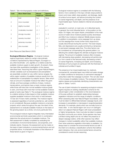<span id="page-22-0"></span>

|  |  |  |  |  |  | Table 6. Site microtopography codes and definitions. |
|--|--|--|--|--|--|------------------------------------------------------|
|--|--|--|--|--|--|------------------------------------------------------|

| Code | <b>Micro Relief Class</b> | <b>Mound</b><br>Height (m) | Spacing<br>Between (m) |
|------|---------------------------|----------------------------|------------------------|
| 1    | level                     | Few                        | None                   |
| 2    | micro mounded             | < .3                       |                        |
| 3    | slightly mounded          | $.3 - 1$                   | > 7                    |
| 4    | moderately mounded        | $.3 - 1$                   | $3 - 7$                |
| 5    | strongly mounded          | $.3 - 1$                   | $1 - 3$                |
| 6    | severely mounded          | $.3 - 1$                   | $.3 - 1$               |
| 7    | extremely mounded         | >1                         | > 3                    |
| 8    | ultra mounded             | >1                         | $<$ 3                  |

(from Resource Data Branch 2003)

Ecological Moisture Regime - Ecological moisture regime (hygrotope), relative to certain macroclimatic conditions represented by Natural Region, Ecoregion or any other bioclimatic unit, signifies on a relative scale the available moisture supply to plant growth. At present, there has been little quantitative investigation of the classes described here. Assuming that within a given Natural Region, climatic variables such as temperature and precipitation are essentially constant (or vary within narrow ranges), the within-region variation of available moisture results from the redistribution of precipitation by edaphic factors. Sites which have an amount of available moisture that reflect the given climate, and have average conditions of slope, moisture translocations, and texture have a mesic moisture regime, while those with less than normal available moisture grade to xeric, and those with more than normal available moisture grade to hydric (see Table 7). The ecological moisture regime is a relative ranking of sites based on their available moisture supplies (available moisture is that which is held between 1/3 bar and 15 bars matric potential). The moisture regime is assessed regardless of osmotic potential (i.e. salt content is not considered). Because available moisture is a dynamic property which varies throughout the year, the intent of the assessment is to evaluate available moisture on the basis of the growing season as a whole, not at any particular time.

The ecological moisture regime integrates many interrelated environmental and biotic parameters which in combination determine the actual amount of available moisture. The field assessment is ideally completed by evaluating the combination of environmental factors, soil properties, and indicator plants. However, the assessment can be made on the basis of plant indicators or environmental factors and soil properties alone. A schematic illustration of the influence of these factors is given in Figure 4.

Ecological moisture regime is correlated with the following factors: micro-variations in the topo-climatic slope positions (macro and meso relief), slope gradient, soil drainage, depth of surface humus layers, soil texture (including the content of coarse fragments), soil depth, and the presence of an impermeable layer. Factors related to internal soil properties can be

evaluated in a soil pit, on road cuts, or in disturbed spots. In general, the most influential factor is the position on the slope. On ridges, and upper slopes, precipitation is the main source of water since moisture passes quickly downslope and little if any moisture is retained. Middle slopes receive, in addition to precipitation, some seepage from up-slope, but this seepage flow moves further down slope and is usually discontinued during the summer. The lower slopes, flats, and depressions are usually enriched by a temporary or permanent seepage water flow. The other factors can be considered as compensating this general pattern, (i.e. affecting the variable degree the ultimate ecological moisture regime). The amount of available moisture often increases with decreasing slope gradient, decreasing soil particle size (i.e. from coarse to fine textured soils), decreasing content of coarse fragments, increasing soil depth, and increasing thickness of humus layers (in particular with the thickness of colloidal and humified H-layer).

The presence of an impermeable layer (i.e. bedrock, compacted till, cemented layer) may inhibit soil water storage or create conditions for temporary or permanent seepage if subsurface water flow seepage is present. This can also result in the increase of available moisture. The ecological moisture regime classes and potentially identifying characteristics are given in Tables 7 and 8.

The use of plant indicators for assessing ecological moisture regime requires an existing classification scheme for the natural region under consideration or the reconnaissance of the area sufficient to establish relationships between vegetation indicators and the range of edaphic conditions. When assessing sites near Natural Region boundaries, care must be taken to differentiate between seepage inputs, and increases in precipitation or decreases in evapotranspiration demands. For example, plants which are normally found on mesic sites in one natural region can occur on subhygric sites in an adjacent Natural Region with lower precipitation or higher temperatures. Care must also be taken to assess the plant community as a whole. Some species may have a limited rooting depth and do not reflect the presence of deeper seepage waters, while other species may reflect changes in nutrient availability rather than available moisture. Even when extensive vegetation information is available, it is always best to consider the environmental factors as well. If the intent is to develop a classification scheme that defines plant indicators, then only environmental factors should be considered to avoid circular reasoning.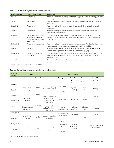<span id="page-23-0"></span>

|  |  |  |  | Table 7. Soil moisture regime classes and descriptions. |  |
|--|--|--|--|---------------------------------------------------------|--|
|--|--|--|--|---------------------------------------------------------|--|

| <b>Moisture Regime</b> | <b>Primary Water Source</b>                                                                               | <b>Description</b>                                                                                                                                                                           |
|------------------------|-----------------------------------------------------------------------------------------------------------|----------------------------------------------------------------------------------------------------------------------------------------------------------------------------------------------|
| Very Xeric (0)         | Precipitation                                                                                             | Water removed extremely rapidly in relation to supply; soil is moist for a negligible time<br>after precipitation                                                                            |
| Xeric (1)              | Precipitation                                                                                             | Water removed very rapidly in relation to supply; soil is moist for brief periods following<br>precipitation                                                                                 |
| Subxeric (2)           | Precipitation                                                                                             | Water removed rapidly in relation to supply; soil is moist for short periods following<br>precipitation                                                                                      |
| Submesic (3)           | Precipitation                                                                                             | Water removed rapidly in relation to supply; water available for moderately short<br>periods following precipitation                                                                         |
| Mesic (4)              | Precipitation in moderately<br>to fine - textured soils and<br>limited seepage in coarse<br>texture soils | Water removed somewhat slowly in relation to supply; soil may remain moist for a<br>significant, but sometimes short period of the year. Available soil moisture reflects<br>climatic inputs |
| Subhygric (5)          | Precipitation and seepage                                                                                 | Water removed slowly enough to keep the soil wet for a significant part of the growing<br>season; some temporary seepage and possibly mottling below 20 cm                                   |
| Hygric (6)             | Seepage                                                                                                   | Water removed slowly enough to keep the soil wet for most of the growing season;<br>permanent seepage and mottling present; possible weak gleying                                            |
| Subhydric (7)          | Seepage or permanent<br>water table                                                                       | Water removed slowly enough to keep the water table at or near the surface for most<br>of the year; gleyed mineral or organic soils; permanent seepage less than 30 cm<br>below the surface  |
| Hydric (8)             | Permanent water table                                                                                     | Water removed so slowly that the water table is at or above the soil surface all year;<br>gleyed mineral or organic soils                                                                    |

(adapted from Resource Data Branch 2003).

| Table 8. Soil moisture regime classes, slope, and soil properties. |  |  |  |  |  |  |  |
|--------------------------------------------------------------------|--|--|--|--|--|--|--|
|--------------------------------------------------------------------|--|--|--|--|--|--|--|

| <b>Moisture</b><br>Regime | Slope                                  |               |                                                      |                                 | <b>Soil Properties</b>           |                               |                                                   |  |
|---------------------------|----------------------------------------|---------------|------------------------------------------------------|---------------------------------|----------------------------------|-------------------------------|---------------------------------------------------|--|
|                           | Position                               | Gradient      | <b>Texture</b>                                       | Drainage                        | Depth to<br>Impermeable<br>Layer | <b>Humus</b><br>Form<br>Depth | <b>Available Water</b><br><b>Storage Capacity</b> |  |
| Very Xeric (0)            | ridge crests,                          | very<br>steep | very coarse (gravelly<br>S), abundant coarse         | very rapid                      | very shallow                     | very                          | extremely low                                     |  |
| Xeric (1)                 | shedding                               | steep         | fragments                                            | rapid                           | (< 0.5m)                         | shallow                       |                                                   |  |
| Subxeric (2)              | upper slopes,                          |               | coarse to moderate<br>coarse (LS-SL),                |                                 |                                  |                               | very low                                          |  |
| Submesic (3)              | shedding                               |               | moderate coarse<br>fragments                         | rapid to well                   | shallow(<1m)                     | shallow                       | low                                               |  |
| Mesic (4)                 | mid slope, normal,<br>rolling to level | moderate      | moderate to fine<br>(L-SiL), few coarse<br>fragments | well to<br>moderately well      | moderately<br>deep $(1-2m)$      | moderately<br>deep            | moderate                                          |  |
| Subhygric (5)             | lower slopes.                          | slight        | variable depending                                   | moderately well<br>to imperfect | deep $(>2m)$                     | deep                          | high                                              |  |
| Hygric (6)                | receiving                              |               | on seepage                                           | imperfect to<br>poor            |                                  |                               |                                                   |  |
| Subhydric (7)             | depressions,                           |               | variable depending                                   | poor to very<br>poor            | variable,<br>depending on        |                               | variable, depending<br>on seepage                 |  |
| Hydric (8)                | receiving                              | flat          | on seepage                                           | very poor                       | seepage                          | very deep                     |                                                   |  |

(adapted from Resource Data Branch)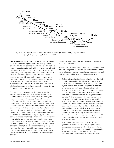<span id="page-24-0"></span>

Figure 4. Ecological moisture regime in relation to landscape position and geological material. (adapted from Resource Data Branch 2003).

Nutrient Regime - Soil nutrient regime (trophotope), relative to climatic conditions represented by an Ecoregion or any other bioclimatic unit, signifies on a relative scale the available nutrient supply to plant growth (with emphasis on soil pH and exchangeable cations; Ca, Mg, Na, and K). The soil's nutrient regime integrates many environmental and biotic parameters which in combination determine the actual amounts of available nutrients. It is a dynamic property, characterized by inputs and losses, with seasonal variations. The aim of the assessment is to derive an estimate of the available nutrient supply for a site which will characterize it relative to all other sites occurring within the respective Natural Region, Ecoregion or other bioclimatic unit.

At present, the assessment of soil nutrient regimes is strictly qualitative for a number of reasons, including a lack of understanding of the role played by soil weathering and forest humus layers in the supply of nutrients, and a lack of information on the required nutrient levels for optimum growth of various species (particularly trees.) At present, the application of soil nutrient regimes does not directly take into account the availability of nutrients other than cations, which may be limiting on any particular site. In general however, biomass production is expected to increase from oligotrophic to eutrophic nutrient regimes for a given hygrotope under particular climatic conditions (i.e. Ecoregion). Exceptions may occur with limiting nutrients such as phosphorus, which is often unavailable (and limiting) at a high pH were it is fixed by calcium compounds; nitrogen, which occurs in various forms and can be limiting to the production of some species; or sulphur, which may be absent in some parent materials. Eutrophic and hypereutrophic nutrient regimes may contain excess salts which limit the availability of water to most plant species.

Ecotypic variations within species (i.e. elevation) might also produce unusual trends.

Major factors influencing nutrient regimes are described in the following paragraphs, and Table 9 provides information on the use of soil parent materials, humus layers, seepage water and analytical data to aid in assessing soil nutrient regime.

a. Soil parent materials (bedrock and landforms) – the kind of bedrock from which the soil parent materials were derived can be a useful guide to assessing the nutrient regime. Identification of coarse fragments from the soil is preferable, although local outcrops or information from a geologic map may be used. During the last major glaciation in Alberta, glacial materials were derived both from local bedrock sources (the Rockies) and from the Canadian Shield, producing soil parent materials which often reflect the bedrock types they were derived from. This is particularly true in small valley systems where the bedrock is uniform and materials have moved only short distances. The larger valleys and the foothills and plain areas of Alberta are more likely to have mixed parent materials of intermediate nutrient regimes. Wherever bedrock is used as a primary differentiating criterion, the rock types which occur as coarse fragments should be compared to those indicated on geologic maps or in adjacent outcrops.

Soils derived from basic igneous rocks (i.e. basalt, gabbro) basic metamorphic rocks (i.e. argillite, biotite, schist, gabbro, gneiss), and rich sedimentary rocks (i.e. limestone, dolomite) may be expected to be mesotrophic to eutrophic because of the abundance of basic elements found in the minerals of these rocks. These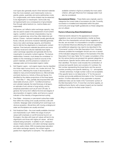rock types also generally result in finer textured materials than the more resistant, acid metamorphic rocks (i.e. granite, gneiss, quartzite), and some sedimentary rocks (i.e. conglomerate, and marine shales) may be expected to be oligotrophic to mesotrophic. Some soils may be hypereutrophic as a consequence of groundwater flow through saline bedrock (i.e. marine shales and evaporates).

Soil texture, as it affects cation exchange capacity, may also be used to assist in the assessment of soil nutrient regime. Landform and terrain characteristics may be used in a general way, since they often determine soil texture. Coarse – textured materials (usually glaciofluvial, fluvial, colluvial, and some morainal materials) generally have a low cation exchange capacity, and therefore tend to fall into the oligotrophic to mesotrophic nutrient regimes. Finer-textures materials (lacustrine and some morainal, fluvial and colluvial materials) have higher cation exchange capacities and generally fall into the mesotrophic to eutrophic nutrient regimes. The texture relationships, however, must always be considered in relation to the mineralogy (or bedrock source) of the parent materials, and the presence or absence of seepage water and incorporated organic matter.

- b. Soil Organic Layers soil organic layers may be classified into three major humus forms: mor, moder and mull. The humus form, reflecting the mode of decomposition, is related to many environmental factors (i.e. Microclimate) and biotic factors (i.e. Activity of flora and fauna). It is identified by the relative proportions of the three layers (L – fresh litter, F – felty, partially decomposed litter with observable structure, and H – humified amorphous and colloidal material), the total thickness of all layers, an estimate of soil, animal or fungi activity, and by analytical parameters such as pH and C/N ratio. In general, the humus form reflects the kind and degree of decomposition of organic matter, and hence is a good indicator of the intensity of biogeochemical cycling.
- c. Free Water temporary or permanent subsurface water flow within the rooting zone usually enriches a site with nutrients. Seepage water emanating from acid bogs is an obvious exception. Alluvial fans with moving underground water and floodplains are usually enriched.
- d. Soil Analytical Data the most readily available chemical soil characteristic is pH. Within the range of soil pH values (with emphasis on soil B horizons) found in an Ecoregion, the sites with lower pH values will tend to be oligotrophic and those with higher pH values will tend towards being eutrophic. In addition to pH, measured values of base saturation, and cation exchange capacity are also useful criteria. With increasing base saturation and cation exchange capacity, the nutrient regime grades from oligotrophic to eutrophic. The calculation of

available nutrients in Kg/ha is probably the most useful criterion, although influences from seepage water must also be considered.

**Successional Status** – These fields were originally used to categorize the current state of succession at a site. Currently, succession is modelled and interpreted within the plant community and range health guidebooks so these categories are not utilized.

## Factors Influencing Stand Establishment

Historical events relevant to the appearance of present vegetative cover and soil characteristics, insofar as these differ from the characteristic soil and climax vegetation of the site, are recorded. It is impossible to compile a complete list of potential influences affecting the soils and vegetation, and additional categories may need to be described in the "Comments" portion of the Site Description Form. However, wherever possible the investigator should use one or several of the indicated categories located on the backside of the Site Description Form (see Table 10). For easier consultation of the list, the various factors are grouped into general categories or broad factors. Specific factors within each broad factor are then identified. The factor code includes the combination of a broad and specific factor and consists of 2 numbers: the first number representing the broad factor and the second number providing more specific detail (e.g. 1.2 – atmosphere - climatic extremes). A single number code is not acceptable. If the specific factor is not listed enter a "0" for the second number and provide additional information in the "Comments" section. If further elaboration of any parameter is required. additional notes can be made in the "Comments" portion of the Site Description Form. If more than one factor applies, an additional factor (factor with a lesser impact) can be inserted by filling in a code for the field under Factor 2.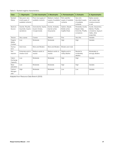| <b>Class</b>                     | 1. Oligotrophic                                           | 2. Sub-mesotrophic                                      | 3. Mesotrophic                                     | 4. Permesotrophic                                     | 5. Eutrophic                                                              | 6. Hypereutrophic                                                                            |
|----------------------------------|-----------------------------------------------------------|---------------------------------------------------------|----------------------------------------------------|-------------------------------------------------------|---------------------------------------------------------------------------|----------------------------------------------------------------------------------------------|
| <b>Nutrient</b><br><b>Status</b> | Very poor; very<br>small supply of<br>available nutrients | Poor; low supply of<br>available nutrients              | Medium; medium<br>supply of available<br>nutrients | Rich; plentiful<br>supply of available<br>nutrients   | Very rich;<br>abundant supply<br>of available<br>nutrients                | Saline; excess<br>salt creates high<br>moisture tension<br>in soil                           |
| <b>Bedrock</b><br>Source         | Granite, Rhyolite,<br>Quartzite, Quartz<br>sandstone      | Granodiorite, Dacite,<br>Quartz Gneiss,<br>Conglomerate | Diorite, Andesite,<br>Garnet schist.<br>Graywacke  | Gabbro, Basalt,<br>Biotite schist,<br>Argillite Shale | Peridotite, Dunite,<br>Basalt, Slate,<br>Dolomite, Phyllite,<br>Limestone | Dunite, Serpentine,<br>Marble, Phyllite,<br>Limestone, Gypsum<br>Halite, other<br>evaporites |
| Texture                          | Very coarse                                               | Coarse                                                  | Medium                                             | Fine                                                  | Very fine                                                                 | Variable                                                                                     |
| Organic<br>Matter<br>Content     | Low                                                       | Moderate                                                | Moderate                                           | High                                                  | High                                                                      | Variable                                                                                     |
| Humus<br>form                    | Acid mors                                                 | Mors and Moders                                         | Mors and Moders                                    | Moders and mulls                                      |                                                                           |                                                                                              |
| Soil<br>reaction                 | Extremely acid to<br>medium acid                          | Medium acidic to<br>neutral                             | Medium acidic to<br>neutral                        | Slightly acid to<br>mildly alkaline                   | Neutral to<br>moderately<br>alkaline                                      | Moderately to<br>strongly alkaline                                                           |
| Cation<br>Exchange<br>Capacity   | Low                                                       | Moderate                                                | Moderate                                           | High                                                  | High                                                                      | Variable                                                                                     |
| Base<br>saturation               | Low                                                       | Moderate                                                | Moderate                                           | High                                                  | High                                                                      | Variable                                                                                     |
| Carbon:<br>Nitrogen<br>ratio     | High                                                      | Moderate                                                | Moderate                                           | Low                                                   | Low                                                                       | Variable                                                                                     |

<span id="page-26-0"></span>Table 9. Nutrient regime characteristics.

Adapted from Resource Data Branch (2003)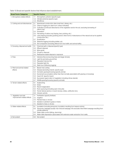<span id="page-27-0"></span>Table 10.Broad and specific factors that influence stand establishment.

| <b>Broad Factor Categories</b>   | <b>Specific Factors</b>                                                                                                                                                                    |
|----------------------------------|--------------------------------------------------------------------------------------------------------------------------------------------------------------------------------------------|
| 1. Atmosphere-related effects    | Atmospheric pollution (specify type)<br>1.1                                                                                                                                                |
|                                  | Climate extremes (specify type)<br>1.2                                                                                                                                                     |
|                                  | Windthrow<br>1.3                                                                                                                                                                           |
| 2. Cutting and soil disturbances | 2.1<br>Abandoned construction sites (road-bed, railway, etc.)                                                                                                                              |
|                                  | Clearcut logging (no slash burn unless indicated)<br>2.2                                                                                                                                   |
|                                  | 2.3 Cultivation (continued disturbance of the vegetation and/or the soil, excluding harvesting of                                                                                          |
|                                  | native crop)                                                                                                                                                                               |
|                                  | Excavation<br>2.4                                                                                                                                                                          |
|                                  | 2.5 Harvesting of native crop (haying, berry picking, etc.)                                                                                                                                |
|                                  | 2.6 Land clearing (includes grubbing and/or other forms of disturbance of the natural soil as for pipeline<br>construction etc.)                                                           |
|                                  | 2.7 Scarification                                                                                                                                                                          |
|                                  | 2.8 Selective logging (including shelter cut)                                                                                                                                              |
|                                  | 2.9 Soil compaction (including effects from foot traffic and animal traffic)                                                                                                               |
| 3. Dumping, disposal and spills  | 3.1<br>Chemical spill or disposal (specify type)                                                                                                                                           |
|                                  | 3.2 Effluent disposal                                                                                                                                                                      |
|                                  | 3.3 Mine spoils                                                                                                                                                                            |
|                                  | Oil spill or disposal<br>3.4                                                                                                                                                               |
|                                  | 3.5 Radioactive waste disposal or exposure                                                                                                                                                 |
| 4. Fires                         | Intensive fires (consuming trees and larger shrubs)<br>4.1                                                                                                                                 |
|                                  | Light fire (primarily ground fire)<br>4.2                                                                                                                                                  |
|                                  | 4.3 Repeated intensive fire                                                                                                                                                                |
|                                  | Repeated light fire<br>4.4                                                                                                                                                                 |
|                                  | 4.5<br>Slash burn (following logging)                                                                                                                                                      |
| 5. Plant and animal-related      | Beaver tree cutting<br>5.1                                                                                                                                                                 |
| effects                          | 5.2 Disease (excluding insects: specify type)                                                                                                                                              |
|                                  | 5.3 Domestic grazing/browsing (specify animal)                                                                                                                                             |
|                                  | Excrement accumulation (other than that normally associated with grazing or browsing)<br>5.4                                                                                               |
|                                  | 5.5 Insect kill (specify insect)                                                                                                                                                           |
|                                  | Succession (gene ration of vegetation including climax stands)<br>5.6                                                                                                                      |
|                                  | Wildlife grazing/browsing (specify animals)<br>5.7                                                                                                                                         |
| 6. Terrain-related effects       | Avalanching<br>6.1                                                                                                                                                                         |
|                                  | 6.2 Eolian                                                                                                                                                                                 |
|                                  | 6.3 Recent deglaciation                                                                                                                                                                    |
|                                  | 6.4 Rock quarrying (including open mine pits)                                                                                                                                              |
|                                  | Terrain failures (active or recent slumps, slides, solifluction etc.)<br>6.5                                                                                                               |
|                                  | Volcanic activity<br>6.6                                                                                                                                                                   |
| 7. Vegetation and site           | 7.1<br>Fertilization (specify fertilizer)                                                                                                                                                  |
| improvement-related effects      | 7.2 Irrigation                                                                                                                                                                             |
|                                  | 7.3 Planted trees or shrubs                                                                                                                                                                |
|                                  | Seeded or planted to grass or herbs<br>7.4<br>Seeded to trees or shrubs<br>7.5                                                                                                             |
|                                  |                                                                                                                                                                                            |
| 8. Water-related effects         | Inundation (including temporary inundation resulting from beaver activity)<br>8.1<br>8.2 Temporary seepage (usually man-induced seepage; this excludes intermittent seepage resulting from |
|                                  | climate patterns).                                                                                                                                                                         |
|                                  | 8.3 Water table control (diking, damming)                                                                                                                                                  |
|                                  | Water table depression (associated with extensive water extraction from wells.<br>8.4                                                                                                      |
| 9. Not evident                   | 9.0 Not evident                                                                                                                                                                            |
|                                  |                                                                                                                                                                                            |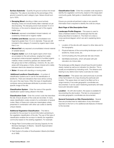**Surface Substrate** – Quantify the ground surface into broad categories. The value is recorded as the percentage of the ground covered by each category type. Values should sum up to 100%.

- **Decaying Wood:** standing or fallen wood actively decaying. Does not include freshly fallen materials not yet decomposing. The decaying wood must exceed 10 cm in thickness, or the wood is classed as part of the organic matter type.
- Bedrock: exposed consolidated mineral material, not covered by mineral soil or organic matter
- Cobbles and Stones: exposed unconsolidated rock fragments greater than 7.5 cm in diameter. These are still included in this category if covered by organic layer is less than 2 cm
- Mineral Soil: any exposed unconsolidated mineral material of variable texture.
- Organic matter: sum of all organic layers which have accumulated on the soil surfaces, ranging from easily recognized undecomposed vegetation to humified organic material. Areas covered by grasses are classed within this group due to their underlying L horizons. Ah, Ap, and areas with living grass or forbs, where mineral soil is visibly between stems are classed as mineral soil.
- Water: All areas with standing or moving water

 Additional Landform Classification – A number of classification systems are in use for the identification of landforms. There are indications that more will be coming into use in the near future. Often this type of classification combines various landscape attributes to provide a more specific image of the site.

Classification System – Enter the name of the specific classification system being utilized in this field.

Classification Code – Enter the correct code that describes the site. Ensure all parts of the code are recorded. In many cases classification codes consist of a combination of several codes. Many of these sub codes are meaningless unless presented in combination with other sub codes to identify unique classes.

Additional Vegetation Classification – This field is provided for the surveyor to record information pertaining to the vegetation classification of the site. The use of this type of classification enables the surveyor to identify the vegetation community based on the existing vegetation. For example:

- Range Plant Communities and Carrying Capacity for the Montane Subregion of Alberta – Seventh Approximation (Willoughby et al. 2008)
- Field Guide to Ecosites of Southwestern Alberta (Archibald et al 1996)

Classification Code – Enter the complete code required to identify the vegetation community, based on the range plant community guide, field guide or classification system being used.

Ensure you provide all pertinent codes or any specific information that is required to identify the code as unique.

#### *Back Page of Site Description Form*

Landscape Profile Diagram – This space is used to draw a freehand sketch of the landscape that the site being described is located on. The intent is to draw a cross-sectional diagram which can aid in explaining items such as:

- 1. Location of the site sits with respect to other sites and to the topography.
- 2. Physical features of the surrounding landscape such as landforms, forest zones, etc.
- 3. Communicating why this particular site was chosen.
- 4. Identifiable landmarks, which will assist with plot relocation at a future date.

The landscape profile diagram should have the plot location clearly marked as well as an indication for direction. This is usually accomplished by indicating north. The distance and bearing to any distinct land marks could also be noted.

**Site Location** – This space was used previously to provide a free hand sketch of a map showing the particular plot location. This space does not need to be filled out for a range inventory if accurate geographic coordinates are documented. It can be used if sketching landmarks will make future plot relocation easier.

**Location** – As with site location, this space is available for documenting the site location. This item is unnecessary if accurate geographic coordinates are documented.

General Comments on Site Characteristics – Several lines are provided here for elaboration of any information reported on the form or for additional site features of interest to the recorder.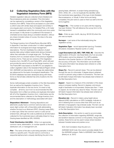# <span id="page-29-0"></span>3.2 Collecting Vegetation Data with the Vegetation Inventory Form (MF5)

Detailed vegetation data are collected where Detailed and Reconnaissance plots are completed. This information can be captured by completing a version of the Vegetation Inventory form (MF5). These forms are based on a plot within a uniform area with similar slope and aspect and entirely in one singular plant community. For Detailed Plots, a 30 meter transect is established within this community and micro-plots are surveyed. In hilly terrain it is preferred if the transect is orientated across slope along a consistent elevation, without any draws included unless of course, the draw is the area being sampled.

The Range Inventory form (Prairie/Rocky Mountain MF5) in Appendix 2 has been constructed to collect vegetation information for ecological and range management descriptions. This form facilitates the collection of plant species data using multiple nested plots along a transect, rather than estimates of a single larger plot. The Range Inventory form is a revised version of the previous Vegetation Inventory forms. There are two versions of the Vegetation Inventory form, the MF5-PL and Prairie MF5, which still exist and provide the same function as the Range Inventory form. The Prairie MF5 was based on the MF5-PL but adapted to collect vegetation data in the Grassland Natural Region where GVI, AGRASID soil descriptions, and range site relationships are referenced for the basis of ecological classification. The ECOSYS database has been developed along with these forms so that all data collected has entry locations into the database.

Some methodologies entail completion of the Site Description form as well as the Vegetation Inventory form. There is duplicate information on the two forms. It is best to fully complete all forms, but if not it is recommended the Site Description form is filled out entirely and duplicate information left off of the Vegetation Inventory form. Listed below are the recommended items collected on the Range Inventory form and the description or methodology associated with each:

**Disposition/ Allotment** – Grazing dispositions and allotments usually have a common name but also a six or seven digit number with a three letter prefix abbreviating whether the land is an Allotment (PNT), Grazing Lease (GRL) or other type. Either the common name or code can be entered here, although the code is preferred as all information collected for the inventoried area is ultimately linked to it (e.g. Grazing lease identified as GRL 000000).

Field/ Distribution Unit (DU) – Write in an appropriate common name, abbreviation, or number specific to the field, distribution unit, or management unit.

Plot – The name of the site or plot being sampled, it should relate to a specific point. The plot name is commonly a sequential alphanumeric uniquely identifying the plot in the

grazing lease, allotment, or project being sampled (e.g. AH01, AH02, AH…). Do not duplicate this identifier within the inventoried area regardless of the type of plot (Detailed, Reconnaissance, or Visual). If other forms are being completed, this plot name is used on them as well to link the forms together.

**Polygon No.** – This number is not used until the mapping has been finished. This will reference the survey form to the final map product.

Date – Enter as year, month, day (e.g. 98 08 03) when the plot was surveyed.

**Surveyor** – Last name of the individual(s) doing the vegetation survey.

**Vegetation Type** – record appropriate type (e.g. Forested, Shrubland, Grassland, Riparian (Lentic or Lotic)).

Legal Description (LS, SEC, TWP, RGE, M) – Describe the legal location of the plot. Use these fields only if an accurate GPS location cannot be obtained. If no GPS available, describe to the Quarter Section or LSD level to increase the accuracy of the plot. This information can be left blank if the same information has already been entered on a Site Description form.

**Slope (%)** – Record in percent slope. This can be attained through the use of a clinometer. If degree slope is attained, convert to percent using a table of conversions. This item can be left blank if slope information has already been entered on the Site Description form.

Aspect – Aspect is a measure of the orientation of the slope using a compass reading. Record in degrees, and ensure angle of declination is incorporated. Slopes less than 1° have no aspect; do not enter any value for these. This item can be left blank if aspect information has already been entered on the Site Description form.

**Elevation (m)** – Record in meters using height above ellipsoid (HAE) calculations on GPS if available. Indicate on form if attaining from a source other than GPS such as an altimeter or topographic map (indicate scale). This item can be left blank if elevation information has already been recorded on the Site Description form.

Soils Description – this section is used to accommodate the collection of information regarding AGRASID, range site, and landform features common on the prairies. Along with the prairies, these forms can be used in areas where transition between forested areas and prairies occur.

SCA: Soil Correlation Area the plot is in.

AGRASID SLM Code: this column provides details from the AGRASID polygon. Refer to AGRASID User's Manual (Brierly et. al. 2001).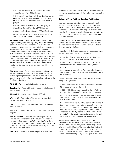Soil Series 1: Dominant or Co-dominant soil series derived from the AGRASID polygon.

Soil Series 2: Co-dominant or Sub-dominant soil series derived from the AGRASID polygon. Other Sign SS: Other significant soil series derived from the AGRASID polygon.

Surface Form: Derived from the AGRASID polygon. Slope Class: Derived from the AGRASID polygon.

Surface Modifier: Derived from the AGRASID polygon.

Field verified: this column is used to select AGRASID attributes that are specific to the field site.

**Terrain Profile and Notes** – Used previously to draw a diagram of the general area (e.g. valley) where the sampling occurred. Currently this item can be used to enter plant community information such as estimated plant community, subdominant decile information, and any other remarks that may be pertinent to the ecological classification of the plot. Photo numbers are also commonly entered here. Two photographs per site are taken. One close up of a micro- plot directly toward the ground and another from the end of the transect looking back on the transect line capturing a little bit of the horizon to help assess structure. Record photo numbers and ensure plot or site names are identified in the photos.

**Site Description** – Circle the appropriate description from each list. Refer to Section 3.1 Site Description Form in this manual regarding this section. This information can be left blank if the same information has already been entered on the Site Description form.

PC-ORD – Enter the ordinated plant community.

Ecodistricts – If applicable, enter the appropriate Ecodistrict for the Natural Subregion.

GPS Unit # – Identification number on GPS unit.

**Waypoint**  $#$  – The number of the waypoint as recorded on the map and within the GPS Unit.

**Start** – GPS location of the beginning point of the transect (decimal degrees).

End – GPS location of the end point of the transect (decimal degrees).

**Est. Production** – Estimation in lbs/ac or kg/ha. With a Detailed or Reconnaissance plot, production is assessed through a 0.5 m² clipped plot. Refer to section 3.3 for forage production clipping methodology for inventories. This field can be used if the surveyor has experience estimating production, otherwise it can be left blank.

**Est. Litter** – Estimation in Ibs/ac or kg/ha of litter as hand

raked from a ¼ m2 plot. This field can be used if the surveyor has experience estimating production, otherwise it can be left blank.

## Collecting Micro Plot Data (Species, Plot Number)

A transect is placed within the most representative part of the area declared as a site. This is a uniform area with similar slope and aspect and entirely in one singular plant community. Each transect is 30 m long with 15 micro-plots placed uniformly along its length. If the transect is located on a slope, it should run parallel with the contour of that slope avoiding any swales.

Grasslands, shrublands, and forests have slightly different nested micro plot sizes for data collection. These are used to accommodate the various vegetation stratums (Stratum definitions are listed in Table 11).

In grasslands (including tame pasture) and shrublands whose dominant layer is less than (<) 2 m (Figure 5a):

- A 1 m<sup>2</sup> (1x1 m) micro-plot is used to estimate the cover of shrubs (S1 and S2) and all trees less than  $\left\langle \varsigma \right\rangle$  5 m.
- A 0.1 m<sup>2</sup> (20x50 cm) nested plot within the 1 m<sup>2</sup> plot is used to estimate the cover of forbs, grasses, and S3 shrubs.
- Ground cover estimates (Litter/Total Vegetation, Exposed Soil, Moss & Lichen, rock, etc.) are also measured in the 0.1 m² nested plot.

In forests and shrublands whose dominant layer is greater than  $(>)$  2 m (Figure 5b):

- A 4 m² (2x2m) micro-plot is used to estimate the cover of S2 shrubs and trees less than (<) 2 m
- A 0.25 m² (50x50 cm) nested plot within the 4 m² plot is used to estimate cover of S3 shrubs, forbs, and grasses.
- Ground cover estimates (Litter/Total Vegetation, Exposed Soil, Moss & Lichen, rock, etc.) are also measured in the 0.25 m² nested plot.
- One 100 m² macro-plot (10x10 m), located in the middle of the transect, is used to estimate the cover of trees and tall shrubs (> 2 m in height) within the macro-plot area. These are measured in their appropriate S1, T1, and T2 stratums. These data are directly associated with the transect and separate from the woody species information on the back of the form which is collected at the polygon level.

Species: Foliar cover estimates are recorded at each micro-plot on the MF5 form. All of the plant species (trees, shrubs, graminoids, and forbs) are recorded using a seven letter code for identification. The code is the first 4 letters of the genus name followed by the first 3 letters of the species name. The species are named according to the currently accepted names used by AEP (ECOSYS species list). Foliar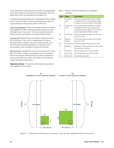<span id="page-31-0"></span>cover estimates for all species are recorded in the appropriate micro-plot number to the nearest 5% except below 10% and above 90% which are estimated to the nearest 1%.

The following are generalized plot characteristics that are filled out for each micro-plot. Do not include these items with the cover estimates in the species portion of the form.

Litter/Total Vegetation: Check off the appropriate box whether total vegetation or litter is being assessed and give the cover estimate for each micro-plot. The recommended choice for these inventory procedures is to provide a litter estimate.

Exposed Soil: Estimate the cover rating for exposed mineral soil in each plot. This is NOT a measurement of rocks or decayed organic material. The cover of debris (sticks, etc.) and rocks are recorded separately. If no exposed soil is encountered, a tick is marked in that box for that plot.

Moss & Lichen: Estimate the cover of moss and lichen in each plot. If no moss or lichen is encountered, a tick is marked in the box for that plot. Where there are a variety of species of moss and/or lichen (e.g. within a Sw/ Moss community) the species should be summed up.

Vegetation Notes – Provide any information that pertains to plot vegetation in this section.



| Code           | <b>Name</b>        | <b>Description</b>                                                                                                                                                 |
|----------------|--------------------|--------------------------------------------------------------------------------------------------------------------------------------------------------------------|
| T1             | Overstory<br>Tree  | Any woody species growing to a height<br>of greater than 5m occupying the tallest<br>canopy; it's crown is open to full sunlight                                   |
| T <sub>2</sub> | Understory<br>Tree | Any woody species growing to a height<br>of greater than 5m and occupying the<br>secondary canopy below T1; it's crown is<br>mostly subjected to filtered sunlight |
| S <sub>1</sub> | <b>Tall Shrubs</b> | All woody species at least 2.0m but less<br>than 5.0 m tall.                                                                                                       |
| S <sub>2</sub> | Medium<br>Shrubs   | All woody species at least 0.5m but less<br>than 2.0 m tall.                                                                                                       |
| S <sub>3</sub> | Low Shrubs         | All woody species less than 0.5 m tall.                                                                                                                            |
| F              | Epiphyte           | Mosses or lichens growing on other plants<br>(usually trees / shrubs)                                                                                              |
| F1             | <b>Tall Forbs</b>  | All forb species 30 cm tall or greater                                                                                                                             |
| F <sub>2</sub> | Low Forbs          | All forb species less than 30 cm tall                                                                                                                              |
| G1             | Graminoid          | All graminoid species                                                                                                                                              |



Figure 5. Schematic and dimensions of a transect, micro-plot and nested plot within the micro-plot.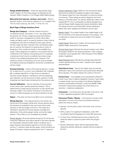**Range Health Estimate** – Check the appropriate range health category for the entire polygon as depicted by the transect. Refer to Section 3.4 for Range Health Methodology.

Macroplot (List species, stratum, and cover) – Record species, stratum, and cover for species  $(>)$  2 m in height in the 100 m2 macro-plot (e.g. Aw, 20%, T1 & Aw, 5%, S1).

#### *Back Page of Range Inventory Form*

**Range Use Category** – Indicate whether the plot is considered primary, secondary, or non- use range within the grazing unit. Primary ranges are areas that livestock prefer to use when management is limited. Secondary ranges are lightly used or unused by livestock under minimal management and will not ordinarily be fully used until the primary range has been overused. Non-use (tertiary) areas are not used by the livestock for grazing due to a lack of forage (e.g. thick coniferous forest) or inaccessibility (e.g. bogs). These categories are relative to one another and are conditional to the makeup of the grazing unit. For example, a deciduous forest may be considered secondary range if plenty of accessible grasslands exist. However, if the deciduous forest in the grazing unit is the most accessible and highest producing rangeland it should be considered as primary range.

Grazing Intensity - Check off the appropriate box: unused (U), unused-low (U-L), low (L), low-moderate (L-M), moderate (M), moderate-high (M-H), or high (H) as an estimate of the level of past utilization. Indicators to aid with assessing past utilization can be the amount of litter, quantity of cattle droppings and seed heads remaining from the previous year.

**Current Utilization** – Give an estimate of the proportion of the current year's growth grazed by livestock. This is determined by measuring the proportion of new growth that has been utilized. The number of livestock in the area and amount of cattle droppings can be good indicators as well.

Vigour – This does not have to be filled out for inventories.

Woody Species - The measurements in this section are performed at the polygon decile level. Woody species along the transect are evaluated in the micro and macro-plots sections on the front page of the form. This measure is intended to describe the woody species coverage and distribution of the entire polygon decile, and by the height stratum. This is filled out as completely as possible.

Woody Species: All woody species except for S3 shrubs are measured. Regrowth and mature stands of the same species are individually measured within stratum locations (e.g. if aspen (Populus tremuloides) regrowth is in the S2 stratum and the T1 overstory trees are also aspen, there should be an Aspen S2 stratum measure separate from the T1 measure).

Density Distribution Class: Refers to how the species being observed are patterned spatially throughout the polygon. The classes range from rare individuals to continuous dense occurrences. These ratings as well as diagrams are found directly on the field sheet. The density distribution table on the original MF5-PL form is antiquated so please disregard and use the Range Health Assessment density distribution table. The Range Inventory and Prairie MF5 density distribution tables have been updated and therefore can be used.

Median Height: The median height is the middle height of all the occurrences of the observed species in the polygon. This is measured in meters and can be rounded to the nearest one-tenth.

Height Range: Measured in meters, list the lowest and the highest height observed for that species.

Percent Area Cover: Estimate the percent canopy cover within the polygon decile for the observed species. Total coverage of species can be greater than 100% because of the different strata of vegetation.

Basal Diameter (mm): Estimate the average basal diameter of each species (choose one stem / species which appear representative).

**Total Shrub Cover** – Record the height class and density distribution class of the dominant and subdominant strata (all shrub species). The height classes are coded on the form.

Forest Cover – Use available cover specifications (Phase III Forest Cover Type or Alberta Vegetation Inventory Type maps) or assess forest cover according to the Alberta Vegetation Inventory specifications (Forestry, Lands and Wildlife 1989). Dominant/ subdominant applies only where there is an overstory / understory designation.

Comments – Comments here should refer to the shrub, tree or other vegetative properties within the polygon.

**Poisonous Plants / Weeds** – In this section provide a brief description on some commonly encountered poisonous plants and noxious weeds.

- Species: List the plant codes of the three most common species.
- GPS Location: For significant infestations, enter GPS coordinates (decimal degrees) and notify AEP personnel.
- % Area Cover: Estimate percent area covered by the observed weed or poisonous plant within the polygon decile.
- Density Distribution Class: Record appropriate class utilizing the density distribution classes that are located on the form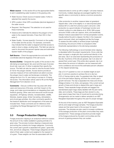<span id="page-33-0"></span>**Water source** – In this section fill out the appropriate blanks to aid in establishing water locations in the grazing units.

- Water Source: Check source of nearest water, if other is selected then specify the source.
- GPS Location: Enter GPS coordinates (decimal degrees) of the water source.
- Required / Not Required: This selection is not used for these inventories.
- Distance (km): Estimate the distance the polygon is from water to the nearest kilometre. If less than 500 m then enter 0.
- Water Quality / Access (specify): Comment on the quality of the water and the access. For example, comments may indicate that the water is stagnant and that access to water is down a steep, eroding bank. This field can also be used to document the percent riparian area and estimated riparian health of the polygon.

Salt Source – Check the appropriate box and enter GPS coordinates (decimal degrees) of the salt source.

Access (Cattle) – Designate the quality of the access to the site being surveyed (good, fair, poor) and the type of access (truck trail, road, etc.). If other is selected then specify the source. This field can also be used to note the Access Factor (0-10) for the polygon deciles. Access factors provide an overview measure of how well livestock are able to access the polygon due to water and landscape constraints. The ratings are from 0 to 10, zero being no access to 10 being full access. This information will be used to fill out the Range Management Form (Section 2.3.2).

Comments – Discuss conflicts that may arise with other users and resources of the area and their impact on the range, and make recommendations on integrating them with livestock grazing. Other users and resources would include equestrian, off-highway vehicles, recreationalists, wildlife, fisheries, riparian areas, timber harvesting, reforestation, and oil and gas activities. Any other comments specific to the livestock distribution and management of the area are included here. These comments are for reference when completing the Range Management Form and inventory report.

# 3.3 Forage Production Clipping

Forage production clipping is an analytical method to assess the amount of dry matter available to grazing animals of a given area. The process involves clipping a measured area and sorting the contents into forage categories. Commonly the current year's growth is separated into grass / grass-like, forb, and shrub categories. These forage categories are then dried of their water content and weighed to the nearest 0.1 of a gram. These weights can then be associated with the

measured area to come up with a weight / unit area measure. Commonly, multiple clippings are averaged together from a specific area or community to derive a common production value.

Litter production is another measure taken at grassland clipped sites. Litter is the slightly or un-decomposed plant residue left on a site from previous year's carryover. Litter production is a good indicator of hydrologic function and nutrient cycling on a site (Adams et al. 2016). With proper amounts of litter a site can capture, store, and beneficially release moisture associated from normal precipitation events. Usually before the plot is clipped, the litter in the measured area is removed, dried, and weighed just like the forage. To assess the site's ability to achieve proper hydrologic functioning, the amount of litter is compared to litter thresholds representative to the site being evaluated.

The following methodology is recommended when clipping is stipulated within the project requirements. Once a site has been surveyed, a single plot clip is performed directly in the plot area. Clip in an area best representing the production of the site. If portions of the site are grazed, clip in an area not grazed that current year. If the entire site is grazed, clip in an area where the amount of utilization can be measured with some confidence and record this estimated percent utilization on the clipped sample bag.

Clip a 0.5 m² quadrat to a two-cm stubble height at each plot. A common practice to achieve this is to clip two 0.25 m² frames side by side. If a grassland site, litter is raked out of the plot before clipping, and then the current year's growth removed. The clip is separated into trees and shrubs (foliage at below 2 m), forbs, and grasses. Only current annual growth of trees and shrubs is clipped (this year's twigs and leaves). These separate forage samples are bagged into standardized paper bags clearly labelled with the plot name, date, and contents. These bags are then stored in a dry, open area to keep them free of mould and to promote drying. Arrangements can be made to deliver samples to an AEP Rangeland Specialist throughout the year for proper storage.

At the end of the inventory year an AEP Rangeland Specialist will dry and weigh all forage samples. The forage production values are then given back to the surveyor for report purposes. The samples are also used to increase confidence of the average production of the plant communities they were sampled from. These average productions provide insight of the forage produced by the plant communities and the amount of grazing pressure they can sustain.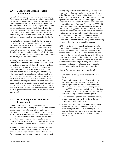# <span id="page-34-0"></span>3.4 Collecting the Range Health Assessment

Range Health Assessments are completed for Detailed and Reconnaissance plots. These assessments are completed at the site the plot is associated to, and is usually included in the same geographic location (i.e. GPS point). The range health assessment however is designed to be representative of the polygon decile being assessed. For instance, if within the decile being assessed there are factors that affect the range health score that are not immediately represented on the transect, they should be documented on the assessment. An estimate of the range health ranking is used for visual plots.

Range health methodology is detailed in the "Rangeland Health Assessment for Grassland, Forest, & Tame Pasture" Field Workbook (Adams et al. 2016). Current methodology incorporates the 3rd edition (2009) of the manual, which had significant changes to the scoring from the 2nd edition. Therefore, it is recommended to refer to the 3rd edition and on. Contact Rangeland Resource Stewardship Section staff if 5th edition (2016) copies are needed.

The Range Health Assessment forms have also been updated to incorporate the new scoring. These three forms are available in Appendix 2, but can also be made available through the AEP Rangeland Specialist. Grasslands and shrublands should be assessed using the grassland health form. Forests and disturbed forests (fires, cutblocks, bug kills, etc.) should be assessed using the forest health form. Areas that have been seeded with non-native species, and are actively being managed as a tame pasture should be assessed with a tame pasture form. Historically there were some initiatives to 'improve the range' by seeding meadows to domestic species. These however were never managed as a tame pasture and should be considered as disturbed or modified grasslands and measured with the grassland health assessment.

# 3.5 Performing the Riparian Health Assessment

As described in section 2.2.3, riparian zones can be separated into two broad areas (Figure 1). The upper terraces can be assessed using the vegetation mapping portion of the inventory, but the active floodplain is measured with a Riparian Health Assessment (Fitch et al. 2009, Ambrose et al. 2009). The active floodplains are commonly multiple bands of vegetation from obligate species to facultative wetland species. These areas are susceptible to degradation and can directly affect the proper functioning of the stream or river.

The Alberta Riparian Habitat Management Society (Cows and Fish) have created the guidebooks that are used provincially for assessment riparian health. There are two Field Workbooks and three User Manuals that are required for completing the assessments necessary. The majority of riparian health will generally be for streams and small rivers, so the "Riparian Health Assessment for Streams and Small Rivers" (Fitch et al. 2009) field workbook is used. Occasionally important lakeshores and wetlands will be flagged for an assessment. In these cases the "Riparian Health Assessment for Lakes, Sloughs, and Wetlands (Ambrose et al. 2009) field workbook is used. Lastly, there are occasions where large river systems are flagged for assessment. There is no field workbook for these but there is a user manual that along with the above guides can be used to complete the assessment. A good knowledge of both field workbooks is needed to complete the riparian assessments on the selected key riparian sites, as well as to estimate the riparian health ranking of the active floodplain that occurs within polygons.

AEP forms for these three types of riparian assessments are available in Appendix 2 of this manual or copies can be obtained from the Rangeland Specialist. These forms are for entry into the AEP Rangeland Geomatics data set, and based upon the user manuals from Cows and Fish. However these manuals are created to be standalone documents that can be used for many purposes. Since they are being used to complement an entire range inventory, the AEP forms are adapted for this purpose. Focus should be placed on completing the riparian health assessment score sheet.

In total, a Riparian Health Assessment consists of:

- 1. GPS location of the upper and lower boundaries of the plot
- 2. A riparian plant community classification linked to a Range Plant Community Guide or the "Classification and Management of Riparian and Wetland Sites of Alberta's Grassland Natural Region" (Thompson and Hansen 2002). If a plant community is not found in either guide book, then a conditional plant association can be described, usually the top two or three species.
- 3. A Cows and Fish Riparian Health Assessment for lotic, lentic or large river systems, depending on the type of riparian, on the AEP riparian form.
- 4. At least 3 pictures, one from the upper end of the reach looking down stream, one from the bottom end of the reach looking upstream and a landscape picture if possible. Supporting pictures of other important riparian features or issues within the reach are valuable and recommended.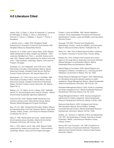# <span id="page-35-0"></span>4.0 Literature Cited

Adams, B.W., G. Ehlert, C. Stone, M. Alexander, D. Lawrence, M. Willoughby, D. Moisey, C. Hincz, A. Burkinshaw, J. Richman, K. France, C. DeMaere, T. Kupsch, T. France, T. Broadbent,

L. Blonski, and A. J. Miller. 2016. Rangeland Health Assessment for Grassland, Forest and Tame Pasture. AEP, Rangeland Resource Stewardship Section.

Ambrose, N., G. Ehlert, and K. Spicer-Rawe. 2009. Riparian health assessment for lakes, sloughs and wetlands – Field workbook. Modified from: Fitch, L., and B.W. Adams and G. Hale. 2001. Riparian health assessment for streams and small rivers – Field workbook. Lethbridge, Alberta, Cows and Fish Program. 90 pages.

Archibald, J.H., G.D. Klappstein, and I.G.W Corns. 1996. Field Guide to Ecosites of Southwestern Alberta. Natural Resources Canada, Canadian Forest Service, Northern Forestry Centre. Edmonton, AB. Special Report No. 8.

Beckingham, J.D., I.G.W. Corns, and J.H. Archibald. 1996. Field Guide to Ecosites of West- Central Alberta. Natural Resources Canada, Canadian Forest Service Northwest Region, Northern Forestry Centre. Edmonton, AB. Special Report No. 9.

Brierley, J.A., T.C. Martin, and D.J. Spiess. 2001. AGRASID version 3.0: Soil landscapes user's manual. Canada – Alberta Environmental Sustainable Agriculture Agreement.

Cows and Fish. 2005. Riparian health assessment and inventory training course. Field training manual. Alberta Riparian Habitat Management Program.2nd Edition.

Day, J.H., Ed. 1982. Canada Soil Information System: Manual for Describing Soils in the Field. Research Branch, Agriculture Canada. Ottawa, Ontario. Land Resource Research Institute Contribution No. 82-52.

Ealey, D. 1993. Alberta plants and fungi - master species list and species group checklists. Alberta Environmental Protection, Edmonton, AB. Pub No.: Ref. 75.

Fitch, L., B.W. Adams, and G. Hale. 2009. Riparian health assessment for streams and small rivers – Field workbook. Lethbridge, Alberta, Cows and Fish Program.90 pages.

Forestry, Lands and Wildlife. 1989. Alberta Vegetation Inventory: Photo Interpretation Procedures and Technical Specifications. Forestry, Lands and Wildlife, Land Information Services Division.

Kocaoglu, S.S.1990. Physical Land Classification Methodology. Forestry, Lands and Wildlife, Land Information Branch, Resource Inventory Section. Publication No. 28.

Moss, E.H. 1994. Flora of Alberta Second edition. Edited by J.G. Packer. University of Toronto Press. Toronto. 687pp.

McNeil, Ron. 2010. Analysis of the moisture and nutrient regime in the rough fescue range plant community, Montane Natural Subregion of southwestern Alberta. Alberta Sustainable Resource Development. (Mimeo.)

Natural Regions Committee. 2006. Natural Regions and Subregions of Alberta. Compiled by D.J. Downing and W.W. Pettapiece. Government of Alberta. Pub. No. T/852.

Range Resource Management Program. 2004. Methodology for calculating carrying and grazing capacity on public rangelands. Range Management Branch, Alberta Sustainable Resource Development, Edmonton, AB. Pub No. I/97.

Rangeland Management Branch. 2005. Guide to completing the range management form. Alberta Sustainable Resource Development, Edmonton Alberta. Pub. No. I/216.

Range Management Branch. 2008. Grazing management adjustments for healthy rangelands. Alberta Sustainable Resource Development, Edmonton, Alberta. Pub No. I/295.

Resource Data Branch. 2003. Ecological Land Survey Site Description Manual. Second Edition. Strategic Corporate Services Division, Alberta Sustainable Resource Development, Edmonton, Alberta. Pub No. T/036.

Shields, J.A., Tarnocai, C. Valentine, K.W.G, and MacDonald, K.B. 1991. Soil landscapes of Canada. Agriculture Canada Publication 1868/E. Land Resource Research Centre, Ottawa, Ontario.

Strong, W.R. and Thompson, J.M. 1995. Ecodistricts of Alberta: Summary of biophysical attributes. Prepared for Alberta Environmental Protection, Resource Data Division, Edmonton, Alberta.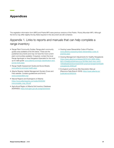# <span id="page-36-0"></span>Appendices

The vegetation information form (MF5) and Prairie MF5 were previous versions of the Prairie / Rocky Mountain MF5. Although the forms may differ slightly the key fields required in this document are still contained.

# Appendix 1. Links to reports and manuals that can help complete a range inventory

- Range Plant Community Guides: Range plant community guides area available at the link below. These are the published documents and may not have the most current plant communities available. If required, contact the local Range Agrologist or Area Rangeland Specialist for the most up-to-date guide: [www.alberta.ca/range-classification-and](http://www.alberta.ca/range-classification-and-survey-tools.aspx)[survey-tools.aspx](http://www.alberta.ca/range-classification-and-survey-tools.aspx)
- Range Health Assessment Guide and Score Sheets: [www.alberta.ca/range-health.aspx](http://www.alberta.ca/range-health.aspx)
- Alberta Riparian Habitat Management Society (Cows and Fish) website. Contains guidebooks and forms: [www.cowsandfish.org/](http://www.cowsandfish.org/)
- Natural Regions and Subregions of Alberta: [https://www.albertaparks.ca/media/2942026/](https://www.albertaparks.ca/media/2942026/nrsrcomplete_may_06.pdf) [nrsrcomplete\\_may\\_06.pdf](https://www.albertaparks.ca/media/2942026/nrsrcomplete_may_06.pdf)
- Agricultural Region of Alberta Soil Inventory Database (AGRASID):<https://soil.agric.gov.ab.ca/agrasidviewer>
- Grazing Lease Stewardship Code of Practice: [www.alberta.ca/grazing-lease-stewardship-code-of](http://www.alberta.ca/grazing-lease-stewardship-code-of-practice.aspx)[practice.aspx](http://www.alberta.ca/grazing-lease-stewardship-code-of-practice.aspx)
- Grazing Management Adjustments for Healthy Rangelands [https://open.alberta.ca/dataset/88781d33-3869-46eb-](https://open.alberta.ca/dataset/88781d33-3869-46eb-9b7c-87ae86ce02af/resource/1fb7fdfe-2ea3-4ecc-a447-106da8aa822d/download/2008-grazingmanagementhealthyrangelands-2008.pdf)[9b7c-87ae86ce02af/resource/1fb7fdfe-2ea3-4ecc-a447-](https://open.alberta.ca/dataset/88781d33-3869-46eb-9b7c-87ae86ce02af/resource/1fb7fdfe-2ea3-4ecc-a447-106da8aa822d/download/2008-grazingmanagementhealthyrangelands-2008.pdf) [106da8aa822d/download/2008-grazingmanagementhealth](https://open.alberta.ca/dataset/88781d33-3869-46eb-9b7c-87ae86ce02af/resource/1fb7fdfe-2ea3-4ecc-a447-106da8aa822d/download/2008-grazingmanagementhealthyrangelands-2008.pdf) [yrangelands-2008.pdf](https://open.alberta.ca/dataset/88781d33-3869-46eb-9b7c-87ae86ce02af/resource/1fb7fdfe-2ea3-4ecc-a447-106da8aa822d/download/2008-grazingmanagementhealthyrangelands-2008.pdf)
- Ecological Land Survey Site Description Manual (Resource Data Branch 2003): [https://open.alberta.ca/](https://open.alberta.ca/publications/5902534) [publications/5902534](https://open.alberta.ca/publications/5902534)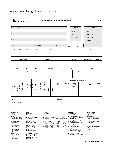<span id="page-37-0"></span>

| Albertan Government                                                                                                                                                                                                                                                                                                                                                                                                                                                                                                                                                                                                                                                                                                                                                                                                                                  |                         |              |                   |             |              |                                                                                                                                                                                                                                                                                                                                                                                       |                      |                  |              |                |                                                                                                  |                                                    | <b>SITE DESCRIPTION FORM</b>                                                                                                                                                                                                                                                                                                                                                                                                                     |           |         |                                                                                                                                                                                                                                             |                                                                                   |  |                 |                      | 2016         |
|------------------------------------------------------------------------------------------------------------------------------------------------------------------------------------------------------------------------------------------------------------------------------------------------------------------------------------------------------------------------------------------------------------------------------------------------------------------------------------------------------------------------------------------------------------------------------------------------------------------------------------------------------------------------------------------------------------------------------------------------------------------------------------------------------------------------------------------------------|-------------------------|--------------|-------------------|-------------|--------------|---------------------------------------------------------------------------------------------------------------------------------------------------------------------------------------------------------------------------------------------------------------------------------------------------------------------------------------------------------------------------------------|----------------------|------------------|--------------|----------------|--------------------------------------------------------------------------------------------------|----------------------------------------------------|--------------------------------------------------------------------------------------------------------------------------------------------------------------------------------------------------------------------------------------------------------------------------------------------------------------------------------------------------------------------------------------------------------------------------------------------------|-----------|---------|---------------------------------------------------------------------------------------------------------------------------------------------------------------------------------------------------------------------------------------------|-----------------------------------------------------------------------------------|--|-----------------|----------------------|--------------|
| Project Identification                                                                                                                                                                                                                                                                                                                                                                                                                                                                                                                                                                                                                                                                                                                                                                                                                               |                         |              |                   |             |              |                                                                                                                                                                                                                                                                                                                                                                                       |                      |                  |              |                |                                                                                                  |                                                    |                                                                                                                                                                                                                                                                                                                                                                                                                                                  |           |         |                                                                                                                                                                                                                                             | Level of<br>Assessment                                                            |  |                 |                      | Forms        |
|                                                                                                                                                                                                                                                                                                                                                                                                                                                                                                                                                                                                                                                                                                                                                                                                                                                      |                         |              |                   |             |              |                                                                                                                                                                                                                                                                                                                                                                                       |                      |                  |              |                |                                                                                                  |                                                    |                                                                                                                                                                                                                                                                                                                                                                                                                                                  |           |         |                                                                                                                                                                                                                                             | $\Box$ Visual                                                                     |  |                 | $\square$ Soils      |              |
| Surveyor(s)                                                                                                                                                                                                                                                                                                                                                                                                                                                                                                                                                                                                                                                                                                                                                                                                                                          |                         |              |                   |             |              |                                                                                                                                                                                                                                                                                                                                                                                       |                      |                  |              |                |                                                                                                  |                                                    |                                                                                                                                                                                                                                                                                                                                                                                                                                                  |           |         |                                                                                                                                                                                                                                             | $\Box$ Recon                                                                      |  |                 | $\square$ Vegetation |              |
|                                                                                                                                                                                                                                                                                                                                                                                                                                                                                                                                                                                                                                                                                                                                                                                                                                                      |                         |              |                   |             |              |                                                                                                                                                                                                                                                                                                                                                                                       |                      |                  |              |                |                                                                                                  |                                                    |                                                                                                                                                                                                                                                                                                                                                                                                                                                  |           |         |                                                                                                                                                                                                                                             | $\square$ Detailed                                                                |  |                 | $\square$ Supp Soils |              |
| Agency                                                                                                                                                                                                                                                                                                                                                                                                                                                                                                                                                                                                                                                                                                                                                                                                                                               |                         |              |                   |             |              |                                                                                                                                                                                                                                                                                                                                                                                       |                      |                  |              |                |                                                                                                  |                                                    |                                                                                                                                                                                                                                                                                                                                                                                                                                                  |           |         |                                                                                                                                                                                                                                             |                                                                                   |  |                 | $\Box$ Other         |              |
| Date (D/M/Y)                                                                                                                                                                                                                                                                                                                                                                                                                                                                                                                                                                                                                                                                                                                                                                                                                                         |                         |              |                   |             |              |                                                                                                                                                                                                                                                                                                                                                                                       |                      |                  | Project Code |                |                                                                                                  |                                                    | Plot #                                                                                                                                                                                                                                                                                                                                                                                                                                           |           |         | Plot<br>Area                                                                                                                                                                                                                                | Plot<br>Shape                                                                     |  |                 |                      |              |
| <b>LSD</b><br><b>SEC</b><br>GPS<br><b>TWP</b><br><b>RGE</b><br>Mer                                                                                                                                                                                                                                                                                                                                                                                                                                                                                                                                                                                                                                                                                                                                                                                   |                         |              |                   |             |              |                                                                                                                                                                                                                                                                                                                                                                                       |                      |                  |              |                |                                                                                                  |                                                    |                                                                                                                                                                                                                                                                                                                                                                                                                                                  | Latitude  |         |                                                                                                                                                                                                                                             |                                                                                   |  | Longitude       |                      |              |
|                                                                                                                                                                                                                                                                                                                                                                                                                                                                                                                                                                                                                                                                                                                                                                                                                                                      |                         |              |                   |             |              |                                                                                                                                                                                                                                                                                                                                                                                       |                      |                  |              |                |                                                                                                  |                                                    |                                                                                                                                                                                                                                                                                                                                                                                                                                                  |           |         |                                                                                                                                                                                                                                             |                                                                                   |  |                 |                      |              |
|                                                                                                                                                                                                                                                                                                                                                                                                                                                                                                                                                                                                                                                                                                                                                                                                                                                      | Site Photos (roll, no.) |              |                   |             |              |                                                                                                                                                                                                                                                                                                                                                                                       |                      |                  |              |                | Air Photos (roll, no.)                                                                           |                                                    |                                                                                                                                                                                                                                                                                                                                                                                                                                                  |           |         |                                                                                                                                                                                                                                             | Map Sheet                                                                         |  |                 | Nat Subregion        | Eco District |
|                                                                                                                                                                                                                                                                                                                                                                                                                                                                                                                                                                                                                                                                                                                                                                                                                                                      |                         |              |                   |             |              |                                                                                                                                                                                                                                                                                                                                                                                       |                      |                  |              |                |                                                                                                  |                                                    |                                                                                                                                                                                                                                                                                                                                                                                                                                                  |           |         |                                                                                                                                                                                                                                             |                                                                                   |  |                 |                      |              |
| <b>ELEVATION</b><br><b>ASPECT</b><br><b>SLOPE</b><br>Regen 2<br>Regen 1                                                                                                                                                                                                                                                                                                                                                                                                                                                                                                                                                                                                                                                                                                                                                                              |                         |              |                   |             |              |                                                                                                                                                                                                                                                                                                                                                                                       |                      |                  |              |                | Regen 3                                                                                          |                                                    |                                                                                                                                                                                                                                                                                                                                                                                                                                                  |           |         |                                                                                                                                                                                                                                             |                                                                                   |  |                 |                      |              |
| (m)                                                                                                                                                                                                                                                                                                                                                                                                                                                                                                                                                                                                                                                                                                                                                                                                                                                  |                         |              |                   | (°)         |              |                                                                                                                                                                                                                                                                                                                                                                                       | (% )                 |                  |              | <b>SP</b>      | %                                                                                                |                                                    | HT(m)                                                                                                                                                                                                                                                                                                                                                                                                                                            | <b>SP</b> |         | %                                                                                                                                                                                                                                           | HT(m)                                                                             |  | <b>SP</b>       | %                    | HT(m)        |
|                                                                                                                                                                                                                                                                                                                                                                                                                                                                                                                                                                                                                                                                                                                                                                                                                                                      |                         |              |                   |             |              |                                                                                                                                                                                                                                                                                                                                                                                       |                      |                  |              |                |                                                                                                  |                                                    |                                                                                                                                                                                                                                                                                                                                                                                                                                                  |           |         |                                                                                                                                                                                                                                             |                                                                                   |  |                 |                      |              |
|                                                                                                                                                                                                                                                                                                                                                                                                                                                                                                                                                                                                                                                                                                                                                                                                                                                      |                         |              |                   |             |              |                                                                                                                                                                                                                                                                                                                                                                                       |                      |                  |              |                |                                                                                                  |                                                    |                                                                                                                                                                                                                                                                                                                                                                                                                                                  |           |         |                                                                                                                                                                                                                                             | SURFACE SUBSTRATE (% Cover)                                                       |  |                 |                      |              |
| $\sim$<br>EXPOSURE<br>EXPOSURE<br><b>FLOOD</b>                                                                                                                                                                                                                                                                                                                                                                                                                                                                                                                                                                                                                                                                                                                                                                                                       | DRAINAGE                | PERVIOUSNESS | REGIONAL LANDFORM | SITE - MESO | SITE - SHAPE | SITE - MICRO                                                                                                                                                                                                                                                                                                                                                                          | <b>MOISTURE</b><br>щ | <b>NUTRIENTS</b> | SUCC. STATUS | SUCC. STATUS 2 | Factor 1                                                                                         | $\sim$<br>Factor                                   | Decaying<br>Wood                                                                                                                                                                                                                                                                                                                                                                                                                                 |           | Bedrock |                                                                                                                                                                                                                                             | Cobbles<br>and<br>Stones                                                          |  | Mineral<br>Soil | Organic<br>Matter    | Water        |
|                                                                                                                                                                                                                                                                                                                                                                                                                                                                                                                                                                                                                                                                                                                                                                                                                                                      |                         |              |                   |             |              |                                                                                                                                                                                                                                                                                                                                                                                       |                      |                  |              |                |                                                                                                  | $\bullet$                                          |                                                                                                                                                                                                                                                                                                                                                                                                                                                  |           |         |                                                                                                                                                                                                                                             |                                                                                   |  |                 |                      |              |
| Landform                                                                                                                                                                                                                                                                                                                                                                                                                                                                                                                                                                                                                                                                                                                                                                                                                                             |                         |              |                   |             |              |                                                                                                                                                                                                                                                                                                                                                                                       |                      |                  |              |                |                                                                                                  |                                                    | Vegetation                                                                                                                                                                                                                                                                                                                                                                                                                                       |           |         |                                                                                                                                                                                                                                             |                                                                                   |  |                 |                      |              |
| Classification System -                                                                                                                                                                                                                                                                                                                                                                                                                                                                                                                                                                                                                                                                                                                                                                                                                              |                         |              |                   |             |              |                                                                                                                                                                                                                                                                                                                                                                                       |                      |                  |              |                |                                                                                                  |                                                    | Classification System -                                                                                                                                                                                                                                                                                                                                                                                                                          |           |         |                                                                                                                                                                                                                                             |                                                                                   |  |                 |                      |              |
| Code -                                                                                                                                                                                                                                                                                                                                                                                                                                                                                                                                                                                                                                                                                                                                                                                                                                               |                         |              |                   |             |              |                                                                                                                                                                                                                                                                                                                                                                                       |                      |                  |              |                |                                                                                                  |                                                    | Code -                                                                                                                                                                                                                                                                                                                                                                                                                                           |           |         |                                                                                                                                                                                                                                             |                                                                                   |  |                 |                      |              |
| <b>EXPOSURE TYPE</b><br><b>PERVIOUSNESS</b><br>1. Not applicable<br>1. Rapidly<br>2. Wind<br>2. Moderately<br>3. Insolation<br>3. Slowly<br>4. Frost<br>5. Cold air drainage<br><b>REGIONAL LANDFORM</b><br>6. Atmospheric toxicity<br>1. Tableland (plateau)<br>dominated<br><b>FLOOD HAZARD</b><br>2. Hill land dominated<br>1. No hazard<br>3. Mountain dominated<br>2. Rare<br>4. Organic wetland dominated<br>3. May be expected<br>5. Plain dominated<br>4. Frequent<br>6. Scarp dominated<br>7. Valley dominated<br><b>SOIL DRAINAGE</b><br>8. Dune dominated<br>1. Very rapidly<br>9. Delta (deltaic plain)<br>2. Rapidly<br>SITE POSITION - MESO<br>3. Well<br>4. Moderately well<br>5. Toe<br>1. Crest<br>5. Imperfectly<br>2. Upper Slope<br>6. Depression<br>6 Poorly<br>3. Middle Slope<br>7. Level<br>7. Very poorly<br>4. Lower Slope |                         |              |                   |             |              | SITE SURFACE SHAPE<br>1. Straight<br>2. Concave<br>3. Convex<br>SITE MICROTOPOGRAPHY<br>Micro Relief Class<br>Mount ht. (m)<br>1. Level<br>few<br>2. Micro mounded<br>< 0.3<br>3. Slightly mounded<br>$0.3 - 1$<br>$0.3 - 1$<br>4. Moderately mounded<br>5. Strongly mounded<br>$0.3 - 1$<br>6. Severely mounded<br>$0.3 - 1$<br>7. Extremely mounded<br>>1<br>8. Ultra mounded<br>>1 |                      |                  |              |                | Spacing<br>Between (m)<br>none<br>$\sim$<br>>7<br>$3 - 7$<br>$1 - 3$<br>$0.3 - 1$<br>>3<br>$<$ 3 | <b>REGIME</b><br>2. Xeric (drv)<br>9. Hydric (wet) | <b>ECOLOGICAL MOISTURE</b><br>1. Very xeric (very dry)<br>3. Subxeric (moderately dry)<br>4. Submesic (moderately fresh)<br>5. Mesic (fresh)<br>6. Subhygric (moderately moist)<br>7. Hygric (moist)<br>8. Subhydric (moderately wet)<br><b>NUTRIENT REGIME</b><br>1. Oligotrophic (very poor)<br>2. Submesotrophic (poor)<br>3. Mesotrophic (medium)<br>4. Permesotrophic (rich)<br>5. Eutrophic (very rich)<br>6. Hypereutrophic (e.g. saline) |           |         | 1. Pioneer seral<br>2. Young seral<br>3.<br>Mature seral<br>4.<br>Old seral<br>5. Young edaphic climax<br>6.<br>7. Young climatic climax<br>8. Mature climatic climax<br>9. Disclimax<br>10. Non vegetated<br>See over page for<br>listing. | <b>SUCCESSIONAL STATUS</b><br>Mature edaphic climax<br><b>DISTURBANCE FACTORS</b> |  |                 |                      |              |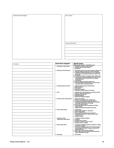Landscape Profile Diagram

| Site Location        |  |  |  |
|----------------------|--|--|--|
|                      |  |  |  |
|                      |  |  |  |
|                      |  |  |  |
|                      |  |  |  |
|                      |  |  |  |
|                      |  |  |  |
|                      |  |  |  |
|                      |  |  |  |
|                      |  |  |  |
|                      |  |  |  |
|                      |  |  |  |
|                      |  |  |  |
| Location Description |  |  |  |
|                      |  |  |  |
|                      |  |  |  |
|                      |  |  |  |
|                      |  |  |  |
|                      |  |  |  |
|                      |  |  |  |
|                      |  |  |  |

| Comments | <b>Broad Factor Categories</b>                        | <b>Specific Factors</b>                                                                                                                                                                                                                                                                                                                                                                                                                                                                                                                                                                                                             |
|----------|-------------------------------------------------------|-------------------------------------------------------------------------------------------------------------------------------------------------------------------------------------------------------------------------------------------------------------------------------------------------------------------------------------------------------------------------------------------------------------------------------------------------------------------------------------------------------------------------------------------------------------------------------------------------------------------------------------|
|          | 1. Atmospheric-related effects                        | (Note specific details in "Comments" area)<br>1. Atmospheric pollution (specify type)<br>2. Climate extremes (specify type)<br>3. Windthrow                                                                                                                                                                                                                                                                                                                                                                                                                                                                                         |
|          | 2. Cutting and soil disturbances:                     | 1. Abandoned construction sites (road-bed, railway, etc.)<br>2. Clearcut logging (no slash burn unless indicated)<br>3. Cultivation (continued disturbance of the vegetation<br>and/or the soil, excluding harvesting of native crop)<br>4. Excavation<br>5. Harvesting of native crop (haying, berry picking, etc.)<br>6. Land clearing (includes grubbing and/or other forms<br>of disturbance of the natural soil as for pipeline<br>construction etc.)<br>7. Scarification<br>8. Selective logging (including shelter cut)<br>9. Soil compaction (including effects from foot traffic,<br>machinery traffic and animal traffic) |
|          | 3. Dumping, disposal and spills                       | 1. Chemical spill or disposal (specify type)<br>2. Effluent disposal<br>3. Mine spoils<br>4. Oil spill or disposal<br>5. Radioactive waste disposal or exposure                                                                                                                                                                                                                                                                                                                                                                                                                                                                     |
|          | 4. Fires                                              | 1. Intensive fires (consuming trees and larger shrubs)<br>2. Light fire (primarily ground fire)<br>3. Repeated intensive fire<br>4. Repeated light fire<br>5. Slash burn (following logging)                                                                                                                                                                                                                                                                                                                                                                                                                                        |
|          | 5. Plant and animal-related effects:                  | 1. Beaver tree cutting<br>2. Disease (excluding insects: specify type)<br>3. Domestic grazing/browsing (specify animal)<br>4. Excrement accumulation (other than that normally<br>associated with grazing or browsing)<br>5. Insect kill (specify insect)<br>6. Succession (generation of vegetation including<br>climax stands)<br>7. Wildlife grazing/browsing (specify animals)                                                                                                                                                                                                                                                  |
|          | 6. Terrain-related effects                            | 1. Avalanching<br>2. Eolian (active deflation or deposition)<br>3. Recent deglaciation<br>4. Rock quarrying (including open mine pits)<br>5. Terrain failures (active or recent slumps, slides,<br>solifluction, etc.)<br>6. Volcanic activity                                                                                                                                                                                                                                                                                                                                                                                      |
|          | 7. Vegetation and site<br>improvement-related effects | 1. Fertilization (specify fertilizer)<br>2. Irrigation<br>3. Planted trees or shrubs<br>4. Seeded or planted to grass or herbs<br>5. Seeded to trees or shrubs                                                                                                                                                                                                                                                                                                                                                                                                                                                                      |
|          | 8. Water-related effects:                             | 1. Inundation (including temporary inundation resulting<br>from beaver activity)<br>2. Temporary seepage (usually man-induced seepage;<br>this excludes intermittent seepage resulting from<br>climate patterns.)<br>3. Water table control (diking, damming)<br>4. Water table depression (associated with extensive<br>water extraction from wells.                                                                                                                                                                                                                                                                               |
|          | 9. Not evident                                        | 0. Not evident                                                                                                                                                                                                                                                                                                                                                                                                                                                                                                                                                                                                                      |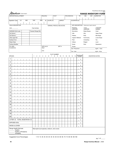# $Albake$

Prairie/Rocky Mountain MF5 2016

| <b>Klbertan</b> Government                                          |            |                     |              |                       |   |                                               |            |           |                |                            |   |        |       |             |             |       |                                    |                  |                             |     | <b>RANGE INVENTORY FORM</b> |  |
|---------------------------------------------------------------------|------------|---------------------|--------------|-----------------------|---|-----------------------------------------------|------------|-----------|----------------|----------------------------|---|--------|-------|-------------|-------------|-------|------------------------------------|------------------|-----------------------------|-----|-----------------------------|--|
| <b>DISPOSITION/ALLOTMENT</b>                                        |            |                     |              |                       |   |                                               | FIELD/DU   |           |                | <b>PLOT</b>                |   |        |       |             | POLYGON NO. |       |                                    | YR               | MO                          | DAY | <b>SURVEYOR</b>             |  |
| LS<br>Vegetation Type                                               | <b>SEC</b> |                     | TWP          |                       |   | RGE                                           | М          | SLOPE (%) |                |                            |   | ASPECT |       |             |             |       | ELEVATION (m)                      |                  |                             |     |                             |  |
|                                                                     |            |                     |              |                       |   |                                               |            |           |                |                            |   |        |       |             |             |       |                                    |                  |                             |     |                             |  |
| SOILS DESCRIPTION                                                   |            |                     |              |                       |   |                                               |            |           |                | TERRAIN, PROFILE AND NOTES |   |        |       |             |             |       |                                    | SITE DESCRIPTION | (Circle one in each column) |     |                             |  |
|                                                                     |            |                     |              | <b>Field Verified</b> |   |                                               |            |           |                |                            |   |        |       |             |             |       | <b>REGIONAL</b><br><b>LANDFORM</b> |                  | LOCAL<br><b>LANDFORM</b>    |     | LANDFORM<br><b>ELEMENT</b>  |  |
| AGRASID SLM code                                                    |            | Transect Range Site |              |                       |   |                                               |            |           |                |                            |   |        |       |             |             |       | Mountains                          |                  | <b>Steep Slopes</b>         |     | Crest                       |  |
| Soil Series 1                                                       |            |                     |              |                       |   |                                               |            |           |                |                            |   |        |       |             |             | Hills |                                    |                  | Hilly                       |     | <b>Upper Slope</b>          |  |
| Soil Series 2                                                       |            |                     |              |                       |   |                                               |            |           |                |                            |   |        |       |             |             |       | Plateau                            |                  | Rolly                       |     | Mid-Slope                   |  |
| Other signif SS                                                     |            |                     |              |                       |   |                                               |            |           |                |                            |   |        |       |             |             |       | Organic Wetland                    |                  | Hummocky                    |     | Lower Slope                 |  |
| Surface Form                                                        |            |                     |              |                       |   |                                               |            |           |                |                            |   |        |       |             |             | Plain |                                    |                  | Undulating                  |     | Toe                         |  |
| Slope Class                                                         |            |                     |              |                       |   |                                               |            |           |                |                            |   |        |       |             |             |       | Valleys                            |                  | Ridged                      |     | Level                       |  |
| Surface Modifier                                                    |            |                     |              |                       |   |                                               |            |           |                |                            |   |        |       |             |             |       | Scarp                              |                  | Plain                       |     | Depression                  |  |
| PC-ORD:<br>Ecodistricts:                                            |            |                     |              |                       |   | Start                                         | GPS Unit # |           |                |                            |   | WPT#   |       |             |             |       | Dunes                              |                  |                             |     |                             |  |
|                                                                     |            |                     |              |                       |   |                                               |            |           |                |                            |   |        |       |             |             |       | Est. Production _                  |                  |                             |     | kg/ha lb/ac                 |  |
|                                                                     |            |                     |              |                       |   | End                                           |            |           |                |                            |   |        |       |             |             |       | Est. Litter                        |                  |                             |     | kg/ha lb/ac                 |  |
| <b>SPECIES</b>                                                      |            |                     | $\mathbf{1}$ | $\overline{c}$        | 3 | 4                                             | 5          | 6         | $\overline{7}$ | PLOT NUMBER<br>8           | 9 |        | 10 11 | 12 13 14 15 |             |       |                                    | AVERAGE<br>COVER |                             |     | <b>VEGETATION NOTES</b>     |  |
|                                                                     |            |                     |              |                       |   |                                               |            |           |                |                            |   |        |       |             |             |       |                                    |                  |                             |     |                             |  |
| $\mathbf{1}$                                                        |            |                     |              |                       |   |                                               |            |           |                |                            |   |        |       |             |             |       |                                    | $\bullet$        |                             |     |                             |  |
| $\sqrt{2}$                                                          |            |                     |              |                       |   |                                               |            |           |                |                            |   |        |       |             |             |       |                                    | $\bullet$        |                             |     |                             |  |
| $\ensuremath{\mathsf{3}}$                                           |            |                     |              |                       |   |                                               |            |           |                |                            |   |        |       |             |             |       |                                    | $\bullet$        |                             |     |                             |  |
| 4                                                                   |            |                     |              |                       |   |                                               |            |           |                |                            |   |        |       |             |             |       |                                    | $\bullet$        |                             |     |                             |  |
| 5                                                                   |            |                     |              |                       |   |                                               |            |           |                |                            |   |        |       |             |             |       |                                    | ٠                |                             |     |                             |  |
|                                                                     |            |                     |              |                       |   |                                               |            |           |                |                            |   |        |       |             |             |       |                                    |                  |                             |     |                             |  |
| 6                                                                   |            |                     |              |                       |   |                                               |            |           |                |                            |   |        |       |             |             |       |                                    | ٠                |                             |     |                             |  |
| $\overline{7}$                                                      |            |                     |              |                       |   |                                               |            |           |                |                            |   |        |       |             |             |       |                                    | $\bullet$        |                             |     |                             |  |
| $\bf 8$                                                             |            |                     |              |                       |   |                                               |            |           |                |                            |   |        |       |             |             |       |                                    | ٠                |                             |     |                             |  |
| $\boldsymbol{9}$                                                    |            |                     |              |                       |   |                                               |            |           |                |                            |   |        |       |             |             |       |                                    | $\bullet$        |                             |     |                             |  |
| 10                                                                  |            |                     |              |                       |   |                                               |            |           |                |                            |   |        |       |             |             |       |                                    | $\bullet$        |                             |     |                             |  |
| 11                                                                  |            |                     |              |                       |   |                                               |            |           |                |                            |   |        |       |             |             |       |                                    | $\bullet$        |                             |     |                             |  |
| 12                                                                  |            |                     |              |                       |   |                                               |            |           |                |                            |   |        |       |             |             |       |                                    | $\bullet$        |                             |     |                             |  |
| 13                                                                  |            |                     |              |                       |   |                                               |            |           |                |                            |   |        |       |             |             |       |                                    | ٠                |                             |     |                             |  |
| 14                                                                  |            |                     |              |                       |   |                                               |            |           |                |                            |   |        |       |             |             |       |                                    | $\bullet$        |                             |     |                             |  |
| 15                                                                  |            |                     |              |                       |   |                                               |            |           |                |                            |   |        |       |             |             |       |                                    |                  |                             |     |                             |  |
| 16                                                                  |            |                     |              |                       |   |                                               |            |           |                |                            |   |        |       |             |             |       |                                    | $\bullet$        |                             |     |                             |  |
| 17                                                                  |            |                     |              |                       |   |                                               |            |           |                |                            |   |        |       |             |             |       |                                    | ٠                |                             |     |                             |  |
| 18                                                                  |            |                     |              |                       |   |                                               |            |           |                |                            |   |        |       |             |             |       |                                    |                  |                             |     |                             |  |
|                                                                     |            |                     |              |                       |   |                                               |            |           |                |                            |   |        |       |             |             |       |                                    | ٠                |                             |     |                             |  |
| 19                                                                  |            |                     |              |                       |   |                                               |            |           |                |                            |   |        |       |             |             |       |                                    | $\bullet$        |                             |     |                             |  |
| 20                                                                  |            |                     |              |                       |   |                                               |            |           |                |                            |   |        |       |             |             |       |                                    | ٠                |                             |     |                             |  |
| LITTER <b>D</b> TOTAL VEGETATION <b>D</b>                           |            |                     |              |                       |   |                                               |            |           |                |                            |   |        |       |             |             |       |                                    | $\bullet$        |                             |     |                             |  |
| <b>EXPOSED SOIL</b>                                                 |            |                     |              |                       |   |                                               |            |           |                |                            |   |        |       |             |             |       |                                    | ٠                |                             |     |                             |  |
| <b>MOSS &amp; LICHEN</b>                                            |            |                     |              |                       |   |                                               |            |           |                |                            |   |        |       |             |             |       |                                    | ٠                |                             |     |                             |  |
| Range Health Estimate<br>Healthy<br>Healthy w/Problems<br>Unhealthy |            |                     |              |                       |   | Macroplot (List species, stratum, and cover): |            |           |                |                            |   |        |       |             |             |       |                                    |                  |                             |     |                             |  |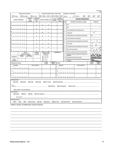Prairie MF5

|                                                             | RANGE USE CATEGORY               |                        |                               | GRAZING INTENSITY (EST. LONG TERM)         |                           |                                |                         | <b>CURRENT UTILIZATION</b>                                                                                     | 2016                                                |
|-------------------------------------------------------------|----------------------------------|------------------------|-------------------------------|--------------------------------------------|---------------------------|--------------------------------|-------------------------|----------------------------------------------------------------------------------------------------------------|-----------------------------------------------------|
|                                                             |                                  |                        |                               |                                            |                           |                                |                         | $\Box$ G<br>ΩΕ<br><b>VIGOUR</b>                                                                                | $\Box$ F<br>אם                                      |
| $\Box$ Primary                                              | Secondary                        | <b>DENSITY</b>         | □ Non Use<br><b>MEDIAN</b>    | <b>□□□□·□□··· □□ □</b> □                   |                           | <b>BASAL</b>                   | (EST)                   | $\%$                                                                                                           |                                                     |
| WOODY SPECIES                                               |                                  | DIST.                  | <b>HEIGHT</b>                 | <b>HEIGHT RANGE (m)</b>                    | % AREA<br><b>COVER</b>    | <b>DIAMETER</b>                |                         | <b>Density Distribution</b>                                                                                    |                                                     |
|                                                             |                                  | <b>CLASS</b>           | (m)                           |                                            |                           | (mm)                           | Class                   | Description of abundance in polygon                                                                            | Distribution                                        |
| 1.                                                          |                                  |                        | $\bullet$                     |                                            |                           |                                | 0                       | None                                                                                                           |                                                     |
| $\mathbf{2}$                                                |                                  |                        | ٠                             | ٠                                          |                           |                                | $\mathbf{1}$            | Rare                                                                                                           |                                                     |
|                                                             |                                  |                        |                               |                                            |                           |                                | $\overline{\mathbf{c}}$ | A few sporadically occurring individual plants                                                                 | $\bullet$                                           |
| 3                                                           |                                  |                        | ٠                             |                                            |                           |                                | 3                       | A Single patch                                                                                                 | $\ddotsc$                                           |
| 4                                                           |                                  |                        |                               |                                            |                           |                                | 4                       | A single patch plus a few sporadically occurring plants                                                        | ٠,                                                  |
| 5 <sup>5</sup>                                              |                                  |                        |                               |                                            |                           |                                | 5                       | Several sporadically occurring plants                                                                          |                                                     |
|                                                             |                                  |                        | ٠                             |                                            |                           |                                | 6                       | A single patch plus several sporadically occurring plants                                                      |                                                     |
| $6 \mid$                                                    |                                  |                        | ٠                             |                                            |                           |                                | $\overline{7}$          | A few patches                                                                                                  | -7                                                  |
| 7                                                           |                                  |                        |                               |                                            |                           |                                | 8                       | A few patches plus several sporadically occurring plants                                                       | ٠,                                                  |
|                                                             |                                  |                        | ٠                             |                                            |                           |                                | 9                       |                                                                                                                |                                                     |
| 8                                                           |                                  |                        | ٠                             |                                            |                           |                                |                         | Several well spaced patches                                                                                    |                                                     |
|                                                             | <b>TOTAL</b><br>SHRUB COVER      |                        | <b>FOREST</b><br><b>COVER</b> | <b>HEIGHT CLASS</b><br><b>DISTRIBUTION</b> |                           | <b>COMMENTS</b>                | 10                      | Continuous uniform occurrences of well spaced plants<br>Continuous occurrence of plants with a few gaps in the |                                                     |
| <b>DOMINANT</b>                                             | <b>HEIGHT</b><br>CLASS           | DENSITY<br>DIST. CLASS |                               | CODE (m)<br>$91 = 0 - 0.5$                 |                           |                                | 11                      | distribution                                                                                                   |                                                     |
| <b>SUB</b>                                                  |                                  |                        |                               | $92 = 0.5 - 1$<br>$93 = 1 - 3$             |                           |                                | 12                      | Continuous dense occurrence of plants                                                                          |                                                     |
| <b>DOMINANT</b>                                             |                                  |                        |                               | $94 = 3 - 6$                               |                           |                                | 13                      | Continuous occurrence of plants with a distinct linear edge in<br>the polygon                                  | ઃ                                                   |
| POISONOUS PLANTS                                            |                                  |                        |                               | % AREA<br>COVER                            | DENSITY<br>DIST.<br>CLASS | WEEDS                          |                         |                                                                                                                | <b>DENSITY</b><br>% AREA<br>DIST.<br>CLASS<br>COVER |
| <b>SPECIES</b><br>$\mathbf{1}$                              |                                  |                        | <b>GPS LOCATION</b>           |                                            |                           | <b>SPECIES</b><br>$\mathbf{1}$ |                         | <b>GPS LOCATION</b>                                                                                            |                                                     |
|                                                             |                                  |                        |                               |                                            |                           |                                |                         |                                                                                                                |                                                     |
| 2                                                           |                                  |                        |                               |                                            |                           | $\overline{c}$                 |                         |                                                                                                                |                                                     |
|                                                             |                                  |                        |                               |                                            |                           |                                |                         |                                                                                                                |                                                     |
| 3                                                           |                                  |                        |                               |                                            |                           | 3                              |                         |                                                                                                                |                                                     |
| WATER SOURCE                                                |                                  |                        |                               |                                            |                           |                                |                         |                                                                                                                |                                                     |
| $\Box$ creek                                                | $\Box$ dugout                    | $\Box$ trough          | $\Box$ slough                 | $\Box$ lake / pond                         |                           | $\Box$ other (specify)         |                         |                                                                                                                |                                                     |
|                                                             |                                  |                        |                               |                                            |                           |                                |                         |                                                                                                                |                                                     |
| GPS<br>LOCATION                                             |                                  |                        |                               |                                            | $\Box$ Required           | Not Required                   |                         | Distance (km)                                                                                                  |                                                     |
|                                                             | Water Quality / Access (specify) |                        |                               |                                            |                           |                                |                         |                                                                                                                |                                                     |
| SALT SOURCE                                                 |                                  |                        |                               |                                            |                           |                                |                         |                                                                                                                |                                                     |
| □ Natural                                                   | $\Box$ Block                     | $\Box$ Bag             |                               | $\Box$ Other (specify)                     |                           |                                |                         |                                                                                                                |                                                     |
| <b>GPS LOCATION</b>                                         |                                  |                        |                               |                                            |                           |                                |                         |                                                                                                                |                                                     |
| ACCESS (CATTLE)                                             |                                  |                        |                               |                                            |                           |                                |                         |                                                                                                                |                                                     |
| $\Box$ G                                                    | 口印<br>OP                         | $\Box$ truck trail     |                               | $\Box$ road<br>$\Box$ seismic              |                           | $\Box$ game trail              |                         | $\Box$ valley bottom<br>$\Box$ other (specify)                                                                 |                                                     |
| COMMENTS: CONCERNS / RECOMMENDATIONS / RESOURCE INTEGRATION |                                  |                        |                               |                                            |                           |                                |                         |                                                                                                                |                                                     |
|                                                             |                                  |                        |                               |                                            |                           |                                |                         |                                                                                                                |                                                     |
|                                                             |                                  |                        |                               |                                            |                           |                                |                         |                                                                                                                |                                                     |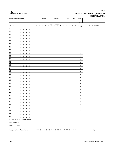

| <b>DISPOSITION/ALLOTMENT</b> | <b>FIELD/DU</b> |                |   |                |   |   | PLOT NO.                      |   |   | <b>YR</b><br>MO |  |             |  | DAY |    |                  |                         |
|------------------------------|-----------------|----------------|---|----------------|---|---|-------------------------------|---|---|-----------------|--|-------------|--|-----|----|------------------|-------------------------|
|                              |                 |                |   |                |   |   |                               |   |   |                 |  |             |  |     |    |                  |                         |
| <b>SPECIES</b>               | $\mathbf{1}$    | $\overline{c}$ | 3 | $\overline{4}$ | 5 | 6 | PLOT NUMBER<br>$\overline{7}$ | 8 | 9 |                 |  | 10 11 12 13 |  | 14  | 15 | AVERAGE<br>COVER | <b>VEGETATION NOTES</b> |
| 21                           |                 |                |   |                |   |   |                               |   |   |                 |  |             |  |     |    | $\bullet$        |                         |
| 22                           |                 |                |   |                |   |   |                               |   |   |                 |  |             |  |     |    | $\bullet$        |                         |
| 23                           |                 |                |   |                |   |   |                               |   |   |                 |  |             |  |     |    | $\bullet$        |                         |
| 24                           |                 |                |   |                |   |   |                               |   |   |                 |  |             |  |     |    | $\bullet$        |                         |
| 25                           |                 |                |   |                |   |   |                               |   |   |                 |  |             |  |     |    | $\bullet$        |                         |
| 26                           |                 |                |   |                |   |   |                               |   |   |                 |  |             |  |     |    | $\bullet$        |                         |
| 27                           |                 |                |   |                |   |   |                               |   |   |                 |  |             |  |     |    | $\bullet$        |                         |
| 28                           |                 |                |   |                |   |   |                               |   |   |                 |  |             |  |     |    | $\bullet$        |                         |
| 29                           |                 |                |   |                |   |   |                               |   |   |                 |  |             |  |     |    | $\bullet$        |                         |
| $30\,$                       |                 |                |   |                |   |   |                               |   |   |                 |  |             |  |     |    | $\bullet$        |                         |
| 31                           |                 |                |   |                |   |   |                               |   |   |                 |  |             |  |     |    | $\bullet$        |                         |
| 32                           |                 |                |   |                |   |   |                               |   |   |                 |  |             |  |     |    | $\bullet$        |                         |
| 33                           |                 |                |   |                |   |   |                               |   |   |                 |  |             |  |     |    | $\bullet$        |                         |
| 34                           |                 |                |   |                |   |   |                               |   |   |                 |  |             |  |     |    | $\bullet$        |                         |
| 35                           |                 |                |   |                |   |   |                               |   |   |                 |  |             |  |     |    | $\bullet$        |                         |
| 36                           |                 |                |   |                |   |   |                               |   |   |                 |  |             |  |     |    | $\bullet$        |                         |
| 37                           |                 |                |   |                |   |   |                               |   |   |                 |  |             |  |     |    | $\bullet$        |                         |
| 38                           |                 |                |   |                |   |   |                               |   |   |                 |  |             |  |     |    | $\bullet$        |                         |
| 39                           |                 |                |   |                |   |   |                               |   |   |                 |  |             |  |     |    | $\bullet$        |                         |
| 40                           |                 |                |   |                |   |   |                               |   |   |                 |  |             |  |     |    | $\bullet$        |                         |
| 41                           |                 |                |   |                |   |   |                               |   |   |                 |  |             |  |     |    | $\bullet$        |                         |
| $42\,$                       |                 |                |   |                |   |   |                               |   |   |                 |  |             |  |     |    | $\bullet$        |                         |
| 43                           |                 |                |   |                |   |   |                               |   |   |                 |  |             |  |     |    | $\bullet$        |                         |
| $44\,$                       |                 |                |   |                |   |   |                               |   |   |                 |  |             |  |     |    | $\bullet$        |                         |
| 45                           |                 |                |   |                |   |   |                               |   |   |                 |  |             |  |     |    | $\bullet$        |                         |
| 46                           |                 |                |   |                |   |   |                               |   |   |                 |  |             |  |     |    | $\bullet$        |                         |
| $47\,$                       |                 |                |   |                |   |   |                               |   |   |                 |  |             |  |     |    | $\bullet$        |                         |
| 48                           |                 |                |   |                |   |   |                               |   |   |                 |  |             |  |     |    | $\bullet$        |                         |
| 49                           |                 |                |   |                |   |   |                               |   |   |                 |  |             |  |     |    | $\bullet$        |                         |
| 50                           |                 |                |   |                |   |   |                               |   |   |                 |  |             |  |     |    | $\bullet$        |                         |
| LITTER O TOTAL VEGETATION O  |                 |                |   |                |   |   |                               |   |   |                 |  |             |  |     |    | $\bullet$        |                         |
| <b>EXPOSED SOIL</b>          |                 |                |   |                |   |   |                               |   |   |                 |  |             |  |     |    | ٠                |                         |
| MOSS & LICHEN                |                 |                |   |                |   |   |                               |   |   |                 |  |             |  |     |    | $\bullet$        |                         |

Suggested Cover Percentages: 1-10 15 20 25 30 35 40 45 50 55 60 65 70 75 80 85 90-100

pg. \_\_\_\_\_\_ of \_\_\_\_\_\_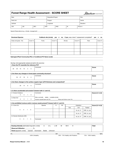| <b>Forest Range Health Assessment - SCORE SHEET</b> |  |
|-----------------------------------------------------|--|
|                                                     |  |

Albertan Government

| Date:<br>Observer: |     |  |      | Disposition/Project: |            |      | Plot: |  |            |  |  |
|--------------------|-----|--|------|----------------------|------------|------|-------|--|------------|--|--|
| Field Unit:        |     |  |      |                      | Polygon:   |      |       |  | Decile:    |  |  |
| Latitude:          |     |  |      |                      | Longitude: |      |       |  | Elevation: |  |  |
| LSD:               | QS: |  | SEC: | TWP:                 |            | RGE: | M.    |  | Photo #:   |  |  |

Special Observations (e.g., climate, management)

# Dominant Species **Cutblock site (circle):** yes or no; if yes, was a level 1 assessment completed? yes or no Grass and grass - like Cover % Forbs Cover % Shrubs Cover % Trees Cover %

\_\_\_\_\_\_\_\_\_\_\_\_\_\_\_\_\_\_\_\_\_\_\_\_\_\_\_\_\_\_\_\_\_\_\_\_\_\_\_\_\_\_\_\_\_\_\_\_\_\_\_\_\_\_\_\_\_\_\_\_\_\_\_\_\_\_\_\_\_\_\_\_\_\_\_\_\_\_\_\_\_\_\_\_\_\_\_\_\_\_\_\_\_\_\_\_\_\_\_\_\_\_\_\_\_\_\_\_\_\_\_\_\_\_\_\_\_\_\_\_\_\_\_\_\_\_\_\_\_\_\_\_\_\_\_\_\_\_\_\_\_\_\_\_\_\_\_\_\_\_\_\_\_\_

\_\_\_\_\_\_\_\_\_\_\_\_\_\_\_\_\_\_\_\_\_\_\_\_\_\_\_\_\_\_\_\_\_\_\_\_\_\_\_\_\_\_\_\_\_\_\_\_\_\_\_\_\_\_\_\_\_\_\_\_\_\_\_\_\_\_\_\_\_\_\_\_\_\_\_\_\_\_\_\_\_\_\_\_\_\_\_\_\_\_\_\_\_\_\_\_\_\_\_\_\_\_\_\_\_\_\_\_\_\_\_\_\_\_\_\_\_\_\_\_\_\_\_\_\_\_\_\_\_\_\_\_\_\_\_\_\_\_\_\_\_\_\_\_\_\_\_\_\_\_\_\_\_\_

Subregion/Plant Community (PC) or Conditional PC Name (code)

#### *Scoring: circle appropriate value(s) and add to the score box*

# 1. Does the PC resemble the reference PC? 25 20 15 10 5 0 **Comments** Score **Score** Score **Score** Score **Score** Score **Score** Score **Score** Score **Score** Score **Score** Score **Score** Score **Score** Score **Score** Score **Score** Score **Score** Score **Score** Score **Score** Score Score Sco

#### 2. Are there any changes in forest plant community structure?

| 35 | 27 | 18 | $\sim$<br>ч | $\sim$<br>u<br>$\sim$ | `ommonte | Score |
|----|----|----|-------------|-----------------------|----------|-------|
|    |    |    |             |                       |          |       |

#### 3. Are there changes to the surface organic layer (LFH thickness and compaction)?

|    |    |   | `omments | Score |
|----|----|---|----------|-------|
| 20 | 14 | o |          |       |
|    |    |   |          |       |

#### 4. Is there accelerated soil erosion? Answer both 4.1 and 4.2.

| 4.1 Erosion Evidence |  |  | Comments                                                | Score (4.1+4.2) |
|----------------------|--|--|---------------------------------------------------------|-----------------|
|                      |  |  |                                                         |                 |
| 4.2 Bare Soil        |  |  | Site is normally stable / unstable (circle)             |                 |
|                      |  |  | Human-caused bare soil (%)<br>Moss and lichen cover (%) |                 |

#### 5. Are prohibited noxious and/or noxious weeds present? Answer both 5.1 and 5.2.

| 5.1 Cover (%)                                          |          |                | Species  |     | %   | <b>DD</b> |          | Infestation  |              | Score $(5.1 + 5.2)$ |
|--------------------------------------------------------|----------|----------------|----------|-----|-----|-----------|----------|--------------|--------------|---------------------|
|                                                        |          |                |          |     |     |           | Size     | Unit         | Treated      |                     |
| 5 <sup>5</sup><br>3                                    | $-1$     | $\overline{0}$ |          |     |     |           |          | ha, ac, $m2$ | UNK, no, yes |                     |
|                                                        |          |                |          |     |     |           |          | ha, $ac, m2$ | UNK, no, yes |                     |
| 5.2 Density Distribution (DD)                          |          |                |          |     |     |           |          | ha, ac, $m2$ | UNK, no, yes |                     |
| $5^{\circ}$<br>3                                       | $1 \t 0$ |                | Comments |     |     |           |          |              |              |                     |
|                                                        |          |                |          |     |     |           |          |              |              |                     |
| <b>Grazing Intensity (estimated long term; circle)</b> |          |                | U        | U-L | L-M | M         | Н<br>M-H |              |              | <b>Total</b>        |
| Observed Utilization %                                 |          |                |          |     |     |           |          |              |              |                     |

#### Trend (apparent; circle): Upward Downward Stable Unknown

0%----------------------------------------------------------------------------------------50% -------------------------------------- 75%----------------------------------------100% <50% Unhealthy 50% - 74% Healthy with Problems 75% - 100% Healthy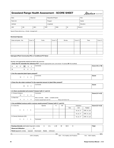# Grassland Range Health Assessment - SCORE SHEET

| Date:       |                     | Observer: |  | Disposition/Project: |      | Plot:      |          |  |  |
|-------------|---------------------|-----------|--|----------------------|------|------------|----------|--|--|
| Field Unit: |                     |           |  | Polygon:             |      |            | Decile:  |  |  |
| Latitude:   |                     |           |  | Longitude:           |      | Elevation: |          |  |  |
| LSD:        | SEC:<br>QS:<br>TWP: |           |  |                      | RGE: | М.         | Photo #: |  |  |
|             |                     |           |  |                      |      |            |          |  |  |

\_\_\_\_\_\_\_\_\_\_\_\_\_\_\_\_\_\_\_\_\_\_\_\_\_\_\_\_\_\_\_\_\_\_\_\_\_\_\_\_\_\_\_\_\_\_\_\_\_\_\_\_\_\_\_\_\_\_\_\_\_\_\_\_\_\_\_\_\_\_\_\_\_\_\_\_\_\_\_\_\_\_\_\_\_\_\_\_\_\_\_\_\_\_\_\_\_\_\_\_\_\_\_\_\_\_\_\_\_\_\_\_\_\_\_\_\_\_\_\_\_\_\_\_\_\_\_\_\_\_\_\_\_\_\_\_\_\_\_\_\_\_\_\_\_\_\_\_\_\_\_\_\_\_

Special Observations (e.g., climate, management) \_

#### Dominant Species

| Grass and grass - like | Cover % | Forbs | Cover % | Shrubs | Cover % | Trees | Cover % |
|------------------------|---------|-------|---------|--------|---------|-------|---------|
|                        |         |       |         |        |         |       |         |
|                        |         |       |         |        |         |       |         |
|                        |         |       |         |        |         |       |         |
|                        |         |       |         |        |         |       |         |

Subregion/Plant Community (PC) or Conditional PC Name

#### *Scoring: circle appropriate value(s) and add to the score box*

1. Does the PC resemble the reference PC? Circle the appropriate score, and answer 1A (native) OR 1B (modified)

| 40<br>1A | 27 | 20 | 15 | $\sim$ | Comments | Score (1A or 1B) |
|----------|----|----|----|--------|----------|------------------|
| 1B       |    |    |    |        |          |                  |

\_\_\_\_\_\_\_\_\_\_\_\_\_\_\_\_\_\_\_\_\_\_\_\_\_\_\_\_\_\_\_\_\_\_\_\_\_\_\_\_\_\_\_\_\_\_\_\_\_\_\_\_\_\_\_\_\_\_\_\_\_\_\_\_\_\_\_\_\_\_\_\_\_\_\_\_\_\_\_\_\_\_\_\_\_\_\_\_\_\_\_\_\_\_\_\_\_\_\_\_\_\_\_\_\_\_\_\_\_\_\_\_\_\_\_\_\_\_\_\_\_\_\_\_\_\_\_\_\_\_\_\_\_\_\_\_\_\_\_\_\_\_\_\_\_\_\_\_\_\_\_\_\_\_

#### 2. Are the expected plant layers present?

| ּ                            | <br>. |
|------------------------------|-------|
| . U<br>$\cdot$ $-$<br>$\sim$ |       |

#### 3. Does the site retain moisture? Is the expected amount of plant litter present?

|                                    | . |
|------------------------------------|---|
| $\overline{a}$<br>つら<br>ں ے<br>. נ |   |
|                                    |   |

#### 4. Is there accelerated soil erosion? Answer both 4.1 and 4.2

| 4.1 Erosion Evidence |    |  | Comments                                          | Score $(4.1+4.2)$ |
|----------------------|----|--|---------------------------------------------------|-------------------|
|                      | 10 |  |                                                   |                   |
| 4.2 Bare Soil        |    |  | stable / unstable (circle)<br>Site is normally    |                   |
|                      |    |  | Human-caused bare soil (%)<br>Moss and lichen (%) |                   |

#### 5. Are prohibited noxious and/or noxious weeds present? Answer both 5.1 and 5.2.

| 5.1 Cover (%)                                          | Species                       | %   | <b>DD</b> |          | Infestation  |              | Score $(5.1+5.2)$ |
|--------------------------------------------------------|-------------------------------|-----|-----------|----------|--------------|--------------|-------------------|
|                                                        |                               |     |           | Size     | Unit         | Treated      |                   |
| 5 <sub>5</sub><br>3<br>$\overline{0}$<br>$\sim$ 1      |                               |     |           |          | ha, ac, $m2$ | UNK, no, yes |                   |
|                                                        |                               |     |           |          | ha, ac, $m2$ | UNK, no, yes |                   |
| 5.2 Density Distribution (DD)                          |                               |     |           |          | ha, $ac, m2$ | UNK, no, yes |                   |
| $5^{\circ}$<br>$3 \quad 1 \quad 0$                     | Comments                      |     |           |          |              |              |                   |
|                                                        |                               |     |           |          |              |              |                   |
|                                                        |                               |     |           |          |              |              |                   |
| <b>Grazing Intensity (estimated long term; circle)</b> | U<br>U-L                      | L-M | M         | M-H<br>H |              |              | <b>Total</b>      |
| Observed Utilization %                                 |                               |     |           |          |              |              |                   |
| <b>Trend</b> (apparent; circle):<br>Upward             | Downward<br>Stable<br>Unknown |     |           |          |              |              |                   |

0%----------------------------------------------------------------------------------------50% -------------------------------------- 75%----------------------------------------100% 50% - 74% Healthy with Problems

# Albertan Government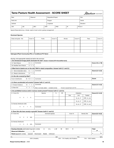# Tame Pasture Health Assessment - SCORE SHEET

Albertan Government

| Date:       |     | Observer: |      | Disposition/Project: |      | Plot:      |          |
|-------------|-----|-----------|------|----------------------|------|------------|----------|
| Field Unit: |     |           |      | Polygon:             |      | Decile:    |          |
| Latitude:   |     |           |      | Longitude:           |      | Elevation: |          |
| LSD:        | QS: | SEC:      | TWP: |                      | RGE: | M.         | Photo #: |

\_\_\_\_\_\_\_\_\_\_\_\_\_\_\_\_\_\_\_\_\_\_\_\_\_\_\_\_\_\_\_\_\_\_\_\_\_\_\_\_\_\_\_\_\_\_\_\_\_\_\_\_\_\_\_\_\_\_\_\_\_\_\_\_\_\_\_\_\_\_\_\_\_\_\_\_\_\_\_\_\_\_\_\_\_\_\_\_\_\_\_\_\_\_\_\_\_\_\_\_\_\_\_\_\_\_\_\_\_\_\_\_\_\_\_\_\_\_\_\_\_\_\_\_\_\_\_\_\_\_\_\_\_\_\_\_\_\_\_\_\_\_\_\_\_\_\_\_\_\_\_\_\_\_

Special Observations (e.g., climate, weed or brush control, grazing management)

#### Dominant Species

| Grass and grass - like | Cover % | Forbs | Cover % | Shrubs | Cover % | Trees | Cover % |
|------------------------|---------|-------|---------|--------|---------|-------|---------|
|                        |         |       |         |        |         |       |         |
|                        |         |       |         |        |         |       |         |
|                        |         |       |         |        |         |       |         |
|                        |         |       |         |        |         |       |         |

Subregion/Plant Community (PC) or Conditional PC Name

#### *Scoring: circle appropriate value(s) and add to the score box*

1. Do introduced forage plants dominate the site? Answer 1A (tame) OR 1B (modified tame)

| <sup>1</sup> 1A Tame Pasture | 12<br>a                  | <br>Comments | Score (1A or 1B) |
|------------------------------|--------------------------|--------------|------------------|
| 1B Modified Tame Pasture     | $\overline{\phantom{a}}$ |              |                  |
|                              |                          |              |                  |

\_\_\_\_\_\_\_\_\_\_\_\_\_\_\_\_\_\_\_\_\_\_\_\_\_\_\_\_\_\_\_\_\_\_\_\_\_\_\_\_\_\_\_\_\_\_\_\_\_\_\_\_\_\_\_\_\_\_\_\_\_\_\_\_\_\_\_\_\_\_\_\_\_\_\_\_\_\_\_\_\_\_\_\_\_\_\_\_\_\_\_\_\_\_\_\_\_\_\_\_\_\_\_\_\_\_\_\_\_\_\_\_\_\_\_\_\_\_\_\_\_\_\_\_\_\_\_\_\_\_\_\_\_\_\_\_\_\_\_\_\_\_\_\_\_\_\_\_\_\_\_\_\_\_

#### 2. What kind of plants are on the site? Shift in stand composition. Answer both 2.1 and 2.2.

| <sup>1</sup> Tame & desirable native 14 7<br>$\vert 2.1 \vert$ |    | Comments | Score $(2.1+2.2)$ |
|----------------------------------------------------------------|----|----------|-------------------|
| 2.2 Weedy & disturbance                                        | 14 |          |                   |
|                                                                |    |          |                   |

#### 3. Is the site covered by litter?

| Score<br>25<br>Cover 8<br>distribution<br>วmments<br>16<br>.<br>. |
|-------------------------------------------------------------------|
|-------------------------------------------------------------------|

#### 4. Is there accelerated soil erosion? Answer both 4.1 and 4.2.

| 4.1 Erosion Evidence |  |  | 10 7 4 0 Comments                                                        |                            | Score $(4.1+4.2)$ |
|----------------------|--|--|--------------------------------------------------------------------------|----------------------------|-------------------|
| 4.2 Bare Soil        |  |  | $5 \quad 3 \quad 1 \quad 0$ Site is normally stable / unstable (circle); | Human-caused bare soil (%) |                   |

#### 5. Are prohibited noxious and/or noxious weeds present? Answer both 5.1 and 5.2.

| 5.1 Cover (%)                 | Species  | % | <b>DD</b> |      | Infestation  |              | Score $(5.1+5.2)$ |
|-------------------------------|----------|---|-----------|------|--------------|--------------|-------------------|
|                               |          |   |           | Size | Unit         | Treated      |                   |
| 5 3 1<br>$\overline{0}$       |          |   |           |      | ha, $ac, m2$ | UNK, no, yes |                   |
|                               |          |   |           |      | ha, ac, $m2$ | UNK, no, yes |                   |
| 5.2 Density Distribution (DD) |          |   |           |      | ha, ac, $m2$ | UNK, no, yes |                   |
| 5 3 1 0                       | Comments |   |           |      |              |              |                   |

#### 6. Does this site have woody re-growth? Answer both 6.1 and 6.2.

| 6.1 Cover (%)                                          |                |   |            |           |          |        | Dominant species |     |   |     | Cover % | Density Dist. | Score $(6.1+6.2)$ |
|--------------------------------------------------------|----------------|---|------------|-----------|----------|--------|------------------|-----|---|-----|---------|---------------|-------------------|
|                                                        | 6              | 3 | $^{\circ}$ | N/A       |          |        |                  |     |   |     |         |               |                   |
| 6.2 Density Distribution                               |                |   |            |           |          |        |                  |     |   |     |         |               |                   |
|                                                        | $\overline{4}$ | 2 | $^{\circ}$ | N/A       | Comments |        |                  |     |   |     |         |               |                   |
| <b>Grazing Intensity (estimated long term; circle)</b> |                |   |            |           |          | U      | U-L              | L-M | M | M-H | H       |               | <b>Total</b>      |
| <b>Observed Utilization</b>                            |                |   |            | $\sim$ 0% |          |        |                  |     |   |     |         |               | of                |
| <b>Trend</b> (apparent; circle):                       |                |   |            | Upward    | Downward | Stable | <b>Unknown</b>   |     |   |     |         |               | $\frac{1}{2}$     |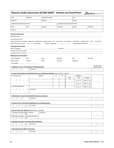#### Albertan Government Riparian Health Assessment SCORE SHEET - Streams and Small Rivers

| Date:                                                                                                 | Observer:     | Disposition/Project:                                                                     |                                     |      | Plot:                                           |              |                                  |
|-------------------------------------------------------------------------------------------------------|---------------|------------------------------------------------------------------------------------------|-------------------------------------|------|-------------------------------------------------|--------------|----------------------------------|
| Field Unit:                                                                                           |               | Polygon:                                                                                 | Decile:                             |      |                                                 |              |                                  |
| Latitude (lower reach/upper reach)                                                                    |               |                                                                                          | Longitude (lower reach/upper reach) |      |                                                 |              |                                  |
| QS:<br>LSD:                                                                                           |               | Section:                                                                                 | Township:                           |      | Range:                                          | Meridian:    |                                  |
| Photo #:                                                                                              |               |                                                                                          |                                     |      |                                                 |              |                                  |
| <b>Riparian Information</b>                                                                           |               |                                                                                          |                                     |      |                                                 |              |                                  |
|                                                                                                       |               |                                                                                          |                                     |      |                                                 |              |                                  |
| Lotic Type (circle one):                                                                              |               |                                                                                          |                                     |      |                                                 |              |                                  |
| Stream (perennial; intermittent; ephemeral; subterranean; pooled channel) river beaver dam wet meadow |               |                                                                                          |                                     |      | spring/seep irrigation canal other non-riparian |              |                                  |
| Define Channel (circle one): yes no not collected                                                     |               | Riparian Length (km) __________________________                                          |                                     |      | Average Riparian Width (m) __________           |              |                                  |
| <b>Ecological Information</b>                                                                         |               |                                                                                          |                                     |      |                                                 |              |                                  |
|                                                                                                       |               |                                                                                          |                                     |      |                                                 |              |                                  |
|                                                                                                       |               |                                                                                          |                                     |      |                                                 |              |                                  |
| Conditional Plant Community: ______________                                                           |               |                                                                                          |                                     |      |                                                 |              |                                  |
| <b>Management Information</b>                                                                         |               |                                                                                          |                                     |      |                                                 |              |                                  |
| <b>Current Utilization:</b>                                                                           | None          | Light                                                                                    | Moderate                            |      | High                                            | Very High    |                                  |
| Polygon Trend:                                                                                        | Unknown       | Static                                                                                   | Improving                           |      | Degrading                                       |              |                                  |
|                                                                                                       |               |                                                                                          |                                     |      |                                                 |              |                                  |
| 1. Vegetative Cover of Floodplain and Streambanks                                                     |               |                                                                                          |                                     |      |                                                 |              | Scores or N/A<br>Actual/Possible |
|                                                                                                       | Comments      |                                                                                          |                                     |      |                                                 |              | $\overline{\phantom{a}}$         |
| 6 4 2 0                                                                                               |               |                                                                                          |                                     |      |                                                 |              |                                  |
|                                                                                                       |               | 2. Invasive Plant Species (Prohibited Noxious and Noxious Weeds) Answer both 2.1 and 2.2 |                                     |      |                                                 |              |                                  |
| 2.1 Canopy Cover                                                                                      |               | Species                                                                                  | %<br>DD                             |      | Infestation                                     |              |                                  |
|                                                                                                       |               |                                                                                          |                                     | Size | Unit                                            | Treated      |                                  |
| 3<br>$\overline{2}$<br>$\mathbf{1}$                                                                   | 0             |                                                                                          |                                     |      | ha, ac, $m2$                                    | UNK, no, yes | $\mathcal{V}_-$                  |
|                                                                                                       |               |                                                                                          |                                     |      | ha, $ac, m2$                                    | UNK, no, yes |                                  |
| 2.2 Density Distribution                                                                              |               |                                                                                          |                                     |      | ha, $ac, m2$                                    | UNK, no, yes |                                  |
| 3<br>2<br>$\mathbf{1}$                                                                                | 0<br>Comments |                                                                                          |                                     |      |                                                 |              |                                  |
|                                                                                                       |               |                                                                                          |                                     |      |                                                 |              |                                  |
|                                                                                                       |               |                                                                                          |                                     |      |                                                 |              |                                  |
| 3. Disturbance-caused Undesirable Herbaceous Species                                                  |               |                                                                                          |                                     |      |                                                 |              |                                  |
| 3<br>$\overline{c}$<br>0<br>$\blacksquare$                                                            | Comments      |                                                                                          |                                     |      |                                                 |              | $\sqrt{ }$                       |
|                                                                                                       |               |                                                                                          |                                     |      |                                                 |              |                                  |
| 4. Preferred Tree and Shrub Establishment and Regeneration                                            | Comments      |                                                                                          |                                     |      |                                                 |              | $\prime$ .                       |
| $\overline{c}$<br>$\mathbf 0$<br>N/A<br>6<br>4                                                        |               |                                                                                          |                                     |      |                                                 |              |                                  |
| 5. Use of Trees and Shrubs Answer both 5.1 and 5.2                                                    |               |                                                                                          |                                     |      |                                                 |              |                                  |
| 5.1 Preferred Trees and Shrubs - Browse                                                               |               | Comments                                                                                 |                                     |      |                                                 |              |                                  |
| 3<br>$\overline{2}$<br>$\overline{1}$<br>0<br>N/A                                                     |               |                                                                                          |                                     |      |                                                 |              | $\frac{1}{2}$                    |
| 5.2 All Trees and Shrubs - Use other than browse<br>3<br>$2 \quad 1$<br>0<br>N/A                      |               |                                                                                          |                                     |      |                                                 |              |                                  |
|                                                                                                       |               |                                                                                          |                                     |      |                                                 |              |                                  |
| 6. Standing Decadent and Dead Woody Material                                                          |               |                                                                                          |                                     |      |                                                 |              |                                  |
| 0<br>N/A<br>3<br>$2 \quad 1$                                                                          | Comments      |                                                                                          |                                     |      |                                                 |              | _/__                             |
|                                                                                                       |               |                                                                                          |                                     |      |                                                 |              |                                  |
| 7. Streambank Root Mass Protection                                                                    |               |                                                                                          |                                     |      |                                                 |              |                                  |
| $\overline{2}$<br>6<br>$4\overline{ }$<br>$\mathbf 0$                                                 | Comments      |                                                                                          |                                     |      |                                                 |              | _/ _                             |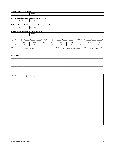| 8. Human-Caused Bare Ground           |             |                                                                |       |       |       |       |                                               |       |            |
|---------------------------------------|-------------|----------------------------------------------------------------|-------|-------|-------|-------|-----------------------------------------------|-------|------------|
| $\overline{2}$<br>6<br>$\overline{4}$ | $\mathsf 0$ | Comments                                                       |       |       |       |       |                                               |       |            |
|                                       |             | 9. Streambank Structurally Altered by Human Activity           |       |       |       |       |                                               |       |            |
| $4\quad 2$<br>6                       | $\mathbf 0$ | Comments                                                       |       |       |       |       |                                               |       | $\sqrt{2}$ |
|                                       |             | 10. Reach Structurally Altered by Human Activity (excl. banks) |       |       |       |       |                                               |       |            |
| $2 \quad 1$<br>3                      | $\mathsf 0$ | Comments                                                       |       |       |       |       |                                               |       | $\prime$   |
|                                       |             | 11. Stream Channel Incisement (vertical stability)             |       |       |       |       |                                               |       |            |
| 6 3<br>9                              | $\mathbf 0$ | Comments                                                       |       |       |       |       |                                               |       |            |
|                                       |             |                                                                |       |       |       |       |                                               |       |            |
|                                       |             | Vegetation Score (1 to 7) ______ / _____ = ___                 |       |       |       |       | TOTAL SCORE = $\_\_\_\_\_\_$ / $\_\_\_\_\_\_$ |       | _%<br>$=$  |
| <b>PTS</b>                            | 18/60       | 26/60                                                          | 30/60 | 33/60 | 36/60 | 39/60 | 42/60                                         | 48/60 | 54/60      |
| $\%$                                  | 30          | 40                                                             | 50    | 55    | 60    | 65    | 70                                            | 80    | 90         |
| Site Comments                         |             |                                                                |       |       |       |       |                                               |       |            |
|                                       |             |                                                                |       |       |       |       |                                               |       |            |
|                                       |             |                                                                |       |       |       |       |                                               |       |            |
|                                       |             |                                                                |       |       |       |       |                                               |       |            |
|                                       |             |                                                                |       |       |       |       |                                               |       |            |
|                                       |             |                                                                |       |       |       |       |                                               |       |            |
|                                       |             | Sketch of Riparian Reach (show plot and photo locations)       |       |       |       |       |                                               |       |            |
|                                       |             |                                                                |       |       |       |       |                                               |       |            |
|                                       |             |                                                                |       |       |       |       |                                               |       |            |
|                                       |             |                                                                |       |       |       |       |                                               |       |            |
|                                       |             |                                                                |       |       |       |       |                                               |       |            |
|                                       |             |                                                                |       |       |       |       |                                               |       |            |
|                                       |             |                                                                |       |       |       |       |                                               |       |            |
|                                       |             |                                                                |       |       |       |       |                                               |       |            |
|                                       |             |                                                                |       |       |       |       |                                               |       |            |
|                                       |             |                                                                |       |       |       |       |                                               |       |            |
|                                       |             |                                                                |       |       |       |       |                                               |       |            |
|                                       |             |                                                                |       |       |       |       |                                               |       |            |
|                                       |             |                                                                |       |       |       |       |                                               |       |            |
|                                       |             |                                                                |       |       |       |       |                                               |       |            |
|                                       |             |                                                                |       |       |       |       |                                               |       |            |
|                                       |             |                                                                |       |       |       |       |                                               |       |            |

Credit: Based on Riparian Health Assessment for Streams & Small Rivers, by Cows and Fish, 2009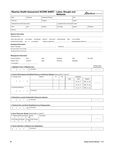|                                                                                                                                                                                                                                |                |           |          |                      | Riparian Health Assessment SCORE SHEET - Lakes, Sloughs and<br><b>Wetlands</b>                                                                                                                                                |           | Albertan Government              |
|--------------------------------------------------------------------------------------------------------------------------------------------------------------------------------------------------------------------------------|----------------|-----------|----------|----------------------|-------------------------------------------------------------------------------------------------------------------------------------------------------------------------------------------------------------------------------|-----------|----------------------------------|
| Date:                                                                                                                                                                                                                          |                | Observer: |          | Disposition/Project: |                                                                                                                                                                                                                               | Plot:     |                                  |
| Field Unit:                                                                                                                                                                                                                    |                |           |          | Polygon:             |                                                                                                                                                                                                                               | Decile:   |                                  |
| Latitude (lower reach/upper reach)                                                                                                                                                                                             |                |           |          |                      | Longitude (lower reach/upper reach)                                                                                                                                                                                           |           |                                  |
| LSD:                                                                                                                                                                                                                           |                | QS:       |          | Section:             | Township:                                                                                                                                                                                                                     | Range:    | Meridian:                        |
| Photo #:                                                                                                                                                                                                                       |                |           |          |                      |                                                                                                                                                                                                                               |           |                                  |
| <b>Riparian Information</b>                                                                                                                                                                                                    |                |           |          |                      |                                                                                                                                                                                                                               |           |                                  |
| Lentic Type (circle one): wet meadow; spring/seep;                                                                                                                                                                             |                |           |          |                      | reservoir; stock pond; pothole/slough; other; or non-wetland                                                                                                                                                                  |           |                                  |
| Ponded Surface Water: yes no not collected                                                                                                                                                                                     |                |           |          |                      |                                                                                                                                                                                                                               |           |                                  |
| <b>Ecological Information</b>                                                                                                                                                                                                  |                |           |          |                      |                                                                                                                                                                                                                               |           |                                  |
|                                                                                                                                                                                                                                |                |           |          |                      |                                                                                                                                                                                                                               |           |                                  |
|                                                                                                                                                                                                                                |                |           |          |                      | Dominant Plant Communities: Note that the control of the control of the control of the control of the control of the control of the control of the control of the control of the control of the control of the control of the |           |                                  |
|                                                                                                                                                                                                                                |                |           |          |                      |                                                                                                                                                                                                                               |           |                                  |
| <b>Management Information</b>                                                                                                                                                                                                  |                |           |          |                      |                                                                                                                                                                                                                               |           |                                  |
| <b>Current Utilization:</b>                                                                                                                                                                                                    |                | None      |          | Light                | Moderate                                                                                                                                                                                                                      | High      | Very High                        |
| Polygon Trend:                                                                                                                                                                                                                 |                | Unknown   |          | <b>Static</b>        | Improving                                                                                                                                                                                                                     | Degrading |                                  |
| % Accessible: We are a series of the series of the series of the series of the series of the series of the series of the series of the series of the series of the series of the series of the series of the series of the ser |                |           |          |                      |                                                                                                                                                                                                                               |           |                                  |
| 1. Vegetative Cover of Riparian Area                                                                                                                                                                                           |                |           |          |                      |                                                                                                                                                                                                                               |           | Scores or N/A<br>Actual/Possible |
|                                                                                                                                                                                                                                | $\overline{c}$ | $\Omega$  | Comments |                      |                                                                                                                                                                                                                               |           | $\overline{1}$                   |

## 2. Invasive Plant Species (Prohibited Noxious and Noxious Weeds) Answer both 2.1 and 2.2

| 2.1 Canopy Cover                      | Species  | % | <b>DD</b> |      | Infestation  |              |  |
|---------------------------------------|----------|---|-----------|------|--------------|--------------|--|
|                                       |          |   |           | Size | Unit         | Treated      |  |
| $3 \quad 2 \quad 1$<br>$\mathbf 0$    |          |   |           |      | ha, $ac, m2$ | UNK, no, yes |  |
|                                       |          |   |           |      | ha, $ac, m2$ | UNK, no, yes |  |
| 2.2 Density Distribution              |          |   |           |      | ha, ac, $m2$ | UNK, no, yes |  |
| $3 \quad 2 \quad 1$<br>$\overline{0}$ | Comments |   |           |      |              |              |  |

#### 3. Disturbance-caused Undesirable Herbaceous Species

|--|--|

## 4. Preferred Tree and Shrub Establishment and Regeneration

|  |  |  |  | N/A<br>the contract of the contract of | Comments<br>----------- |  |  |
|--|--|--|--|----------------------------------------|-------------------------|--|--|
|--|--|--|--|----------------------------------------|-------------------------|--|--|

#### 5. Use of Trees and Shrubs Answer both 5.1 and 5.2

| 5.1 Preferred Trees and Shrubs - Browse<br>N/A          | Comments |  |
|---------------------------------------------------------|----------|--|
| 5.2 All Trees and Shrubs - Use other than browse<br>N/A |          |  |

## 6. Human Alteration of Riparian Area (Vegetation)

|--|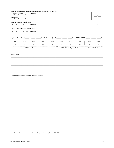#### 7. Human Alteration of Riparian Area (Physical) Answer both 7.1 and 7.2

| 7.1 Alteration of Area   |  |                          | Comments |  |
|--------------------------|--|--------------------------|----------|--|
| $\overline{a}$           |  | $\sim$                   |          |  |
| 7.2 Severity             |  |                          |          |  |
| $\overline{\phantom{0}}$ |  | $\overline{\phantom{0}}$ |          |  |

#### 8. Human-caused Bare Ground

|  |  | ment |  |
|--|--|------|--|
|  |  |      |  |

## 9. Artificial Modification of Water Levels 9 6 3 0 UNK Comments \_\_\_\_\_ / \_\_\_\_\_

| Vegetation Score (1 to 6) | ᅅ | Physical Score (7 to 9) | $\frac{1}{2}$ | . SCORE =<br><b>TOTAL</b> | 0/2 |
|---------------------------|---|-------------------------|---------------|---------------------------|-----|

**PTS** | 19/63 | 25/63 | 31/63 | 35/63 | 38/63 | 41/63 | 44/63 | 50/63 | 57/63 % | 30 | 40 | 50 | 55 | 60 | 65 | 70 | 80 | 90

\_\_\_\_\_\_\_\_\_\_\_\_\_\_\_\_\_\_\_\_\_\_\_\_\_\_\_\_\_\_\_\_\_\_\_\_\_\_\_\_\_\_\_\_\_\_\_\_\_\_\_\_\_\_\_\_\_\_\_\_\_\_\_\_\_\_\_\_\_\_\_\_\_\_\_\_\_\_\_\_\_\_\_\_\_\_\_\_\_\_\_\_\_\_\_\_\_\_\_\_\_\_\_\_\_\_\_\_\_\_\_\_\_\_\_\_\_\_\_\_\_\_\_\_\_\_\_\_\_\_\_\_\_\_\_\_\_\_\_\_\_\_\_\_\_\_\_\_\_\_\_\_\_\_ \_\_\_\_\_\_\_\_\_\_\_\_\_\_\_\_\_\_\_\_\_\_\_\_\_\_\_\_\_\_\_\_\_\_\_\_\_\_\_\_\_\_\_\_\_\_\_\_\_\_\_\_\_\_\_\_\_\_\_\_\_\_\_\_\_\_\_\_\_\_\_\_\_\_\_\_\_\_\_\_\_\_\_\_\_\_\_\_\_\_\_\_\_\_\_\_\_\_\_\_\_\_\_\_\_\_\_\_\_\_\_\_\_\_\_\_\_\_\_\_\_\_\_\_\_\_\_\_\_\_\_\_\_\_\_\_\_\_\_\_\_\_\_\_\_\_\_\_\_\_\_\_\_\_ \_\_\_\_\_\_\_\_\_\_\_\_\_\_\_\_\_\_\_\_\_\_\_\_\_\_\_\_\_\_\_\_\_\_\_\_\_\_\_\_\_\_\_\_\_\_\_\_\_\_\_\_\_\_\_\_\_\_\_\_\_\_\_\_\_\_\_\_\_\_\_\_\_\_\_\_\_\_\_\_\_\_\_\_\_\_\_\_\_\_\_\_\_\_\_\_\_\_\_\_\_\_\_\_\_\_\_\_\_\_\_\_\_\_\_\_\_\_\_\_\_\_\_\_\_\_\_\_\_\_\_\_\_\_\_\_\_\_\_\_\_\_\_\_\_\_\_\_\_\_\_\_\_\_ \_\_\_\_\_\_\_\_\_\_\_\_\_\_\_\_\_\_\_\_\_\_\_\_\_\_\_\_\_\_\_\_\_\_\_\_\_\_\_\_\_\_\_\_\_\_\_\_\_\_\_\_\_\_\_\_\_\_\_\_\_\_\_\_\_\_\_\_\_\_\_\_\_\_\_\_\_\_\_\_\_\_\_\_\_\_\_\_\_\_\_\_\_\_\_\_\_\_\_\_\_\_\_\_\_\_\_\_\_\_\_\_\_\_\_\_\_\_\_\_\_\_\_\_\_\_\_\_\_\_\_\_\_\_\_\_\_\_\_\_\_\_\_\_\_\_\_\_\_\_\_\_\_\_ \_\_\_\_\_\_\_\_\_\_\_\_\_\_\_\_\_\_\_\_\_\_\_\_\_\_\_\_\_\_\_\_\_\_\_\_\_\_\_\_\_\_\_\_\_\_\_\_\_\_\_\_\_\_\_\_\_\_\_\_\_\_\_\_\_\_\_\_\_\_\_\_\_\_\_\_\_\_\_\_\_\_\_\_\_\_\_\_\_\_\_\_\_\_\_\_\_\_\_\_\_\_\_\_\_\_\_\_\_\_\_\_\_\_\_\_\_\_\_\_\_\_\_\_\_\_\_\_\_\_\_\_\_\_\_\_\_\_\_\_\_\_\_\_\_\_\_\_\_\_\_\_\_\_

<60% Unhealthy 60% - 79% Healthy with Problems 80% - 100% Healthy

0% 60% 80% 100%

Site Comments \_\_\_\_\_\_\_\_\_\_\_\_\_\_\_\_\_\_\_\_\_\_\_\_\_\_\_\_\_\_\_\_\_\_\_\_\_\_\_\_\_\_\_\_\_\_\_\_\_\_\_\_\_\_\_\_\_\_\_\_\_\_\_\_\_\_\_\_\_\_\_\_\_\_\_\_\_\_\_\_\_\_\_\_\_\_\_\_\_\_\_\_\_\_\_\_\_\_\_\_\_\_\_\_\_\_\_\_\_\_\_\_\_\_\_\_\_\_\_\_\_\_\_\_\_\_\_\_\_\_\_\_\_\_\_\_\_\_\_

Sketch of Riparian Reach (show plot and photo locations)

Credit: Based on Riparian Health Assessments for Lakes, Sloughs and Wetlands by Cows and Fish, 2009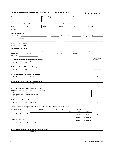|  |  | <b>Riparian Health Assessment SCORE SHEET - Large Rivers</b> |
|--|--|--------------------------------------------------------------|
|--|--|--------------------------------------------------------------|



| Date:                                                                                          | Observer:                                                                                                                                                                                                                                               | Disposition/Project: |                    |           | Plot:                               |                                     |                   |                                                     |
|------------------------------------------------------------------------------------------------|---------------------------------------------------------------------------------------------------------------------------------------------------------------------------------------------------------------------------------------------------------|----------------------|--------------------|-----------|-------------------------------------|-------------------------------------|-------------------|-----------------------------------------------------|
| Field Unit:                                                                                    |                                                                                                                                                                                                                                                         | Polygon:             |                    |           | Decile:                             |                                     |                   |                                                     |
| Latitude (lower reach/upper reach)                                                             |                                                                                                                                                                                                                                                         |                      |                    |           | Longitude (lower reach/upper reach) |                                     |                   |                                                     |
| LSD:                                                                                           | QS:                                                                                                                                                                                                                                                     | Section:             |                    |           |                                     | Range:                              | Meridian:         |                                                     |
| Photo #:                                                                                       |                                                                                                                                                                                                                                                         |                      |                    |           |                                     |                                     |                   |                                                     |
| <b>Riparian Information</b>                                                                    |                                                                                                                                                                                                                                                         |                      |                    |           |                                     |                                     |                   |                                                     |
| Waterbody Name: __                                                                             | $\mathcal{L} = \mathcal{L} \left( \mathcal{L} \right)$ , and the set of the set of the set of the set of the set of the set of the set of the set of the set of the set of the set of the set of the set of the set of the set of the set of the set of |                      | $Side$ __________; |           |                                     | Riparian Length (km) ______________ | Average Width (m) |                                                     |
| <b>Ecological Information</b>                                                                  |                                                                                                                                                                                                                                                         |                      |                    |           |                                     |                                     |                   |                                                     |
|                                                                                                |                                                                                                                                                                                                                                                         |                      |                    |           |                                     |                                     |                   |                                                     |
|                                                                                                |                                                                                                                                                                                                                                                         |                      |                    |           |                                     |                                     |                   |                                                     |
|                                                                                                |                                                                                                                                                                                                                                                         |                      |                    |           |                                     |                                     |                   |                                                     |
| <b>Management Information</b>                                                                  |                                                                                                                                                                                                                                                         |                      |                    |           |                                     |                                     |                   |                                                     |
| <b>Current Utilization:</b>                                                                    | None                                                                                                                                                                                                                                                    | Light                |                    | Moderate  |                                     | High                                | Very High         |                                                     |
| Polygon Trend:                                                                                 | Unknown                                                                                                                                                                                                                                                 | Static               |                    | Improving |                                     | Degrading                           |                   |                                                     |
| % Accessible: _______________                                                                  |                                                                                                                                                                                                                                                         |                      |                    |           |                                     |                                     |                   |                                                     |
|                                                                                                |                                                                                                                                                                                                                                                         |                      |                    |           |                                     |                                     |                   | Scores or N/A                                       |
| 1. Cottonwood and Balsam Poplar Regeneration                                                   | Comments                                                                                                                                                                                                                                                |                      |                    |           |                                     |                                     |                   | Actual/Possible                                     |
| 6<br>$4\quad 2$<br>$\mathbf 0$                                                                 | N/A                                                                                                                                                                                                                                                     |                      |                    |           |                                     |                                     |                   |                                                     |
| 2. Regeneration of Other Native Tree Species                                                   |                                                                                                                                                                                                                                                         |                      |                    |           |                                     |                                     |                   |                                                     |
| 3<br>$2 \quad 1$<br>$\mathbf 0$                                                                | Comments<br>N/A                                                                                                                                                                                                                                         |                      |                    |           |                                     |                                     |                   | $\sqrt{2}$                                          |
|                                                                                                |                                                                                                                                                                                                                                                         |                      |                    |           |                                     |                                     |                   |                                                     |
| 3. Regeneration of Preferred Shrub Species                                                     |                                                                                                                                                                                                                                                         |                      |                    |           |                                     |                                     |                   |                                                     |
| $4\quad 2$<br>6<br>$\mathbf 0$                                                                 | Comments<br>N/A                                                                                                                                                                                                                                         |                      |                    |           |                                     |                                     |                   | $\overline{\phantom{a}}$ / $\overline{\phantom{a}}$ |
|                                                                                                |                                                                                                                                                                                                                                                         |                      |                    |           |                                     |                                     |                   |                                                     |
| 4. Standing Decadent and Dead Woody Material                                                   |                                                                                                                                                                                                                                                         |                      |                    |           |                                     |                                     |                   |                                                     |
| 3<br>$2 \quad 1$<br>$\mathbf 0$                                                                | Comments<br>N/A                                                                                                                                                                                                                                         |                      |                    |           |                                     |                                     |                   |                                                     |
| 5. Use of Trees and Shrubs Answer both 5.1 and 5.2                                             |                                                                                                                                                                                                                                                         |                      |                    |           |                                     |                                     |                   |                                                     |
| 5.1 Preferred Trees and Shrubs - Browse                                                        |                                                                                                                                                                                                                                                         | Comments             |                    |           |                                     |                                     |                   |                                                     |
| 3<br>2<br>$\overline{1}$<br>0                                                                  | N/A                                                                                                                                                                                                                                                     |                      |                    |           |                                     |                                     |                   | $\frac{1}{2}$                                       |
| 5.2 All Trees and Shrubs - Use other than browse<br>3<br>$\overline{2}$<br>$\overline{1}$<br>0 | N/A                                                                                                                                                                                                                                                     |                      |                    |           |                                     |                                     |                   |                                                     |
|                                                                                                |                                                                                                                                                                                                                                                         |                      |                    |           |                                     |                                     |                   |                                                     |
| 6. Total Canopy Cover of Woody Species                                                         |                                                                                                                                                                                                                                                         |                      |                    |           |                                     |                                     |                   |                                                     |
| $2 \quad 1$<br>$\mathbf 0$<br>3                                                                | Comments<br>N/A                                                                                                                                                                                                                                         |                      |                    |           |                                     |                                     |                   | $\_$ / $\_$                                         |
| 7. Invasive Plant Species (Prohibited Noxious and Noxious Weeds) Answer both 7.1 and 7.2       |                                                                                                                                                                                                                                                         |                      |                    |           |                                     |                                     |                   |                                                     |
| 7.1 Canopy Cover                                                                               |                                                                                                                                                                                                                                                         | Species              | %                  | DD        |                                     | Infestation                         |                   |                                                     |
|                                                                                                |                                                                                                                                                                                                                                                         |                      |                    |           | Size                                | Unit                                | Treated           |                                                     |
| 6<br>$\overline{2}$<br>4                                                                       | $\mathbf 0$                                                                                                                                                                                                                                             |                      |                    |           |                                     | ha, ac, m <sup>2</sup>              | UNK, no, yes      |                                                     |
|                                                                                                |                                                                                                                                                                                                                                                         |                      |                    |           |                                     | ha, ac, $m2$                        | UNK, no, yes      | $\prime$                                            |
| 7.2 Density Distribution                                                                       |                                                                                                                                                                                                                                                         |                      |                    |           |                                     |                                     |                   |                                                     |
|                                                                                                |                                                                                                                                                                                                                                                         |                      |                    |           |                                     | ha, ac, $m2$                        | UNK, no, yes      |                                                     |
| 3<br>$\overline{c}$<br>$\overline{1}$                                                          | 0<br>Comments                                                                                                                                                                                                                                           |                      |                    |           |                                     |                                     |                   |                                                     |
|                                                                                                |                                                                                                                                                                                                                                                         |                      |                    |           |                                     |                                     |                   |                                                     |

#### 8. Disturbance-caused Undesirable Herbaceous Species

| Comments: |  |
|-----------|--|
|-----------|--|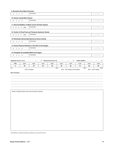|                          | 9. Riverbank Root Mass Protection |                                                                     |       |                                                                                                    |       |                                       |                                          |       |                          |    |
|--------------------------|-----------------------------------|---------------------------------------------------------------------|-------|----------------------------------------------------------------------------------------------------|-------|---------------------------------------|------------------------------------------|-------|--------------------------|----|
| $4 \quad 2 \quad 0$<br>6 |                                   | Comments                                                            |       |                                                                                                    |       |                                       |                                          |       | __/ __                   |    |
|                          | 10. Human-caused Bare Ground      |                                                                     |       |                                                                                                    |       |                                       |                                          |       |                          |    |
| $4\quad 2\quad 0$<br>6   |                                   | Comments                                                            |       |                                                                                                    |       |                                       |                                          |       |                          |    |
|                          |                                   | 11. Removal/Addition of Water from/to the River System              |       |                                                                                                    |       |                                       |                                          |       |                          |    |
| 9 6 3 0 UNK              |                                   | Comments                                                            |       |                                                                                                    |       |                                       |                                          |       |                          |    |
|                          |                                   |                                                                     |       |                                                                                                    |       |                                       |                                          |       |                          |    |
|                          |                                   | 12. Control of Flood Peak and Timing by Upstream Dam(s)<br>Comments |       |                                                                                                    |       |                                       |                                          |       |                          |    |
| 9 6 3 0 UNK              |                                   |                                                                     |       |                                                                                                    |       |                                       |                                          |       |                          |    |
|                          |                                   | 13. Riverbanks Structurally Altered by Human Activity               |       |                                                                                                    |       |                                       |                                          |       |                          |    |
| $4\quad 2\quad 0$<br>6   |                                   | Comments                                                            |       |                                                                                                    |       |                                       |                                          |       |                          |    |
|                          |                                   | 14. Human Physical Alteration to the Rest of the Polygon            |       |                                                                                                    |       |                                       |                                          |       |                          |    |
| 6<br>$4\quad 2\quad 0$   |                                   | Comments                                                            |       |                                                                                                    |       |                                       |                                          |       |                          |    |
|                          |                                   | 15. Floodplain Accessibility Within the Polygon                     |       |                                                                                                    |       |                                       |                                          |       |                          |    |
| 6<br>$4 \quad 2 \quad 0$ |                                   | Comments                                                            |       |                                                                                                    |       |                                       |                                          |       |                          |    |
|                          |                                   |                                                                     |       |                                                                                                    |       |                                       |                                          |       |                          |    |
|                          |                                   |                                                                     |       |                                                                                                    |       |                                       |                                          |       |                          |    |
|                          |                                   |                                                                     |       | Vegetation Score (1 to 8) ______ / _____ = _____% Physical Score (9 to 15) ______ / _____ = _____% |       |                                       | TOTAL SCORE = _________ / _______ = ____ |       |                          | _% |
| <b>PTS</b>               | 26/87                             | 35/87                                                               | 44/87 | 48/87                                                                                              | 52/87 | 57/87                                 | 61/87                                    | 70/87 | 78/87                    |    |
| $\%$                     | 30                                | 40<br><60% Unhealthy                                                | 50    | 55                                                                                                 | 60    | 65<br>60% - 79% Healthy with Problems | 70                                       | 80    | 90<br>80% - 100% Healthy |    |
|                          |                                   |                                                                     |       |                                                                                                    |       |                                       |                                          |       |                          |    |
|                          |                                   |                                                                     |       |                                                                                                    |       |                                       |                                          |       |                          |    |

Credit: Based on Large River Health Survey Manual, by Cows and Fish, 2014.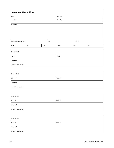# Invasive Plants Form Date **Date Observer** Activity # Land Type

**Comments** 

| GPS Coordinates (NAD 83) |     |      | Lat. |      |      | Long. |    |
|--------------------------|-----|------|------|------|------|-------|----|
| LSD:                     | QS. | SEC: |      | TWP: | RGE: |       | M. |

| <b>Invasive Plant</b>                |              |  |  |  |  |
|--------------------------------------|--------------|--|--|--|--|
| Cover %                              | Distribution |  |  |  |  |
| Treatment                            |              |  |  |  |  |
| Area (m <sup>2</sup> , acres, or ha) |              |  |  |  |  |

| <b>Invasive Plant</b>                |              |
|--------------------------------------|--------------|
| Cover %                              | Distribution |
| Treatment                            |              |
| Area (m <sup>2</sup> , acres, or ha) |              |

| <b>Invasive Plant</b>                |              |  |  |  |
|--------------------------------------|--------------|--|--|--|
| Cover %                              | Distribution |  |  |  |
| Treatment                            |              |  |  |  |
| Area (m <sup>2</sup> , acres, or ha) |              |  |  |  |

| <b>Invasive Plant</b>                |              |
|--------------------------------------|--------------|
| Cover %                              | Distribution |
| Treatment                            |              |
| Area (m <sup>2</sup> , acres, or ha) |              |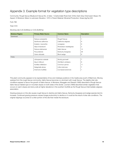# <span id="page-52-0"></span>Appendix 3. Example format for vegetation type descriptions

Community: Rough fescue-Bluebunch fescue No. of sites: 1 (Carbondale River) Soil: Orthic Dark Grey Chernozem Slope: 5% Aspect: S Moisture: Mesic to submesic Elevation: 1370 m Parent Material: Morainal Production: Grass (kg/ha) 422

Forb 788

Total 1210

Stocking rate 0.20 (AUM/ac) or 0.50 (AUM/ha)

| <b>Moisture Regime</b> | <b>Primary Water Source</b> | <b>Common Name</b>     | <b>Description</b> |
|------------------------|-----------------------------|------------------------|--------------------|
| Graminoid              |                             |                        |                    |
|                        | Festuca campestris          | Rough Fescue           |                    |
|                        | Danthonia californica       | California oatgrass    | 6                  |
|                        | Koeleria macrantha          | Junegrass              | 6                  |
|                        | Stipa richardsonii          | Richardson needlegrass | 2                  |
|                        | Festuca idahoensis          | Idaho fescue           | 14                 |
|                        | Poa pratensis               | Kentucky bluegrass     | 26                 |
|                        | Carex obtusata              | Blunt sedge            | 6                  |
| Forbs                  |                             |                        |                    |
|                        | Lithosperma ruderale        | Woolly gromwell        |                    |
|                        | Geum triflorum              | Old Man's whiskers     | 8                  |
|                        | Achillea millefolium        | Common yarrow          | 11                 |
|                        | Selaginella densa           | Little clubmoss        |                    |
|                        | Anemone multifida           | Cut leaved anemone     |                    |

This plant community appears to be representative of low and midslope positions in the Castle area south of Blairmore. Moving upslope from the rough fescue community, Idaho fescue becomes co-dominant with rough fescue. The slightly drier site conditions appear to favour the growth of Idaho fescue. In Montana, Mueggler and Stewart (1980) described a Rough fescue-Idaho fescue habitat type on mountain slopes on both sides of the divide. Looman (1969) described similar vegetation that occurs on warm slopes and stony soils at higher elevations in the southern foothills as the Rough fescue-Intermediate oatgrass association.

Grazing pressure on this site causes rough fescue to decline and Idaho fescue, Kentucky bluegrass and sedge species tend to increase. Continued grazing pressure causes forage productivity to decline or it could be the result of drier site conditions. The original clippings occurred on a drier portion of the site than inside the exclosure.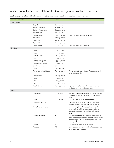# <span id="page-53-0"></span>Appendix 4. Recommendations for Capturing Infrastructure Features

Use letters g, n, or p to provide information on feature condition:  $g = good$ , n = needs improvement,  $p = poor$ 

| <b>General Feature Type</b> | <b>Feature Name</b>         | Code                | <b>Comments</b>                                                                                                                                                                          |
|-----------------------------|-----------------------------|---------------------|------------------------------------------------------------------------------------------------------------------------------------------------------------------------------------------|
| <b>Water Feature</b>        |                             |                     |                                                                                                                                                                                          |
|                             | Dugout                      | $Dgt + g$ , n or p  |                                                                                                                                                                                          |
|                             | Spring - Developed          | $Spd + g$ , n or p  |                                                                                                                                                                                          |
|                             | Spring - Undeveloped        | $Spu + q$ , n or p  |                                                                                                                                                                                          |
|                             | <b>Water Troughs</b>        | $Wtr + g$ , n or p  |                                                                                                                                                                                          |
|                             | Creek Watering              | $Ckw + g$ , n or p  | Important creek watering sites only                                                                                                                                                      |
|                             | Water Tank                  | Wtk + g, n or $p$   |                                                                                                                                                                                          |
|                             | Water Line                  | $W\ln + g$ , n or p |                                                                                                                                                                                          |
|                             | Water Well                  | Wwl + g, n or $p$   |                                                                                                                                                                                          |
|                             | Creek Crossing              | $Crs + g$ , n, or p | Important creek crossings only                                                                                                                                                           |
| Structure                   |                             |                     |                                                                                                                                                                                          |
|                             | Cabin                       | $Cbn + g, n or p$   |                                                                                                                                                                                          |
|                             | Corral                      | $CrI + g$ , n or p  |                                                                                                                                                                                          |
|                             | Loading Chutes              | $Lch + g$ , n or p  |                                                                                                                                                                                          |
|                             | Gates                       | $Gt + g$ , n or p   |                                                                                                                                                                                          |
|                             | Cattleguard - gated         | $Cgg + g$ , n or p  |                                                                                                                                                                                          |
|                             | Cattleguard - ungated       | $Cgu + g$ , n or p  |                                                                                                                                                                                          |
|                             | OHV fence crossing          | $Qfc + g$ , n or p  |                                                                                                                                                                                          |
|                             | Culvert                     | $Clv + g$ , n or p  |                                                                                                                                                                                          |
|                             | Permanent Salting Structure | $Pss + g$ , n or p  | Permanent salting structures - for salting sites with<br>no structure use Ss                                                                                                             |
|                             | Storage Shed                | $Ssh + g$ , n or p  |                                                                                                                                                                                          |
|                             | <b>Bridge</b>               | $Bdg + g$ , n or p  |                                                                                                                                                                                          |
|                             | Oiler                       | $Oil + g$ , n or p  |                                                                                                                                                                                          |
|                             | <b>Barn</b>                 | $Brn + g$ , n or p  |                                                                                                                                                                                          |
|                             | Rider's Camp                | $Rcp + g$ , n or p  | Important camping area with no permanent cabin<br>or structures - may contain outhouse                                                                                                   |
| Fence                       |                             |                     |                                                                                                                                                                                          |
|                             | Fence point                 | $F + g$ , n or p    | Use when capturing fences as waypoints - although<br>it is MUCH preferred that fences are captured as<br>tracks                                                                          |
|                             | Fence                       | $F + g$ , n or p    | Use when fences are collected as tracks                                                                                                                                                  |
|                             | Fence – corner post         | С                   | Capture a waypoint at each fence corner post<br>(whether tracks or waypoints for fence capture)                                                                                          |
|                             | Fence to be cont. (stop)    | W                   | Use when capturing fence as a track when it<br>becomes impossible to continue along the fence<br>line due to topography or barriers - this is a stop<br>point                            |
|                             | Fence restart point         | Ζ                   | Use this restart point to signify the continuation of a<br>fence line track (when this is used a fenceline will be<br>drawn straight between the stop (to be cont.) and<br>restart point |
|                             | Fence End                   | X                   | Use where fence stops (an end point)                                                                                                                                                     |
|                             | Fence down                  | Fd                  | Use in addition to a fence track or fence waypoints<br>to denote a fence is down                                                                                                         |